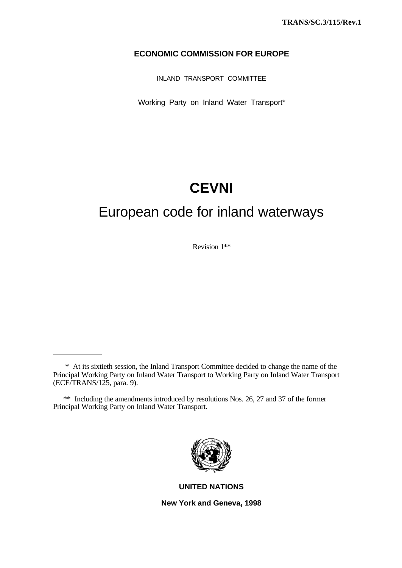# **ECONOMIC COMMISSION FOR EUROPE**

INLAND TRANSPORT COMMITTEE

Working Party on Inland Water Transport\*

# **CEVNI**

# European code for inland waterways

Revision 1\*\*

 $\overline{a}$ 



**UNITED NATIONS**

**New York and Geneva, 1998**

 <sup>\*</sup> At its sixtieth session, the Inland Transport Committee decided to change the name of the Principal Working Party on Inland Water Transport to Working Party on Inland Water Transport (ECE/TRANS/125, para. 9).

 <sup>\*\*</sup> Including the amendments introduced by resolutions Nos. 26, 27 and 37 of the former Principal Working Party on Inland Water Transport.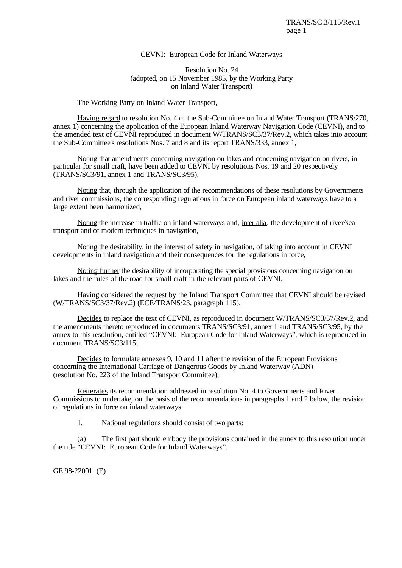#### CEVNI: European Code for Inland Waterways

#### Resolution No. 24 (adopted, on 15 November 1985, by the Working Party on Inland Water Transport)

#### The Working Party on Inland Water Transport,

Having regard to resolution No. 4 of the Sub-Committee on Inland Water Transport (TRANS/270, annex 1) concerning the application of the European Inland Waterway Navigation Code (CEVNI), and to the amended text of CEVNI reproduced in document W/TRANS/SC3/37/Rev.2, which takes into account the Sub-Committee's resolutions Nos. 7 and 8 and its report TRANS/333, annex 1,

Noting that amendments concerning navigation on lakes and concerning navigation on rivers, in particular for small craft, have been added to CEVNI by resolutions Nos. 19 and 20 respectively (TRANS/SC3/91, annex 1 and TRANS/SC3/95),

Noting that, through the application of the recommendations of these resolutions by Governments and river commissions, the corresponding regulations in force on European inland waterways have to a large extent been harmonized,

Noting the increase in traffic on inland waterways and, inter alia, the development of river/sea transport and of modern techniques in navigation,

Noting the desirability, in the interest of safety in navigation, of taking into account in CEVNI developments in inland navigation and their consequences for the regulations in force,

Noting further the desirability of incorporating the special provisions concerning navigation on lakes and the rules of the road for small craft in the relevant parts of CEVNI,

Having considered the request by the Inland Transport Committee that CEVNI should be revised (W/TRANS/SC3/37/Rev.2) (ECE/TRANS/23, paragraph 115),

Decides to replace the text of CEVNI, as reproduced in document W/TRANS/SC3/37/Rev.2, and the amendments thereto reproduced in documents TRANS/SC3/91, annex 1 and TRANS/SC3/95, by the annex to this resolution, entitled "CEVNI: European Code for Inland Waterways", which is reproduced in document TRANS/SC3/115;

Decides to formulate annexes 9, 10 and 11 after the revision of the European Provisions concerning the International Carriage of Dangerous Goods by Inland Waterway (ADN) (resolution No. 223 of the Inland Transport Committee);

Reiterates its recommendation addressed in resolution No. 4 to Governments and River Commissions to undertake, on the basis of the recommendations in paragraphs 1 and 2 below, the revision of regulations in force on inland waterways:

1. National regulations should consist of two parts:

(a) The first part should embody the provisions contained in the annex to this resolution under the title "CEVNI: European Code for Inland Waterways".

GE.98-22001 (E)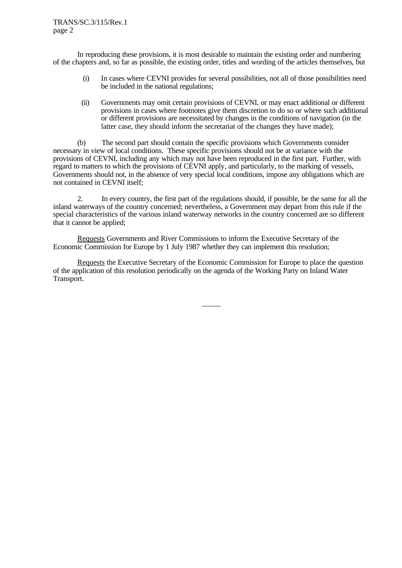In reproducing these provisions, it is most desirable to maintain the existing order and numbering of the chapters and, so far as possible, the existing order, titles and wording of the articles themselves, but

- (i) In cases where CEVNI provides for several possibilities, not all of those possibilities need be included in the national regulations;
- (ii) Governments may omit certain provisions of CEVNI, or may enact additional or different provisions in cases where footnotes give them discretion to do so or where such additional or different provisions are necessitated by changes in the conditions of navigation (in the latter case, they should inform the secretariat of the changes they have made);

(b) The second part should contain the specific provisions which Governments consider necessary in view of local conditions. These specific provisions should not be at variance with the provisions of CEVNI, including any which may not have been reproduced in the first part. Further, with regard to matters to which the provisions of CEVNI apply, and particularly, to the marking of vessels, Governments should not, in the absence of very special local conditions, impose any obligations which are not contained in CEVNI itself;

2. In every country, the first part of the regulations should, if possible, be the same for all the inland waterways of the country concerned; nevertheless, a Government may depart from this rule if the special characteristics of the various inland waterway networks in the country concerned are so different that it cannot be applied;

Requests Governments and River Commissions to inform the Executive Secretary of the Economic Commission for Europe by 1 July 1987 whether they can implement this resolution;

Requests the Executive Secretary of the Economic Commission for Europe to place the question of the application of this resolution periodically on the agenda of the Working Party on Inland Water Transport.

 $\overline{a}$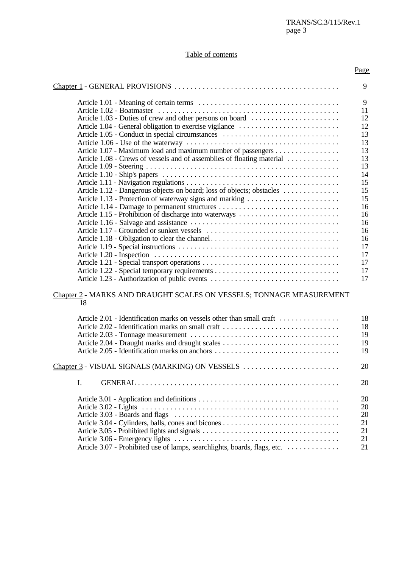# Table of contents

|                                                                                                                                                                                | Page                       |
|--------------------------------------------------------------------------------------------------------------------------------------------------------------------------------|----------------------------|
|                                                                                                                                                                                | 9                          |
|                                                                                                                                                                                | 9                          |
|                                                                                                                                                                                | 11                         |
| Article 1.03 - Duties of crew and other persons on board                                                                                                                       | 12                         |
| Article 1.04 - General obligation to exercise vigilance                                                                                                                        | 12                         |
| Article 1.05 - Conduct in special circumstances                                                                                                                                | 13                         |
|                                                                                                                                                                                | 13                         |
| Article 1.07 - Maximum load and maximum number of passengers                                                                                                                   | 13                         |
| Article 1.08 - Crews of vessels and of assemblies of floating material                                                                                                         | 13                         |
|                                                                                                                                                                                | 13                         |
|                                                                                                                                                                                | 14                         |
|                                                                                                                                                                                | 15                         |
| Article 1.12 - Dangerous objects on board; loss of objects; obstacles                                                                                                          | 15                         |
| Article 1.13 - Protection of waterway signs and marking                                                                                                                        | 15                         |
|                                                                                                                                                                                | 16                         |
| Article 1.15 - Prohibition of discharge into waterways                                                                                                                         | 16                         |
|                                                                                                                                                                                | 16                         |
|                                                                                                                                                                                | 16                         |
|                                                                                                                                                                                | 16                         |
|                                                                                                                                                                                | 17                         |
| Article $1.20$ - Inspection $\dots \dots \dots \dots \dots \dots \dots \dots \dots \dots \dots \dots \dots \dots \dots$                                                        | 17                         |
|                                                                                                                                                                                | 17                         |
|                                                                                                                                                                                | 17                         |
| Article 1.23 - Authorization of public events                                                                                                                                  | 17                         |
| Chapter 2 - MARKS AND DRAUGHT SCALES ON VESSELS; TONNAGE MEASUREMENT<br>18                                                                                                     |                            |
| Article 2.01 - Identification marks on vessels other than small craft<br>Article 2.02 - Identification marks on small craft<br>$\Lambda$ is $1.2 \Omega$ T concern measurement | 18<br>18<br>1 <sub>0</sub> |

| <u>Rechthromon many on vollow other than limit craft weeks weeks</u>      |    |
|---------------------------------------------------------------------------|----|
| Article 2.02 - Identification marks on small craft                        | 18 |
|                                                                           | 19 |
|                                                                           | 19 |
| Article 2.05 - Identification marks on anchors                            | 19 |
|                                                                           |    |
| Chapter 3 - VISUAL SIGNALS (MARKING) ON VESSELS                           | 20 |
|                                                                           |    |
|                                                                           | 20 |
|                                                                           |    |
|                                                                           | 20 |
|                                                                           | 20 |
|                                                                           | 20 |
|                                                                           | 21 |
|                                                                           | 21 |
|                                                                           | 21 |
|                                                                           |    |
| Article 3.07 - Prohibited use of lamps, searchlights, boards, flags, etc. | 21 |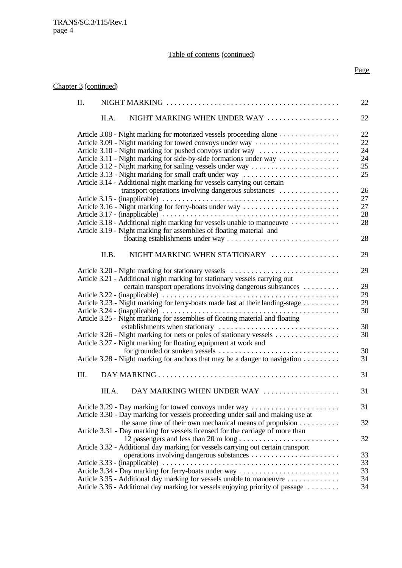# Page

| Chapter 3 (continued) |                                                                                                                                                           |    |
|-----------------------|-----------------------------------------------------------------------------------------------------------------------------------------------------------|----|
| II.                   |                                                                                                                                                           | 22 |
|                       | NIGHT MARKING WHEN UNDER WAY<br>II.A.                                                                                                                     | 22 |
|                       | Article 3.08 - Night marking for motorized vessels proceeding alone                                                                                       | 22 |
|                       | Article 3.09 - Night marking for towed convoys under way                                                                                                  | 22 |
|                       | Article 3.10 - Night marking for pushed convoys under way                                                                                                 | 24 |
|                       | Article 3.11 - Night marking for side-by-side formations under way                                                                                        | 24 |
|                       | Article 3.12 - Night marking for sailing vessels under way                                                                                                | 25 |
|                       | Article 3.13 - Night marking for small craft under way                                                                                                    | 25 |
|                       | Article 3.14 - Additional night marking for vessels carrying out certain                                                                                  |    |
|                       | transport operations involving dangerous substances                                                                                                       | 26 |
|                       |                                                                                                                                                           | 27 |
|                       |                                                                                                                                                           | 27 |
|                       | Article 3.16 - Night marking for ferry-boats under way                                                                                                    | 28 |
|                       | Article 3.18 - Additional night marking for vessels unable to manoeuvre                                                                                   | 28 |
|                       | Article 3.19 - Night marking for assemblies of floating material and                                                                                      |    |
|                       |                                                                                                                                                           | 28 |
|                       | NIGHT MARKING WHEN STATIONARY<br>II.B.                                                                                                                    | 29 |
|                       | Article 3.20 - Night marking for stationary vessels                                                                                                       | 29 |
|                       | Article 3.21 - Additional night marking for stationary vessels carrying out                                                                               | 29 |
|                       | certain transport operations involving dangerous substances                                                                                               |    |
|                       |                                                                                                                                                           | 29 |
|                       | Article 3.23 - Night marking for ferry-boats made fast at their landing-stage                                                                             | 29 |
|                       | Article 3.25 - Night marking for assemblies of floating material and floating                                                                             | 30 |
|                       |                                                                                                                                                           | 30 |
|                       |                                                                                                                                                           | 30 |
|                       | Article 3.26 - Night marking for nets or poles of stationary vessels<br>Article 3.27 - Night marking for floating equipment at work and                   |    |
|                       |                                                                                                                                                           | 30 |
|                       | Article 3.28 - Night marking for anchors that may be a danger to navigation                                                                               | 31 |
| III.                  |                                                                                                                                                           | 31 |
|                       | DAY MARKING WHEN UNDER WAY<br>III.A.                                                                                                                      | 31 |
|                       | Article 3.29 - Day marking for towed convoys under way                                                                                                    | 31 |
|                       | Article 3.30 - Day marking for vessels proceeding under sail and making use at<br>the same time of their own mechanical means of propulsion $\dots \dots$ | 32 |
|                       | Article 3.31 - Day marking for vessels licensed for the carriage of more than                                                                             | 32 |
|                       | Article 3.32 - Additional day marking for vessels carrying out certain transport                                                                          |    |
|                       |                                                                                                                                                           | 33 |
|                       |                                                                                                                                                           | 33 |
|                       | Article 3.34 - Day marking for ferry-boats under way                                                                                                      | 33 |
|                       | Article 3.35 - Additional day marking for vessels unable to manoeuvre                                                                                     | 34 |
|                       | Article 3.36 - Additional day marking for vessels enjoying priority of passage                                                                            | 34 |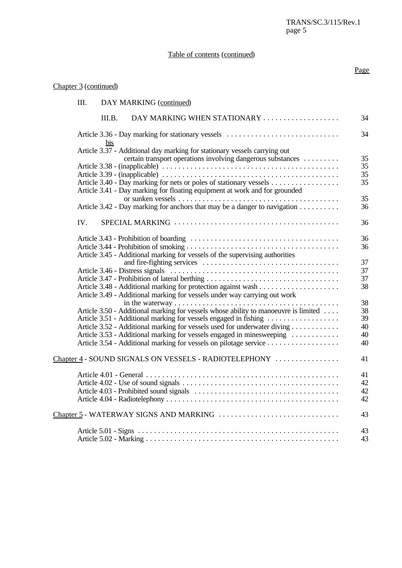# Page

# Chapter 3 (continued)

| III. |        | DAY MARKING (continued)                                                                                                                          |    |
|------|--------|--------------------------------------------------------------------------------------------------------------------------------------------------|----|
|      | III.B. | DAY MARKING WHEN STATIONARY                                                                                                                      | 34 |
|      | bis    | Article 3.36 - Day marking for stationary vessels                                                                                                | 34 |
|      |        | Article 3.37 - Additional day marking for stationary vessels carrying out                                                                        |    |
|      |        | certain transport operations involving dangerous substances                                                                                      | 35 |
|      |        |                                                                                                                                                  | 35 |
|      |        |                                                                                                                                                  | 35 |
|      |        | Article 3.40 - Day marking for nets or poles of stationary vessels<br>Article 3.41 - Day marking for floating equipment at work and for grounded | 35 |
|      |        |                                                                                                                                                  | 35 |
|      |        | Article 3.42 - Day marking for anchors that may be a danger to navigation                                                                        | 36 |
| IV.  |        |                                                                                                                                                  | 36 |
|      |        |                                                                                                                                                  | 36 |
|      |        |                                                                                                                                                  | 36 |
|      |        | Article 3.45 - Additional marking for vessels of the supervising authorities                                                                     | 37 |
|      |        |                                                                                                                                                  | 37 |
|      |        |                                                                                                                                                  | 37 |
|      |        |                                                                                                                                                  | 38 |
|      |        | Article 3.49 - Additional marking for vessels under way carrying out work                                                                        | 38 |
|      |        | Article 3.50 - Additional marking for vessels whose ability to manoeuvre is limited                                                              | 38 |
|      |        | Article 3.51 - Additional marking for vessels engaged in fishing                                                                                 | 39 |
|      |        | Article 3.52 - Additional marking for vessels used for underwater diving                                                                         | 40 |
|      |        | Article 3.53 - Additional marking for vessels engaged in minesweeping                                                                            | 40 |
|      |        |                                                                                                                                                  | 40 |
|      |        |                                                                                                                                                  |    |
|      |        | Chapter 4 - SOUND SIGNALS ON VESSELS - RADIOTELEPHONY                                                                                            | 41 |
|      |        |                                                                                                                                                  | 41 |
|      |        |                                                                                                                                                  | 42 |
|      |        |                                                                                                                                                  | 42 |
|      |        |                                                                                                                                                  | 42 |
|      |        |                                                                                                                                                  | 43 |
|      |        | Article 5.01 - Signs $\dots \dots \dots \dots \dots \dots \dots \dots \dots \dots \dots \dots \dots \dots \dots \dots \dots$                     | 43 |
|      |        |                                                                                                                                                  | 43 |
|      |        |                                                                                                                                                  |    |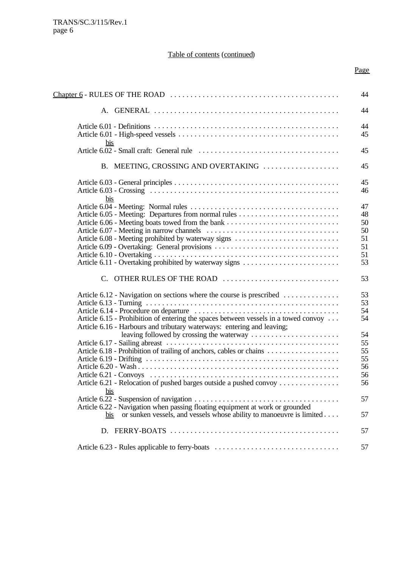# Page

|                                                                                                                                   | 44 |
|-----------------------------------------------------------------------------------------------------------------------------------|----|
|                                                                                                                                   |    |
|                                                                                                                                   | 44 |
|                                                                                                                                   |    |
|                                                                                                                                   | 44 |
|                                                                                                                                   | 45 |
| bis                                                                                                                               |    |
|                                                                                                                                   | 45 |
| B. MEETING, CROSSING AND OVERTAKING                                                                                               | 45 |
|                                                                                                                                   | 45 |
|                                                                                                                                   | 46 |
| bis                                                                                                                               |    |
|                                                                                                                                   | 47 |
| Article 6.05 - Meeting: Departures from normal rules                                                                              | 48 |
|                                                                                                                                   | 50 |
|                                                                                                                                   | 50 |
| Article 6.08 - Meeting prohibited by waterway signs                                                                               | 51 |
| Article 6.09 - Overtaking: General provisions                                                                                     | 51 |
|                                                                                                                                   | 51 |
|                                                                                                                                   | 53 |
| C. OTHER RULES OF THE ROAD                                                                                                        | 53 |
| Article 6.12 - Navigation on sections where the course is prescribed                                                              | 53 |
|                                                                                                                                   | 53 |
|                                                                                                                                   | 54 |
| Article $6.15$ - Prohibition of entering the spaces between vessels in a towed convoy $\dots$                                     | 54 |
| Article 6.16 - Harbours and tributary waterways: entering and leaving;                                                            |    |
|                                                                                                                                   | 54 |
|                                                                                                                                   | 55 |
|                                                                                                                                   | 55 |
| Article $6.19$ - Drifting $\dots \dots \dots \dots \dots \dots \dots \dots \dots \dots \dots \dots \dots \dots \dots \dots \dots$ | 55 |
|                                                                                                                                   | 56 |
|                                                                                                                                   | 56 |
| Article 6.21 - Relocation of pushed barges outside a pushed convoy                                                                | 56 |
| <u>DIS</u>                                                                                                                        |    |
|                                                                                                                                   | 57 |
| Article 6.22 - Navigation when passing floating equipment at work or grounded                                                     |    |
| or sunken vessels, and vessels whose ability to manoeuvre is limited<br>bis                                                       | 57 |
|                                                                                                                                   | 57 |
| Article 6.23 - Rules applicable to ferry-boats                                                                                    | 57 |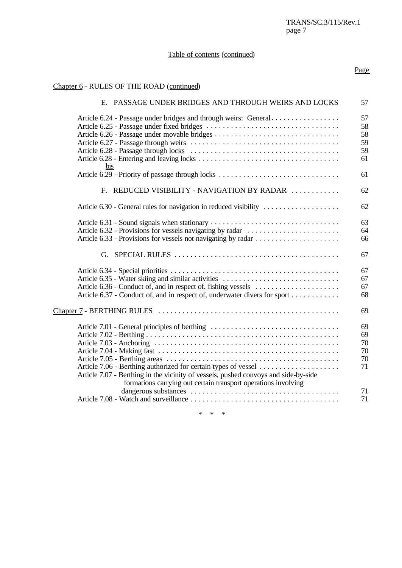Page

# Table of contents (continued)

# Chapter 6 - RULES OF THE ROAD (continued)

| E. PASSAGE UNDER BRIDGES AND THROUGH WEIRS AND LOCKS                                                                                                                                                                                                                     | 57                                           |
|--------------------------------------------------------------------------------------------------------------------------------------------------------------------------------------------------------------------------------------------------------------------------|----------------------------------------------|
| Article 6.24 - Passage under bridges and through weirs: General<br>bis                                                                                                                                                                                                   | 57<br>58<br>58<br>59<br>59<br>61<br>61       |
| F. REDUCED VISIBILITY - NAVIGATION BY RADAR                                                                                                                                                                                                                              | 62                                           |
| Article 6.30 - General rules for navigation in reduced visibility                                                                                                                                                                                                        | 62                                           |
| Article 6.31 - Sound signals when stationary<br>Article 6.32 - Provisions for vessels navigating by radar                                                                                                                                                                | 63<br>64<br>66                               |
|                                                                                                                                                                                                                                                                          | 67                                           |
| Article 6.35 - Water skiing and similar activities<br>Article 6.36 - Conduct of, and in respect of, fishing vessels<br>Article 6.37 - Conduct of, and in respect of, underwater divers for sport                                                                         | 67<br>67<br>67<br>68                         |
|                                                                                                                                                                                                                                                                          | 69                                           |
| Article 7.01 - General principles of berthing<br>Article 7.06 - Berthing authorized for certain types of vessel<br>Article 7.07 - Berthing in the vicinity of vessels, pushed convoys and side-by-side<br>formations carrying out certain transport operations involving | 69<br>69<br>70<br>70<br>70<br>71<br>71<br>71 |
|                                                                                                                                                                                                                                                                          |                                              |

\* \* \*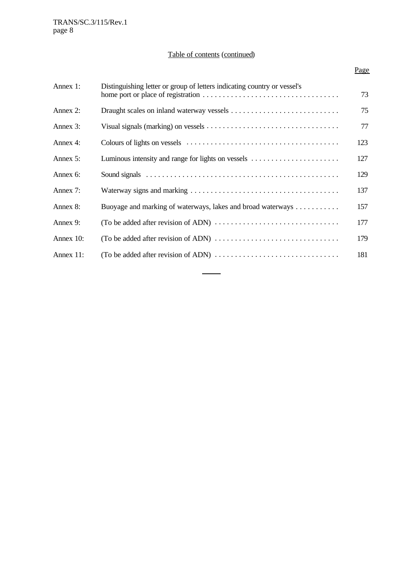| ٧ |
|---|

| Annex 1:     | Distinguishing letter or group of letters indicating country or vessel's                          | 73  |
|--------------|---------------------------------------------------------------------------------------------------|-----|
| Annex 2:     |                                                                                                   | 75  |
| Annex 3:     |                                                                                                   | 77  |
| Annex 4:     |                                                                                                   | 123 |
| Annex 5:     | Luminous intensity and range for lights on vessels $\dots \dots \dots \dots \dots \dots$          | 127 |
| Annex 6:     |                                                                                                   | 129 |
| Annex 7:     |                                                                                                   | 137 |
| Annex 8:     | Buoyage and marking of waterways, lakes and broad waterways                                       | 157 |
| Annex 9:     |                                                                                                   | 177 |
| Annex 10:    |                                                                                                   | 179 |
| Annex $11$ : | (To be added after revision of ADN) $\dots \dots \dots \dots \dots \dots \dots \dots \dots \dots$ | 181 |

 $\overline{a}$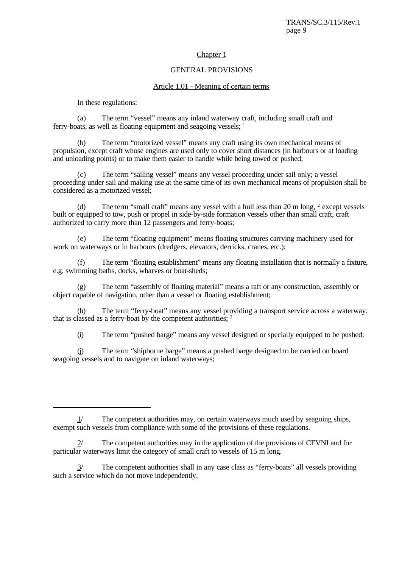TRANS/SC.3/115/Rev.1 page 9

#### Chapter 1

#### GENERAL PROVISIONS

#### Article 1.01 - Meaning of certain terms

In these regulations:

(a) The term "vessel" means any inland waterway craft, including small craft and ferry-boats, as well as floating equipment and seagoing vessels; <sup>1</sup>

(b) The term "motorized vessel" means any craft using its own mechanical means of propulsion, except craft whose engines are used only to cover short distances (in harbours or at loading and unloading points) or to make them easier to handle while being towed or pushed;

(c) The term "sailing vessel" means any vessel proceeding under sail only; a vessel proceeding under sail and making use at the same time of its own mechanical means of propulsion shall be considered as a motorized vessel;

(d) The term "small craft" means any vessel with a hull less than 20 m long, <sup>2</sup> except vessels built or equipped to tow, push or propel in side-by-side formation vessels other than small craft, craft authorized to carry more than 12 passengers and ferry-boats;

(e) The term "floating equipment" means floating structures carrying machinery used for work on waterways or in harbours (dredgers, elevators, derricks, cranes, etc.);

(f) The term "floating establishment" means any floating installation that is normally a fixture, e.g. swimming baths, docks, wharves or boat-sheds;

(g) The term "assembly of floating material" means a raft or any construction, assembly or object capable of navigation, other than a vessel or floating establishment;

(h) The term "ferry-boat" means any vessel providing a transport service across a waterway, that is classed as a ferry-boat by the competent authorities; <sup>3</sup>

(i) The term "pushed barge" means any vessel designed or specially equipped to be pushed;

(j) The term "shipborne barge" means a pushed barge designed to be carried on board seagoing vessels and to navigate on inland waterways;

3/ The competent authorities shall in any case class as "ferry-boats" all vessels providing such a service which do not move independently.

 $1/$  The competent authorities may, on certain waterways much used by seagoing ships, exempt such vessels from compliance with some of the provisions of these regulations.

<sup>2/</sup> The competent authorities may in the application of the provisions of CEVNI and for particular waterways limit the category of small craft to vessels of 15 m long.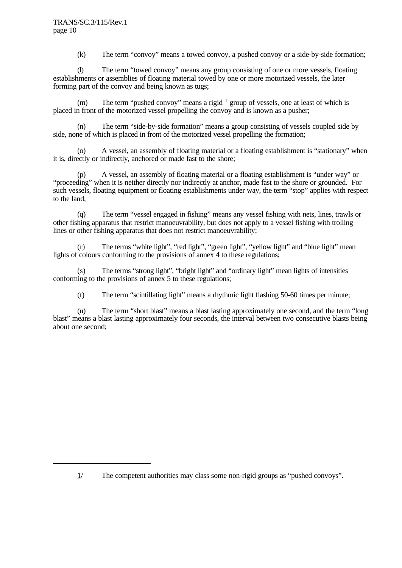(k) The term "convoy" means a towed convoy, a pushed convoy or a side-by-side formation;

(l) The term "towed convoy" means any group consisting of one or more vessels, floating establishments or assemblies of floating material towed by one or more motorized vessels, the later forming part of the convoy and being known as tugs;

 $(m)$  The term "pushed convoy" means a rigid  $\frac{1}{2}$  group of vessels, one at least of which is placed in front of the motorized vessel propelling the convoy and is known as a pusher;

(n) The term "side-by-side formation" means a group consisting of vessels coupled side by side, none of which is placed in front of the motorized vessel propelling the formation;

(o) A vessel, an assembly of floating material or a floating establishment is "stationary" when it is, directly or indirectly, anchored or made fast to the shore;

(p) A vessel, an assembly of floating material or a floating establishment is "under way" or "proceeding" when it is neither directly nor indirectly at anchor, made fast to the shore or grounded. For such vessels, floating equipment or floating establishments under way, the term "stop" applies with respect to the land;

(q) The term "vessel engaged in fishing" means any vessel fishing with nets, lines, trawls or other fishing apparatus that restrict manoeuvrability, but does not apply to a vessel fishing with trolling lines or other fishing apparatus that does not restrict manoeuvrability;

(r) The terms "white light", "red light", "green light", "yellow light" and "blue light" mean lights of colours conforming to the provisions of annex 4 to these regulations;

(s) The terms "strong light", "bright light" and "ordinary light" mean lights of intensities conforming to the provisions of annex 5 to these regulations;

(t) The term "scintillating light" means a rhythmic light flashing 50-60 times per minute;

(u) The term "short blast" means a blast lasting approximately one second, and the term "long blast" means a blast lasting approximately four seconds, the interval between two consecutive blasts being about one second;

1/ The competent authorities may class some non-rigid groups as "pushed convoys".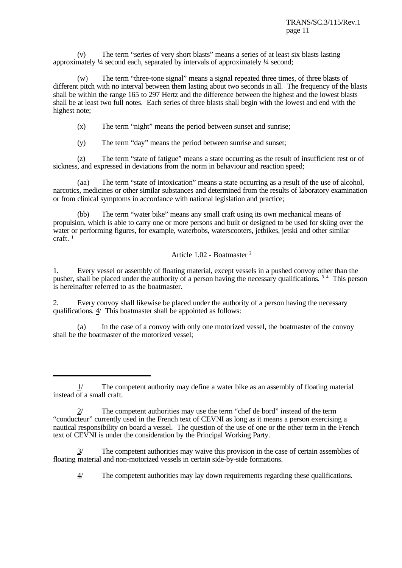(v) The term "series of very short blasts" means a series of at least six blasts lasting approximately ¼ second each, separated by intervals of approximately ¼ second;

(w) The term "three-tone signal" means a signal repeated three times, of three blasts of different pitch with no interval between them lasting about two seconds in all. The frequency of the blasts shall be within the range 165 to 297 Hertz and the difference between the highest and the lowest blasts shall be at least two full notes. Each series of three blasts shall begin with the lowest and end with the highest note;

(x) The term "night" means the period between sunset and sunrise;

(y) The term "day" means the period between sunrise and sunset;

(z) The term "state of fatigue" means a state occurring as the result of insufficient rest or of sickness, and expressed in deviations from the norm in behaviour and reaction speed;

(aa) The term "state of intoxication" means a state occurring as a result of the use of alcohol, narcotics, medicines or other similar substances and determined from the results of laboratory examination or from clinical symptoms in accordance with national legislation and practice;

(bb) The term "water bike" means any small craft using its own mechanical means of propulsion, which is able to carry one or more persons and built or designed to be used for skiing over the water or performing figures, for example, waterbobs, waterscooters, jetbikes, jetski and other similar craft.  $1$ 

# Article 1.02 - Boatmaster <sup>2</sup>

1. Every vessel or assembly of floating material, except vessels in a pushed convoy other than the pusher, shall be placed under the authority of a person having the necessary qualifications.<sup>34</sup> This person is hereinafter referred to as the boatmaster.

2. Every convoy shall likewise be placed under the authority of a person having the necessary qualifications. 4/ This boatmaster shall be appointed as follows:

(a) In the case of a convoy with only one motorized vessel, the boatmaster of the convoy shall be the boatmaster of the motorized vessel;

The competent authorities may waive this provision in the case of certain assemblies of floating material and non-motorized vessels in certain side-by-side formations.

4/ The competent authorities may lay down requirements regarding these qualifications.

 $1/$  The competent authority may define a water bike as an assembly of floating material instead of a small craft.

<sup>2/</sup> The competent authorities may use the term "chef de bord" instead of the term "conducteur" currently used in the French text of CEVNI as long as it means a person exercising a nautical responsibility on board a vessel. The question of the use of one or the other term in the French text of CEVNI is under the consideration by the Principal Working Party.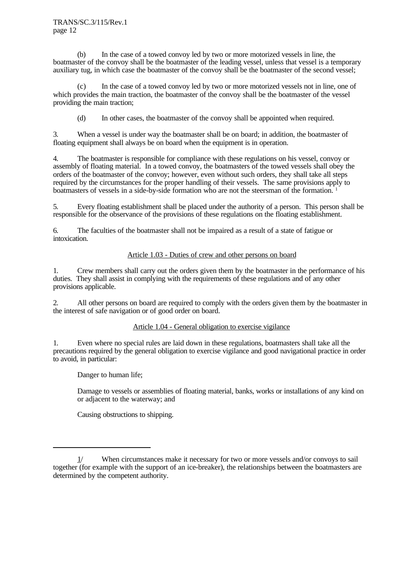TRANS/SC.3/115/Rev.1 page 12

(b) In the case of a towed convoy led by two or more motorized vessels in line, the boatmaster of the convoy shall be the boatmaster of the leading vessel, unless that vessel is a temporary auxiliary tug, in which case the boatmaster of the convoy shall be the boatmaster of the second vessel;

(c) In the case of a towed convoy led by two or more motorized vessels not in line, one of which provides the main traction, the boatmaster of the convoy shall be the boatmaster of the vessel providing the main traction;

(d) In other cases, the boatmaster of the convoy shall be appointed when required.

3. When a vessel is under way the boatmaster shall be on board; in addition, the boatmaster of floating equipment shall always be on board when the equipment is in operation.

4. The boatmaster is responsible for compliance with these regulations on his vessel, convoy or assembly of floating material. In a towed convoy, the boatmasters of the towed vessels shall obey the orders of the boatmaster of the convoy; however, even without such orders, they shall take all steps required by the circumstances for the proper handling of their vessels. The same provisions apply to boatmasters of vessels in a side-by-side formation who are not the steersman of the formation.

5. Every floating establishment shall be placed under the authority of a person. This person shall be responsible for the observance of the provisions of these regulations on the floating establishment.

6. The faculties of the boatmaster shall not be impaired as a result of a state of fatigue or intoxication.

#### Article 1.03 - Duties of crew and other persons on board

1. Crew members shall carry out the orders given them by the boatmaster in the performance of his duties. They shall assist in complying with the requirements of these regulations and of any other provisions applicable.

2. All other persons on board are required to comply with the orders given them by the boatmaster in the interest of safe navigation or of good order on board.

#### Article 1.04 - General obligation to exercise vigilance

1. Even where no special rules are laid down in these regulations, boatmasters shall take all the precautions required by the general obligation to exercise vigilance and good navigational practice in order to avoid, in particular:

Danger to human life;

Damage to vessels or assemblies of floating material, banks, works or installations of any kind on or adjacent to the waterway; and

Causing obstructions to shipping.

<sup>1/</sup> When circumstances make it necessary for two or more vessels and/or convoys to sail together (for example with the support of an ice-breaker), the relationships between the boatmasters are determined by the competent authority.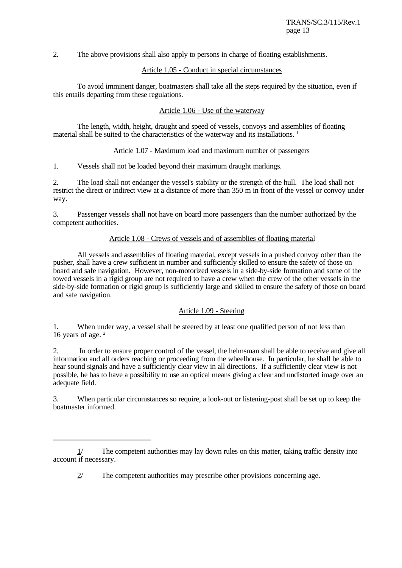2. The above provisions shall also apply to persons in charge of floating establishments.

### Article 1.05 - Conduct in special circumstances

To avoid imminent danger, boatmasters shall take all the steps required by the situation, even if this entails departing from these regulations.

# Article 1.06 - Use of the waterway

The length, width, height, draught and speed of vessels, convoys and assemblies of floating material shall be suited to the characteristics of the waterway and its installations.<sup>1</sup>

# Article 1.07 - Maximum load and maximum number of passengers

1. Vessels shall not be loaded beyond their maximum draught markings.

2. The load shall not endanger the vessel's stability or the strength of the hull. The load shall not restrict the direct or indirect view at a distance of more than 350 m in front of the vessel or convoy under way.

3. Passenger vessels shall not have on board more passengers than the number authorized by the competent authorities.

# Article 1.08 - Crews of vessels and of assemblies of floating material

All vessels and assemblies of floating material, except vessels in a pushed convoy other than the pusher, shall have a crew sufficient in number and sufficiently skilled to ensure the safety of those on board and safe navigation. However, non-motorized vessels in a side-by-side formation and some of the towed vessels in a rigid group are not required to have a crew when the crew of the other vessels in the side-by-side formation or rigid group is sufficiently large and skilled to ensure the safety of those on board and safe navigation.

# Article 1.09 - Steering

1. When under way, a vessel shall be steered by at least one qualified person of not less than 16 years of age. <sup>2</sup>

2. In order to ensure proper control of the vessel, the helmsman shall be able to receive and give all information and all orders reaching or proceeding from the wheelhouse. In particular, he shall be able to hear sound signals and have a sufficiently clear view in all directions. If a sufficiently clear view is not possible, he has to have a possibility to use an optical means giving a clear and undistorted image over an adequate field.

3. When particular circumstances so require, a look-out or listening-post shall be set up to keep the boatmaster informed.

 $1/$  The competent authorities may lay down rules on this matter, taking traffic density into account if necessary.

 $2$  The competent authorities may prescribe other provisions concerning age.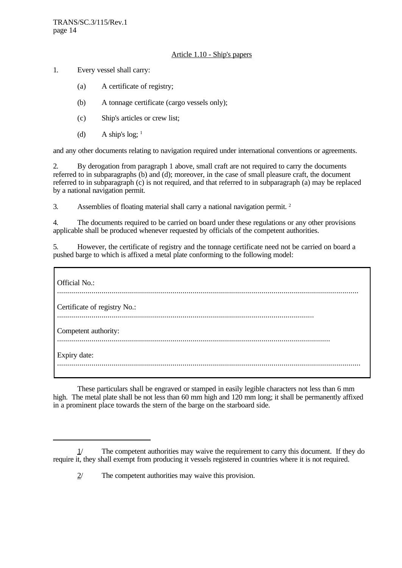# Article 1.10 - Ship's papers

- 1. Every vessel shall carry:
	- (a) A certificate of registry;
	- (b) A tonnage certificate (cargo vessels only);
	- (c) Ship's articles or crew list;
	- (d) A ship's  $log: 1$

and any other documents relating to navigation required under international conventions or agreements.

2. By derogation from paragraph 1 above, small craft are not required to carry the documents referred to in subparagraphs (b) and (d); moreover, in the case of small pleasure craft, the document referred to in subparagraph (c) is not required, and that referred to in subparagraph (a) may be replaced by a national navigation permit.

3. Assemblies of floating material shall carry a national navigation permit. <sup>2</sup>

4. The documents required to be carried on board under these regulations or any other provisions applicable shall be produced whenever requested by officials of the competent authorities.

5. However, the certificate of registry and the tonnage certificate need not be carried on board a pushed barge to which is affixed a metal plate conforming to the following model:

| Official No.:                |  |
|------------------------------|--|
| Certificate of registry No.: |  |
| Competent authority:<br>.    |  |
| Expiry date:                 |  |

These particulars shall be engraved or stamped in easily legible characters not less than 6 mm high. The metal plate shall be not less than 60 mm high and 120 mm long; it shall be permanently affixed in a prominent place towards the stern of the barge on the starboard side.

 $1/$  The competent authorities may waive the requirement to carry this document. If they do require it, they shall exempt from producing it vessels registered in countries where it is not required.

<sup>2/</sup> The competent authorities may waive this provision.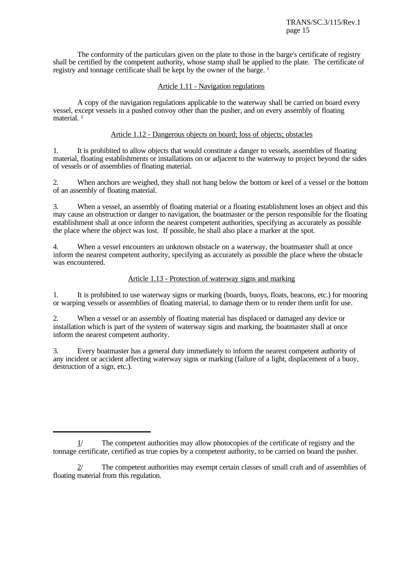The conformity of the particulars given on the plate to those in the barge's certificate of registry shall be certified by the competent authority, whose stamp shall be applied to the plate. The certificate of registry and tonnage certificate shall be kept by the owner of the barge.<sup>1</sup>

# Article 1.11 - Navigation regulations

A copy of the navigation regulations applicable to the waterway shall be carried on board every vessel, except vessels in a pushed convoy other than the pusher, and on every assembly of floating material.<sup>2</sup>

### Article 1.12 - Dangerous objects on board; loss of objects; obstacles

1. It is prohibited to allow objects that would constitute a danger to vessels, assemblies of floating material, floating establishments or installations on or adjacent to the waterway to project beyond the sides of vessels or of assemblies of floating material.

2. When anchors are weighed, they shall not hang below the bottom or keel of a vessel or the bottom of an assembly of floating material.

3. When a vessel, an assembly of floating material or a floating establishment loses an object and this may cause an obstruction or danger to navigation, the boatmaster or the person responsible for the floating establishment shall at once inform the nearest competent authorities, specifying as accurately as possible the place where the object was lost. If possible, he shall also place a marker at the spot.

4. When a vessel encounters an unknown obstacle on a waterway, the boatmaster shall at once inform the nearest competent authority, specifying as accurately as possible the place where the obstacle was encountered.

# Article 1.13 - Protection of waterway signs and marking

1. It is prohibited to use waterway signs or marking (boards, buoys, floats, beacons, etc.) for mooring or warping vessels or assemblies of floating material, to damage them or to render them unfit for use.

2. When a vessel or an assembly of floating material has displaced or damaged any device or installation which is part of the system of waterway signs and marking, the boatmaster shall at once inform the nearest competent authority.

3. Every boatmaster has a general duty immediately to inform the nearest competent authority of any incident or accident affecting waterway signs or marking (failure of a light, displacement of a buoy, destruction of a sign, etc.).

<sup>1/</sup> The competent authorities may allow photocopies of the certificate of registry and the tonnage certificate, certified as true copies by a competent authority, to be carried on board the pusher.

<sup>2/</sup> The competent authorities may exempt certain classes of small craft and of assemblies of floating material from this regulation.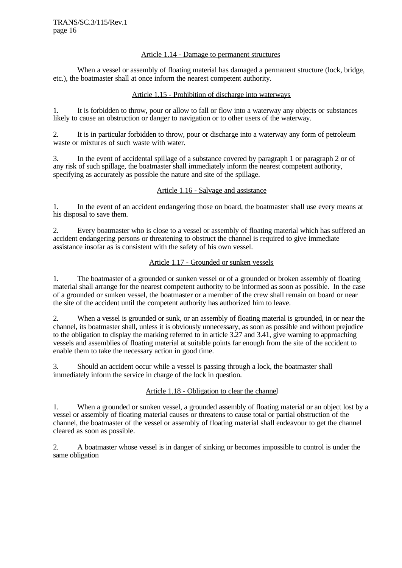### Article 1.14 - Damage to permanent structures

When a vessel or assembly of floating material has damaged a permanent structure (lock, bridge, etc.), the boatmaster shall at once inform the nearest competent authority.

### Article 1.15 - Prohibition of discharge into waterways

1. It is forbidden to throw, pour or allow to fall or flow into a waterway any objects or substances likely to cause an obstruction or danger to navigation or to other users of the waterway.

2. It is in particular forbidden to throw, pour or discharge into a waterway any form of petroleum waste or mixtures of such waste with water.

3. In the event of accidental spillage of a substance covered by paragraph 1 or paragraph 2 or of any risk of such spillage, the boatmaster shall immediately inform the nearest competent authority, specifying as accurately as possible the nature and site of the spillage.

# Article 1.16 - Salvage and assistance

1. In the event of an accident endangering those on board, the boatmaster shall use every means at his disposal to save them.

2. Every boatmaster who is close to a vessel or assembly of floating material which has suffered an accident endangering persons or threatening to obstruct the channel is required to give immediate assistance insofar as is consistent with the safety of his own vessel.

# Article 1.17 - Grounded or sunken vessels

1. The boatmaster of a grounded or sunken vessel or of a grounded or broken assembly of floating material shall arrange for the nearest competent authority to be informed as soon as possible. In the case of a grounded or sunken vessel, the boatmaster or a member of the crew shall remain on board or near the site of the accident until the competent authority has authorized him to leave.

2. When a vessel is grounded or sunk, or an assembly of floating material is grounded, in or near the channel, its boatmaster shall, unless it is obviously unnecessary, as soon as possible and without prejudice to the obligation to display the marking referred to in article 3.27 and 3.41, give warning to approaching vessels and assemblies of floating material at suitable points far enough from the site of the accident to enable them to take the necessary action in good time.

3. Should an accident occur while a vessel is passing through a lock, the boatmaster shall immediately inform the service in charge of the lock in question.

# Article 1.18 - Obligation to clear the channel

1. When a grounded or sunken vessel, a grounded assembly of floating material or an object lost by a vessel or assembly of floating material causes or threatens to cause total or partial obstruction of the channel, the boatmaster of the vessel or assembly of floating material shall endeavour to get the channel cleared as soon as possible.

2. A boatmaster whose vessel is in danger of sinking or becomes impossible to control is under the same obligation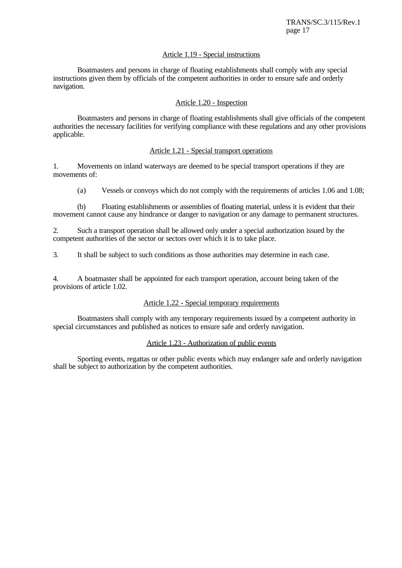TRANS/SC.3/115/Rev.1 page 17

#### Article 1.19 - Special instructions

Boatmasters and persons in charge of floating establishments shall comply with any special instructions given them by officials of the competent authorities in order to ensure safe and orderly navigation.

#### Article 1.20 - Inspection

Boatmasters and persons in charge of floating establishments shall give officials of the competent authorities the necessary facilities for verifying compliance with these regulations and any other provisions applicable.

#### Article 1.21 - Special transport operations

1. Movements on inland waterways are deemed to be special transport operations if they are movements of:

(a) Vessels or convoys which do not comply with the requirements of articles 1.06 and 1.08;

(b) Floating establishments or assemblies of floating material, unless it is evident that their movement cannot cause any hindrance or danger to navigation or any damage to permanent structures.

2. Such a transport operation shall be allowed only under a special authorization issued by the competent authorities of the sector or sectors over which it is to take place.

3. It shall be subject to such conditions as those authorities may determine in each case.

4. A boatmaster shall be appointed for each transport operation, account being taken of the provisions of article 1.02.

#### Article 1.22 - Special temporary requirements

Boatmasters shall comply with any temporary requirements issued by a competent authority in special circumstances and published as notices to ensure safe and orderly navigation.

#### Article 1.23 - Authorization of public events

Sporting events, regattas or other public events which may endanger safe and orderly navigation shall be subject to authorization by the competent authorities.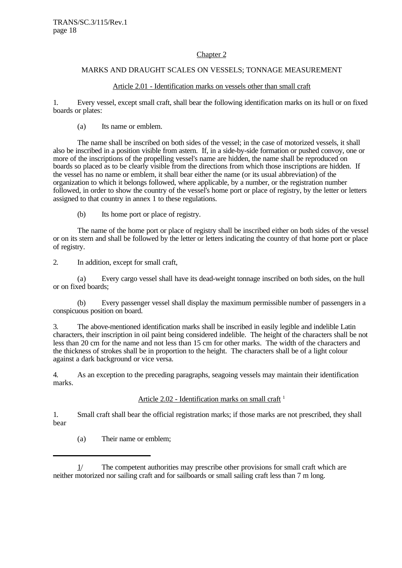# Chapter 2

### MARKS AND DRAUGHT SCALES ON VESSELS; TONNAGE MEASUREMENT

### Article 2.01 - Identification marks on vessels other than small craft

1. Every vessel, except small craft, shall bear the following identification marks on its hull or on fixed boards or plates:

(a) Its name or emblem.

The name shall be inscribed on both sides of the vessel; in the case of motorized vessels, it shall also be inscribed in a position visible from astern. If, in a side-by-side formation or pushed convoy, one or more of the inscriptions of the propelling vessel's name are hidden, the name shall be reproduced on boards so placed as to be clearly visible from the directions from which those inscriptions are hidden. If the vessel has no name or emblem, it shall bear either the name (or its usual abbreviation) of the organization to which it belongs followed, where applicable, by a number, or the registration number followed, in order to show the country of the vessel's home port or place of registry, by the letter or letters assigned to that country in annex 1 to these regulations.

(b) Its home port or place of registry.

The name of the home port or place of registry shall be inscribed either on both sides of the vessel or on its stern and shall be followed by the letter or letters indicating the country of that home port or place of registry.

2. In addition, except for small craft,

(a) Every cargo vessel shall have its dead-weight tonnage inscribed on both sides, on the hull or on fixed boards;

(b) Every passenger vessel shall display the maximum permissible number of passengers in a conspicuous position on board.

3. The above-mentioned identification marks shall be inscribed in easily legible and indelible Latin characters, their inscription in oil paint being considered indelible. The height of the characters shall be not less than 20 cm for the name and not less than 15 cm for other marks. The width of the characters and the thickness of strokes shall be in proportion to the height. The characters shall be of a light colour against a dark background or vice versa.

4. As an exception to the preceding paragraphs, seagoing vessels may maintain their identification marks.

# Article  $2.02$  - Identification marks on small craft<sup>1</sup>

1. Small craft shall bear the official registration marks; if those marks are not prescribed, they shall bear

(a) Their name or emblem;

1/ The competent authorities may prescribe other provisions for small craft which are neither motorized nor sailing craft and for sailboards or small sailing craft less than 7 m long.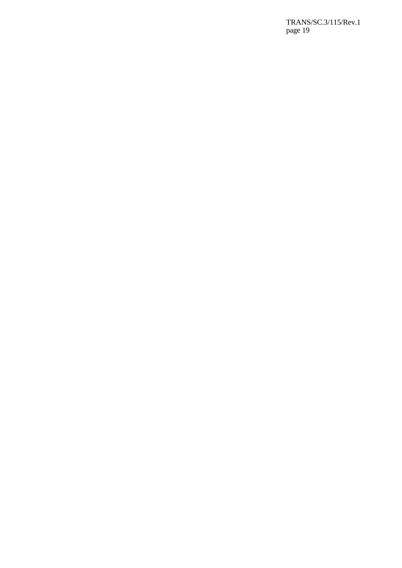TRANS/SC.3/115/Rev.1 page 19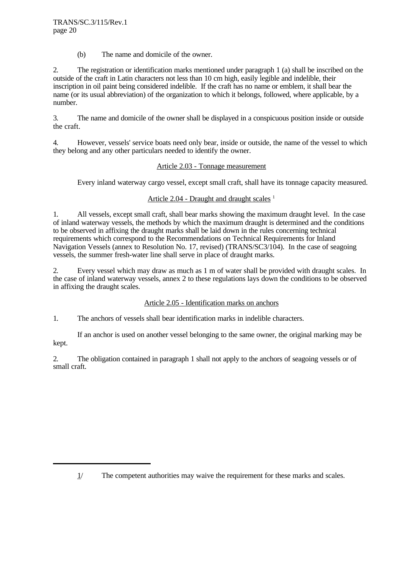(b) The name and domicile of the owner.

2. The registration or identification marks mentioned under paragraph 1 (a) shall be inscribed on the outside of the craft in Latin characters not less than 10 cm high, easily legible and indelible, their inscription in oil paint being considered indelible. If the craft has no name or emblem, it shall bear the name (or its usual abbreviation) of the organization to which it belongs, followed, where applicable, by a number.

3. The name and domicile of the owner shall be displayed in a conspicuous position inside or outside the craft.

4. However, vessels' service boats need only bear, inside or outside, the name of the vessel to which they belong and any other particulars needed to identify the owner.

# Article 2.03 - Tonnage measurement

Every inland waterway cargo vessel, except small craft, shall have its tonnage capacity measured.

# Article 2.04 - Draught and draught scales <sup>1</sup>

1. All vessels, except small craft, shall bear marks showing the maximum draught level. In the case of inland waterway vessels, the methods by which the maximum draught is determined and the conditions to be observed in affixing the draught marks shall be laid down in the rules concerning technical requirements which correspond to the Recommendations on Technical Requirements for Inland Navigation Vessels (annex to Resolution No. 17, revised) (TRANS/SC3/104). In the case of seagoing vessels, the summer fresh-water line shall serve in place of draught marks.

2. Every vessel which may draw as much as 1 m of water shall be provided with draught scales. In the case of inland waterway vessels, annex 2 to these regulations lays down the conditions to be observed in affixing the draught scales.

# Article 2.05 - Identification marks on anchors

1. The anchors of vessels shall bear identification marks in indelible characters.

If an anchor is used on another vessel belonging to the same owner, the original marking may be kept.

2. The obligation contained in paragraph 1 shall not apply to the anchors of seagoing vessels or of small craft.

 $1/$  The competent authorities may waive the requirement for these marks and scales.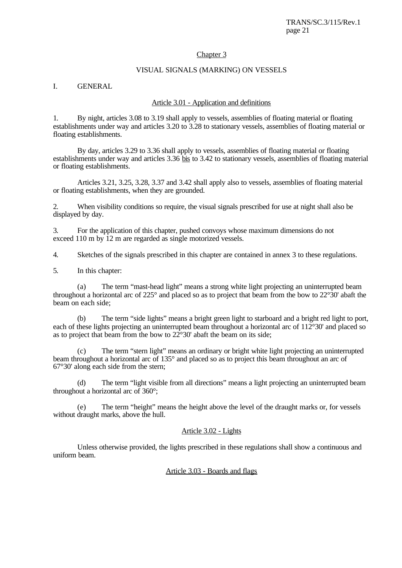#### Chapter 3

### VISUAL SIGNALS (MARKING) ON VESSELS

### I. GENERAL

#### Article 3.01 - Application and definitions

1. By night, articles 3.08 to 3.19 shall apply to vessels, assemblies of floating material or floating establishments under way and articles 3.20 to 3.28 to stationary vessels, assemblies of floating material or floating establishments.

By day, articles 3.29 to 3.36 shall apply to vessels, assemblies of floating material or floating establishments under way and articles 3.36 bis to 3.42 to stationary vessels, assemblies of floating material or floating establishments.

Articles 3.21, 3.25, 3.28, 3.37 and 3.42 shall apply also to vessels, assemblies of floating material or floating establishments, when they are grounded.

When visibility conditions so require, the visual signals prescribed for use at night shall also be displayed by day.

3. For the application of this chapter, pushed convoys whose maximum dimensions do not exceed 110 m by 12 m are regarded as single motorized vessels.

4. Sketches of the signals prescribed in this chapter are contained in annex 3 to these regulations.

5. In this chapter:

(a) The term "mast-head light" means a strong white light projecting an uninterrupted beam throughout a horizontal arc of  $225^{\circ}$  and placed so as to project that beam from the bow to  $22^{\circ}30'$  abaft the beam on each side;

(b) The term "side lights" means a bright green light to starboard and a bright red light to port, each of these lights projecting an uninterrupted beam throughout a horizontal arc of 112°30' and placed so as to project that beam from the bow to 22°30' abaft the beam on its side;

(c) The term "stern light" means an ordinary or bright white light projecting an uninterrupted beam throughout a horizontal arc of 135° and placed so as to project this beam throughout an arc of 67°30' along each side from the stern;

(d) The term "light visible from all directions" means a light projecting an uninterrupted beam throughout a horizontal arc of 360°;

(e) The term "height" means the height above the level of the draught marks or, for vessels without draught marks, above the hull.

#### Article 3.02 - Lights

Unless otherwise provided, the lights prescribed in these regulations shall show a continuous and uniform beam.

Article 3.03 - Boards and flags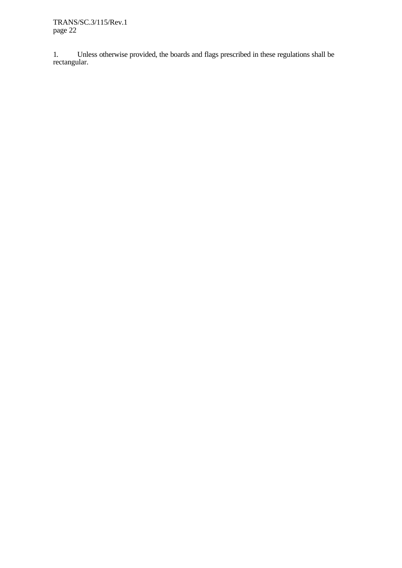TRANS/SC.3/115/Rev.1 page 22

1. Unless otherwise provided, the boards and flags prescribed in these regulations shall be rectangular.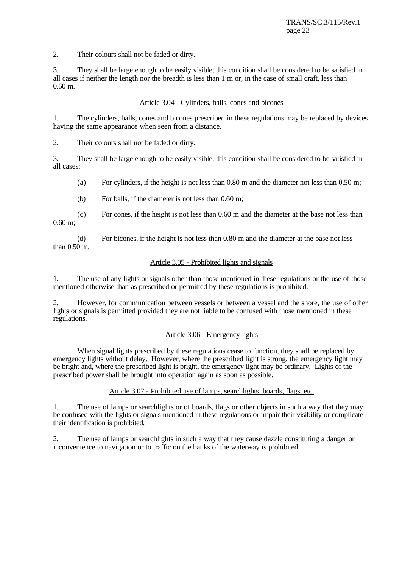2. Their colours shall not be faded or dirty.

3. They shall be large enough to be easily visible; this condition shall be considered to be satisfied in all cases if neither the length nor the breadth is less than 1 m or, in the case of small craft, less than 0.60 m.

#### Article 3.04 - Cylinders, balls, cones and bicones

1. The cylinders, balls, cones and bicones prescribed in these regulations may be replaced by devices having the same appearance when seen from a distance.

2. Their colours shall not be faded or dirty.

3. They shall be large enough to be easily visible; this condition shall be considered to be satisfied in all cases:

- (a) For cylinders, if the height is not less than 0.80 m and the diameter not less than 0.50 m;
- (b) For balls, if the diameter is not less than 0.60 m;

(c) For cones, if the height is not less than 0.60 m and the diameter at the base not less than 0.60 m;

(d) For bicones, if the height is not less than 0.80 m and the diameter at the base not less than 0.50 m.

#### Article 3.05 - Prohibited lights and signals

1. The use of any lights or signals other than those mentioned in these regulations or the use of those mentioned otherwise than as prescribed or permitted by these regulations is prohibited.

2. However, for communication between vessels or between a vessel and the shore, the use of other lights or signals is permitted provided they are not liable to be confused with those mentioned in these regulations.

#### Article 3.06 - Emergency lights

When signal lights prescribed by these regulations cease to function, they shall be replaced by emergency lights without delay. However, where the prescribed light is strong, the emergency light may be bright and, where the prescribed light is bright, the emergency light may be ordinary. Lights of the prescribed power shall be brought into operation again as soon as possible.

#### Article 3.07 - Prohibited use of lamps, searchlights, boards, flags, etc.

1. The use of lamps or searchlights or of boards, flags or other objects in such a way that they may be confused with the lights or signals mentioned in these regulations or impair their visibility or complicate their identification is prohibited.

2. The use of lamps or searchlights in such a way that they cause dazzle constituting a danger or inconvenience to navigation or to traffic on the banks of the waterway is prohibited.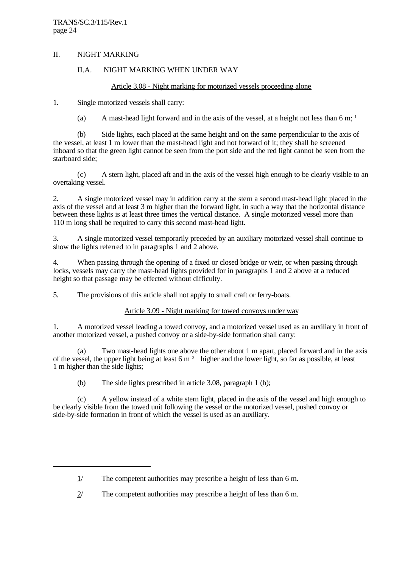### II. NIGHT MARKING

# II.A. NIGHT MARKING WHEN UNDER WAY

#### Article 3.08 - Night marking for motorized vessels proceeding alone

1. Single motorized vessels shall carry:

(a) A mast-head light forward and in the axis of the vessel, at a height not less than 6 m;  $<sup>1</sup>$ </sup>

(b) Side lights, each placed at the same height and on the same perpendicular to the axis of the vessel, at least 1 m lower than the mast-head light and not forward of it; they shall be screened inboard so that the green light cannot be seen from the port side and the red light cannot be seen from the starboard side;

(c) A stern light, placed aft and in the axis of the vessel high enough to be clearly visible to an overtaking vessel.

2. A single motorized vessel may in addition carry at the stern a second mast-head light placed in the axis of the vessel and at least 3 m higher than the forward light, in such a way that the horizontal distance between these lights is at least three times the vertical distance. A single motorized vessel more than 110 m long shall be required to carry this second mast-head light.

3. A single motorized vessel temporarily preceded by an auxiliary motorized vessel shall continue to show the lights referred to in paragraphs 1 and 2 above.

4. When passing through the opening of a fixed or closed bridge or weir, or when passing through locks, vessels may carry the mast-head lights provided for in paragraphs 1 and 2 above at a reduced height so that passage may be effected without difficulty.

5. The provisions of this article shall not apply to small craft or ferry-boats.

# Article 3.09 - Night marking for towed convoys under way

1. A motorized vessel leading a towed convoy, and a motorized vessel used as an auxiliary in front of another motorized vessel, a pushed convoy or a side-by-side formation shall carry:

(a) Two mast-head lights one above the other about 1 m apart, placed forward and in the axis of the vessel, the upper light being at least 6 m<sup>2</sup> higher and the lower light, so far as possible, at least 1 m higher than the side lights;

(b) The side lights prescribed in article 3.08, paragraph 1 (b);

(c) A yellow instead of a white stern light, placed in the axis of the vessel and high enough to be clearly visible from the towed unit following the vessel or the motorized vessel, pushed convoy or side-by-side formation in front of which the vessel is used as an auxiliary.

<sup>1/</sup> The competent authorities may prescribe a height of less than 6 m.

<sup>2/</sup> The competent authorities may prescribe a height of less than 6 m.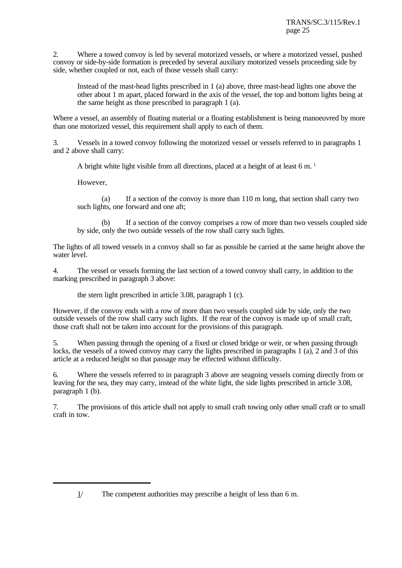2. Where a towed convoy is led by several motorized vessels, or where a motorized vessel, pushed convoy or side-by-side formation is preceded by several auxiliary motorized vessels proceeding side by side, whether coupled or not, each of those vessels shall carry:

Instead of the mast-head lights prescribed in 1 (a) above, three mast-head lights one above the other about 1 m apart, placed forward in the axis of the vessel, the top and bottom lights being at the same height as those prescribed in paragraph 1 (a).

Where a vessel, an assembly of floating material or a floating establishment is being manoeuvred by more than one motorized vessel, this requirement shall apply to each of them.

3. Vessels in a towed convoy following the motorized vessel or vessels referred to in paragraphs 1 and 2 above shall carry:

A bright white light visible from all directions, placed at a height of at least  $6 \text{ m}$ .<sup>1</sup>

However,

(a) If a section of the convoy is more than 110 m long, that section shall carry two such lights, one forward and one aft;

(b) If a section of the convoy comprises a row of more than two vessels coupled side by side, only the two outside vessels of the row shall carry such lights.

The lights of all towed vessels in a convoy shall so far as possible be carried at the same height above the water level.

4. The vessel or vessels forming the last section of a towed convoy shall carry, in addition to the marking prescribed in paragraph 3 above:

the stern light prescribed in article 3.08, paragraph 1 (c).

However, if the convoy ends with a row of more than two vessels coupled side by side, only the two outside vessels of the row shall carry such lights. If the rear of the convoy is made up of small craft, those craft shall not be taken into account for the provisions of this paragraph.

5. When passing through the opening of a fixed or closed bridge or weir, or when passing through locks, the vessels of a towed convoy may carry the lights prescribed in paragraphs 1 (a), 2 and 3 of this article at a reduced height so that passage may be effected without difficulty.

6. Where the vessels referred to in paragraph 3 above are seagoing vessels coming directly from or leaving for the sea, they may carry, instead of the white light, the side lights prescribed in article 3.08, paragraph 1 (b).

7. The provisions of this article shall not apply to small craft towing only other small craft or to small craft in tow.

<sup>1/</sup> The competent authorities may prescribe a height of less than 6 m.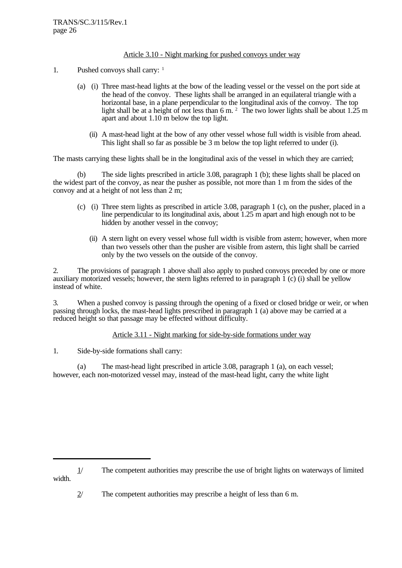### Article 3.10 - Night marking for pushed convoys under way

- 1. Pushed convoys shall carry: <sup>1</sup>
	- (a) (i) Three mast-head lights at the bow of the leading vessel or the vessel on the port side at the head of the convoy. These lights shall be arranged in an equilateral triangle with a horizontal base, in a plane perpendicular to the longitudinal axis of the convoy. The top light shall be at a height of not less than 6 m. <sup>2</sup> The two lower lights shall be about 1.25 m apart and about 1.10 m below the top light.
		- (ii) A mast-head light at the bow of any other vessel whose full width is visible from ahead. This light shall so far as possible be 3 m below the top light referred to under (i).

The masts carrying these lights shall be in the longitudinal axis of the vessel in which they are carried;

(b) The side lights prescribed in article 3.08, paragraph 1 (b); these lights shall be placed on the widest part of the convoy, as near the pusher as possible, not more than 1 m from the sides of the convoy and at a height of not less than 2 m;

- (c) (i) Three stern lights as prescribed in article 3.08, paragraph 1 (c), on the pusher, placed in a line perpendicular to its longitudinal axis, about 1.25 m apart and high enough not to be hidden by another vessel in the convoy;
	- (ii) A stern light on every vessel whose full width is visible from astern; however, when more than two vessels other than the pusher are visible from astern, this light shall be carried only by the two vessels on the outside of the convoy.

2. The provisions of paragraph 1 above shall also apply to pushed convoys preceded by one or more auxiliary motorized vessels; however, the stern lights referred to in paragraph 1 (c) (i) shall be yellow instead of white.

3. When a pushed convoy is passing through the opening of a fixed or closed bridge or weir, or when passing through locks, the mast-head lights prescribed in paragraph 1 (a) above may be carried at a reduced height so that passage may be effected without difficulty.

# Article 3.11 - Night marking for side-by-side formations under way

1. Side-by-side formations shall carry:

(a) The mast-head light prescribed in article 3.08, paragraph 1 (a), on each vessel; however, each non-motorized vessel may, instead of the mast-head light, carry the white light

<sup>1/</sup> The competent authorities may prescribe the use of bright lights on waterways of limited width.

<sup>2/</sup> The competent authorities may prescribe a height of less than 6 m.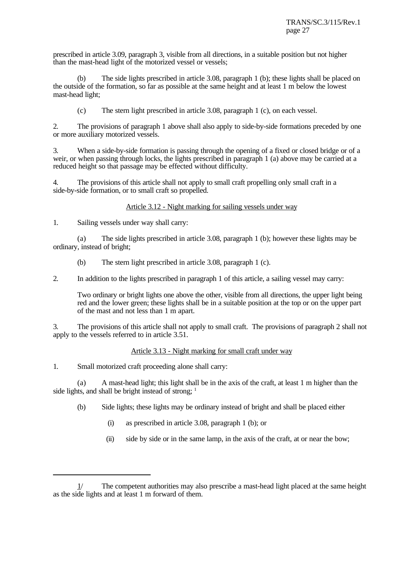prescribed in article 3.09, paragraph 3, visible from all directions, in a suitable position but not higher than the mast-head light of the motorized vessel or vessels;

(b) The side lights prescribed in article 3.08, paragraph 1 (b); these lights shall be placed on the outside of the formation, so far as possible at the same height and at least 1 m below the lowest mast-head light;

(c) The stern light prescribed in article 3.08, paragraph 1 (c), on each vessel.

2. The provisions of paragraph 1 above shall also apply to side-by-side formations preceded by one or more auxiliary motorized vessels.

3. When a side-by-side formation is passing through the opening of a fixed or closed bridge or of a weir, or when passing through locks, the lights prescribed in paragraph 1 (a) above may be carried at a reduced height so that passage may be effected without difficulty.

4. The provisions of this article shall not apply to small craft propelling only small craft in a side-by-side formation, or to small craft so propelled.

# Article 3.12 - Night marking for sailing vessels under way

1. Sailing vessels under way shall carry:

(a) The side lights prescribed in article 3.08, paragraph 1 (b); however these lights may be ordinary, instead of bright;

(b) The stern light prescribed in article 3.08, paragraph 1 (c).

2. In addition to the lights prescribed in paragraph 1 of this article, a sailing vessel may carry:

Two ordinary or bright lights one above the other, visible from all directions, the upper light being red and the lower green; these lights shall be in a suitable position at the top or on the upper part of the mast and not less than 1 m apart.

3. The provisions of this article shall not apply to small craft. The provisions of paragraph 2 shall not apply to the vessels referred to in article 3.51.

#### Article 3.13 - Night marking for small craft under way

1. Small motorized craft proceeding alone shall carry:

(a) A mast-head light; this light shall be in the axis of the craft, at least 1 m higher than the side lights, and shall be bright instead of strong; <sup>1</sup>

- (b) Side lights; these lights may be ordinary instead of bright and shall be placed either
	- (i) as prescribed in article 3.08, paragraph 1 (b); or
	- (ii) side by side or in the same lamp, in the axis of the craft, at or near the bow;

<sup>1/</sup> The competent authorities may also prescribe a mast-head light placed at the same height as the side lights and at least 1 m forward of them.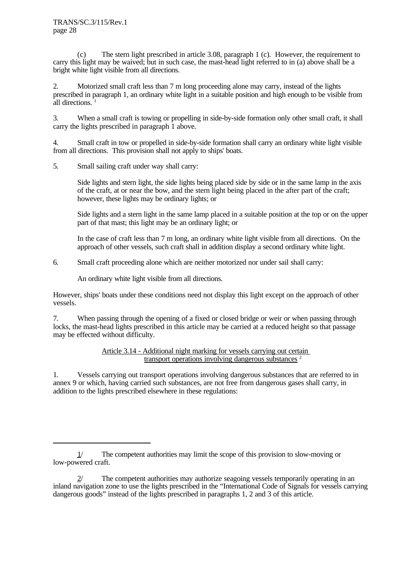(c) The stern light prescribed in article 3.08, paragraph 1 (c). However, the requirement to carry this light may be waived; but in such case, the mast-head light referred to in (a) above shall be a bright white light visible from all directions.

2. Motorized small craft less than 7 m long proceeding alone may carry, instead of the lights prescribed in paragraph 1, an ordinary white light in a suitable position and high enough to be visible from all directions.<sup>1</sup>

3. When a small craft is towing or propelling in side-by-side formation only other small craft, it shall carry the lights prescribed in paragraph 1 above.

4. Small craft in tow or propelled in side-by-side formation shall carry an ordinary white light visible from all directions. This provision shall not apply to ships' boats.

5. Small sailing craft under way shall carry:

Side lights and stern light, the side lights being placed side by side or in the same lamp in the axis of the craft, at or near the bow, and the stern light being placed in the after part of the craft; however, these lights may be ordinary lights; or

Side lights and a stern light in the same lamp placed in a suitable position at the top or on the upper part of that mast; this light may be an ordinary light; or

In the case of craft less than 7 m long, an ordinary white light visible from all directions. On the approach of other vessels, such craft shall in addition display a second ordinary white light.

6. Small craft proceeding alone which are neither motorized nor under sail shall carry:

An ordinary white light visible from all directions.

However, ships' boats under these conditions need not display this light except on the approach of other vessels.

7. When passing through the opening of a fixed or closed bridge or weir or when passing through locks, the mast-head lights prescribed in this article may be carried at a reduced height so that passage may be effected without difficulty.

> Article 3.14 - Additional night marking for vessels carrying out certain transport operations involving dangerous substances<sup>2</sup>

1. Vessels carrying out transport operations involving dangerous substances that are referred to in annex 9 or which, having carried such substances, are not free from dangerous gases shall carry, in addition to the lights prescribed elsewhere in these regulations:

<sup>1/</sup> The competent authorities may limit the scope of this provision to slow-moving or low-powered craft.

The competent authorities may authorize seagoing vessels temporarily operating in an inland navigation zone to use the lights prescribed in the "International Code of Signals for vessels carrying dangerous goods" instead of the lights prescribed in paragraphs 1, 2 and 3 of this article.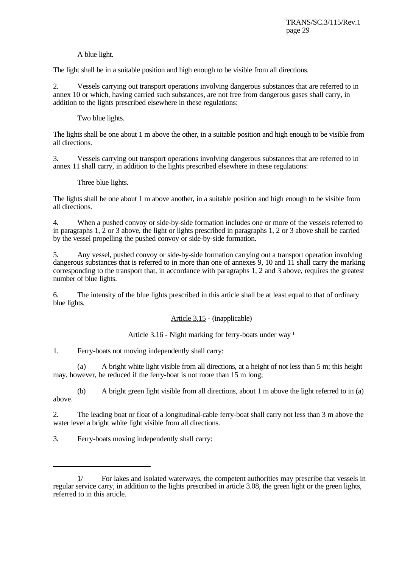# A blue light.

The light shall be in a suitable position and high enough to be visible from all directions.

2. Vessels carrying out transport operations involving dangerous substances that are referred to in annex 10 or which, having carried such substances, are not free from dangerous gases shall carry, in addition to the lights prescribed elsewhere in these regulations:

Two blue lights.

The lights shall be one about 1 m above the other, in a suitable position and high enough to be visible from all directions.

3. Vessels carrying out transport operations involving dangerous substances that are referred to in annex 11 shall carry, in addition to the lights prescribed elsewhere in these regulations:

Three blue lights.

The lights shall be one about 1 m above another, in a suitable position and high enough to be visible from all directions.

4. When a pushed convoy or side-by-side formation includes one or more of the vessels referred to in paragraphs 1, 2 or 3 above, the light or lights prescribed in paragraphs 1, 2 or 3 above shall be carried by the vessel propelling the pushed convoy or side-by-side formation.

5. Any vessel, pushed convoy or side-by-side formation carrying out a transport operation involving dangerous substances that is referred to in more than one of annexes 9, 10 and 11 shall carry the marking corresponding to the transport that, in accordance with paragraphs 1, 2 and 3 above, requires the greatest number of blue lights.

6. The intensity of the blue lights prescribed in this article shall be at least equal to that of ordinary blue lights.

Article 3.15 - (inapplicable)

Article 3.16 - Night marking for ferry-boats under way <sup>1</sup>

1. Ferry-boats not moving independently shall carry:

(a) A bright white light visible from all directions, at a height of not less than 5 m; this height may, however, be reduced if the ferry-boat is not more than 15 m long;

(b) A bright green light visible from all directions, about 1 m above the light referred to in (a) above.

2. The leading boat or float of a longitudinal-cable ferry-boat shall carry not less than 3 m above the water level a bright white light visible from all directions.

3. Ferry-boats moving independently shall carry:

<sup>1/</sup> For lakes and isolated waterways, the competent authorities may prescribe that vessels in regular service carry, in addition to the lights prescribed in article 3.08, the green light or the green lights, referred to in this article.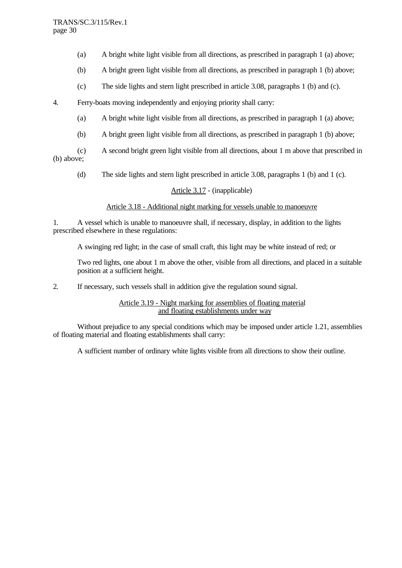- (a) A bright white light visible from all directions, as prescribed in paragraph 1 (a) above;
- (b) A bright green light visible from all directions, as prescribed in paragraph 1 (b) above;
- (c) The side lights and stern light prescribed in article 3.08, paragraphs 1 (b) and (c).
- 4. Ferry-boats moving independently and enjoying priority shall carry:
	- (a) A bright white light visible from all directions, as prescribed in paragraph 1 (a) above;
	- (b) A bright green light visible from all directions, as prescribed in paragraph 1 (b) above;
- (c) A second bright green light visible from all directions, about 1 m above that prescribed in (b) above;
	- (d) The side lights and stern light prescribed in article 3.08, paragraphs 1 (b) and 1 (c).

# Article 3.17 - (inapplicable)

#### Article 3.18 - Additional night marking for vessels unable to manoeuvre

1. A vessel which is unable to manoeuvre shall, if necessary, display, in addition to the lights prescribed elsewhere in these regulations:

A swinging red light; in the case of small craft, this light may be white instead of red; or

Two red lights, one about 1 m above the other, visible from all directions, and placed in a suitable position at a sufficient height.

2. If necessary, such vessels shall in addition give the regulation sound signal.

#### Article 3.19 - Night marking for assemblies of floating material and floating establishments under way

Without prejudice to any special conditions which may be imposed under article 1.21, assemblies of floating material and floating establishments shall carry:

A sufficient number of ordinary white lights visible from all directions to show their outline.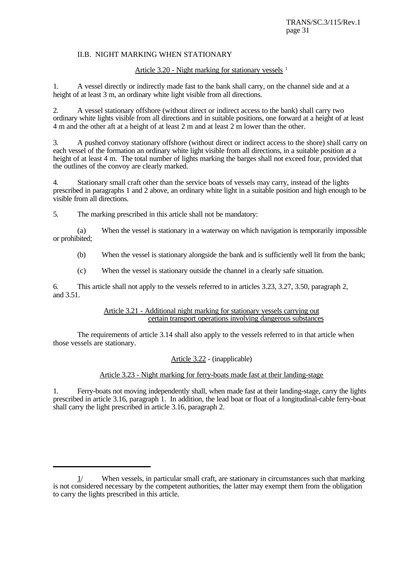# II.B. NIGHT MARKING WHEN STATIONARY

# Article 3.20 - Night marking for stationary vessels <sup>1</sup>

1. A vessel directly or indirectly made fast to the bank shall carry, on the channel side and at a height of at least 3 m, an ordinary white light visible from all directions.

2. A vessel stationary offshore (without direct or indirect access to the bank) shall carry two ordinary white lights visible from all directions and in suitable positions, one forward at a height of at least 4 m and the other aft at a height of at least 2 m and at least 2 m lower than the other.

3. A pushed convoy stationary offshore (without direct or indirect access to the shore) shall carry on each vessel of the formation an ordinary white light visible from all directions, in a suitable position at a height of at least 4 m. The total number of lights marking the barges shall not exceed four, provided that the outlines of the convoy are clearly marked.

4. Stationary small craft other than the service boats of vessels may carry, instead of the lights prescribed in paragraphs 1 and 2 above, an ordinary white light in a suitable position and high enough to be visible from all directions.

5. The marking prescribed in this article shall not be mandatory:

(a) When the vessel is stationary in a waterway on which navigation is temporarily impossible or prohibited;

(b) When the vessel is stationary alongside the bank and is sufficiently well lit from the bank;

(c) When the vessel is stationary outside the channel in a clearly safe situation.

6. This article shall not apply to the vessels referred to in articles 3.23, 3.27, 3.50, paragraph 2, and 3.51.

#### Article 3.21 - Additional night marking for stationary vessels carrying out certain transport operations involving dangerous substances

The requirements of article 3.14 shall also apply to the vessels referred to in that article when those vessels are stationary.

# Article 3.22 - (inapplicable)

# Article 3.23 - Night marking for ferry-boats made fast at their landing-stage

1. Ferry-boats not moving independently shall, when made fast at their landing-stage, carry the lights prescribed in article 3.16, paragraph 1. In addition, the lead boat or float of a longitudinal-cable ferry-boat shall carry the light prescribed in article 3.16, paragraph 2.

<sup>1/</sup> When vessels, in particular small craft, are stationary in circumstances such that marking is not considered necessary by the competent authorities, the latter may exempt them from the obligation to carry the lights prescribed in this article.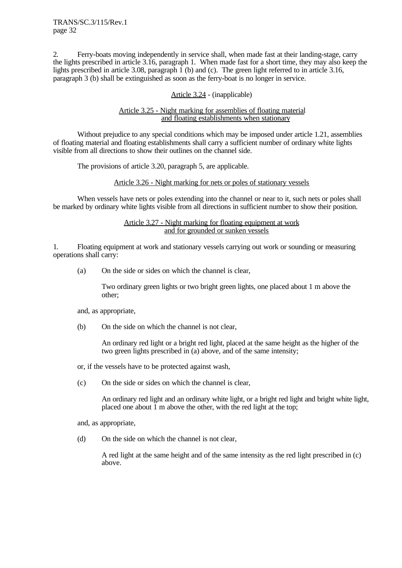2. Ferry-boats moving independently in service shall, when made fast at their landing-stage, carry the lights prescribed in article 3.16, paragraph 1. When made fast for a short time, they may also keep the lights prescribed in article 3.08, paragraph 1 (b) and (c). The green light referred to in article 3.16, paragraph 3 (b) shall be extinguished as soon as the ferry-boat is no longer in service.

#### Article 3.24 - (inapplicable)

#### Article 3.25 - Night marking for assemblies of floating material and floating establishments when stationary

Without prejudice to any special conditions which may be imposed under article 1.21, assemblies of floating material and floating establishments shall carry a sufficient number of ordinary white lights visible from all directions to show their outlines on the channel side.

The provisions of article 3.20, paragraph 5, are applicable.

#### Article 3.26 - Night marking for nets or poles of stationary vessels

When vessels have nets or poles extending into the channel or near to it, such nets or poles shall be marked by ordinary white lights visible from all directions in sufficient number to show their position.

#### Article 3.27 - Night marking for floating equipment at work and for grounded or sunken vessels

1. Floating equipment at work and stationary vessels carrying out work or sounding or measuring operations shall carry:

(a) On the side or sides on which the channel is clear,

Two ordinary green lights or two bright green lights, one placed about 1 m above the other;

and, as appropriate,

(b) On the side on which the channel is not clear,

An ordinary red light or a bright red light, placed at the same height as the higher of the two green lights prescribed in (a) above, and of the same intensity;

or, if the vessels have to be protected against wash,

(c) On the side or sides on which the channel is clear,

An ordinary red light and an ordinary white light, or a bright red light and bright white light, placed one about 1 m above the other, with the red light at the top;

and, as appropriate,

(d) On the side on which the channel is not clear,

A red light at the same height and of the same intensity as the red light prescribed in (c) above.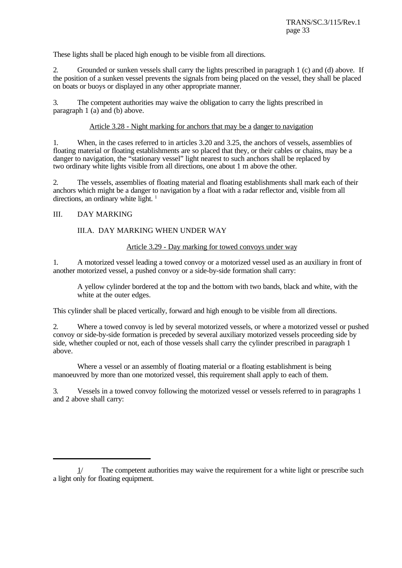These lights shall be placed high enough to be visible from all directions.

2. Grounded or sunken vessels shall carry the lights prescribed in paragraph 1 (c) and (d) above. If the position of a sunken vessel prevents the signals from being placed on the vessel, they shall be placed on boats or buoys or displayed in any other appropriate manner.

3. The competent authorities may waive the obligation to carry the lights prescribed in paragraph 1 (a) and (b) above.

### Article 3.28 - Night marking for anchors that may be a danger to navigation

1. When, in the cases referred to in articles 3.20 and 3.25, the anchors of vessels, assemblies of floating material or floating establishments are so placed that they, or their cables or chains, may be a danger to navigation, the "stationary vessel" light nearest to such anchors shall be replaced by two ordinary white lights visible from all directions, one about 1 m above the other.

2. The vessels, assemblies of floating material and floating establishments shall mark each of their anchors which might be a danger to navigation by a float with a radar reflector and, visible from all directions, an ordinary white light.<sup>1</sup>

# III. DAY MARKING

# III.A. DAY MARKING WHEN UNDER WAY

# Article 3.29 - Day marking for towed convoys under way

1. A motorized vessel leading a towed convoy or a motorized vessel used as an auxiliary in front of another motorized vessel, a pushed convoy or a side-by-side formation shall carry:

A yellow cylinder bordered at the top and the bottom with two bands, black and white, with the white at the outer edges.

This cylinder shall be placed vertically, forward and high enough to be visible from all directions.

2. Where a towed convoy is led by several motorized vessels, or where a motorized vessel or pushed convoy or side-by-side formation is preceded by several auxiliary motorized vessels proceeding side by side, whether coupled or not, each of those vessels shall carry the cylinder prescribed in paragraph 1 above.

Where a vessel or an assembly of floating material or a floating establishment is being manoeuvred by more than one motorized vessel, this requirement shall apply to each of them.

3. Vessels in a towed convoy following the motorized vessel or vessels referred to in paragraphs 1 and 2 above shall carry:

<sup>1/</sup> The competent authorities may waive the requirement for a white light or prescribe such a light only for floating equipment.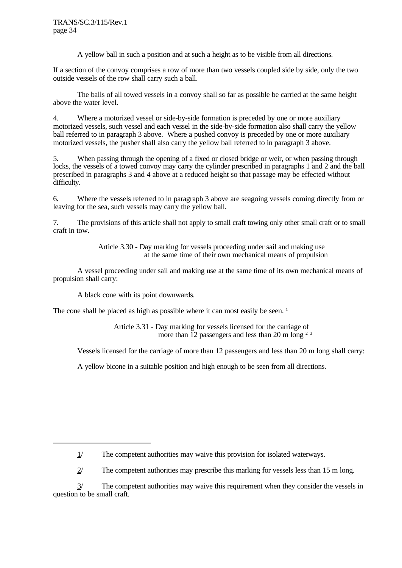A yellow ball in such a position and at such a height as to be visible from all directions.

If a section of the convoy comprises a row of more than two vessels coupled side by side, only the two outside vessels of the row shall carry such a ball.

The balls of all towed vessels in a convoy shall so far as possible be carried at the same height above the water level.

4. Where a motorized vessel or side-by-side formation is preceded by one or more auxiliary motorized vessels, such vessel and each vessel in the side-by-side formation also shall carry the yellow ball referred to in paragraph 3 above. Where a pushed convoy is preceded by one or more auxiliary motorized vessels, the pusher shall also carry the yellow ball referred to in paragraph 3 above.

5. When passing through the opening of a fixed or closed bridge or weir, or when passing through locks, the vessels of a towed convoy may carry the cylinder prescribed in paragraphs 1 and 2 and the ball prescribed in paragraphs 3 and 4 above at a reduced height so that passage may be effected without difficulty.

6. Where the vessels referred to in paragraph 3 above are seagoing vessels coming directly from or leaving for the sea, such vessels may carry the yellow ball.

7. The provisions of this article shall not apply to small craft towing only other small craft or to small craft in tow.

> Article 3.30 - Day marking for vessels proceeding under sail and making use at the same time of their own mechanical means of propulsion

A vessel proceeding under sail and making use at the same time of its own mechanical means of propulsion shall carry:

A black cone with its point downwards.

The cone shall be placed as high as possible where it can most easily be seen.<sup>1</sup>

#### Article 3.31 - Day marking for vessels licensed for the carriage of more than 12 passengers and less than 20 m long  $2^{\frac{3}{3}}$

Vessels licensed for the carriage of more than 12 passengers and less than 20 m long shall carry:

A yellow bicone in a suitable position and high enough to be seen from all directions.

<sup>1/</sup> The competent authorities may waive this provision for isolated waterways.

<sup>2/</sup> The competent authorities may prescribe this marking for vessels less than 15 m long.

<sup>3/</sup> The competent authorities may waive this requirement when they consider the vessels in question to be small craft.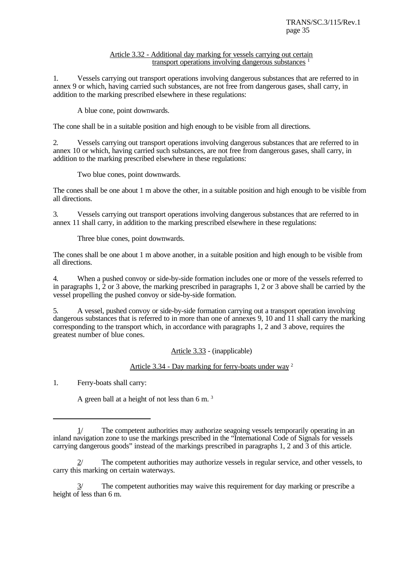### Article 3.32 - Additional day marking for vessels carrying out certain transport operations involving dangerous substances <sup>1</sup>

1. Vessels carrying out transport operations involving dangerous substances that are referred to in annex 9 or which, having carried such substances, are not free from dangerous gases, shall carry, in addition to the marking prescribed elsewhere in these regulations:

A blue cone, point downwards.

The cone shall be in a suitable position and high enough to be visible from all directions.

2. Vessels carrying out transport operations involving dangerous substances that are referred to in annex 10 or which, having carried such substances, are not free from dangerous gases, shall carry, in addition to the marking prescribed elsewhere in these regulations:

Two blue cones, point downwards.

The cones shall be one about 1 m above the other, in a suitable position and high enough to be visible from all directions.

3. Vessels carrying out transport operations involving dangerous substances that are referred to in annex 11 shall carry, in addition to the marking prescribed elsewhere in these regulations:

Three blue cones, point downwards.

The cones shall be one about 1 m above another, in a suitable position and high enough to be visible from all directions.

4. When a pushed convoy or side-by-side formation includes one or more of the vessels referred to in paragraphs 1, 2 or 3 above, the marking prescribed in paragraphs 1, 2 or 3 above shall be carried by the vessel propelling the pushed convoy or side-by-side formation.

5. A vessel, pushed convoy or side-by-side formation carrying out a transport operation involving dangerous substances that is referred to in more than one of annexes 9, 10 and 11 shall carry the marking corresponding to the transport which, in accordance with paragraphs 1, 2 and 3 above, requires the greatest number of blue cones.

Article 3.33 - (inapplicable)

Article 3.34 - Day marking for ferry-boats under way <sup>2</sup>

1. Ferry-boats shall carry:

A green ball at a height of not less than 6 m. 3

The competent authorities may authorize vessels in regular service, and other vessels, to carry this marking on certain waterways.

3/ The competent authorities may waive this requirement for day marking or prescribe a height of less than 6 m.

<sup>1/</sup> The competent authorities may authorize seagoing vessels temporarily operating in an inland navigation zone to use the markings prescribed in the "International Code of Signals for vessels carrying dangerous goods" instead of the markings prescribed in paragraphs 1, 2 and 3 of this article.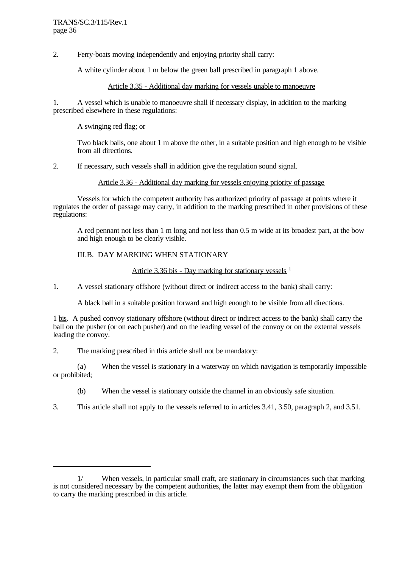2. Ferry-boats moving independently and enjoying priority shall carry:

A white cylinder about 1 m below the green ball prescribed in paragraph 1 above.

# Article 3.35 - Additional day marking for vessels unable to manoeuvre

1. A vessel which is unable to manoeuvre shall if necessary display, in addition to the marking prescribed elsewhere in these regulations:

A swinging red flag; or

Two black balls, one about 1 m above the other, in a suitable position and high enough to be visible from all directions.

2. If necessary, such vessels shall in addition give the regulation sound signal.

Article 3.36 - Additional day marking for vessels enjoying priority of passage

Vessels for which the competent authority has authorized priority of passage at points where it regulates the order of passage may carry, in addition to the marking prescribed in other provisions of these regulations:

A red pennant not less than 1 m long and not less than 0.5 m wide at its broadest part, at the bow and high enough to be clearly visible.

# III.B. DAY MARKING WHEN STATIONARY

Article 3.36 bis - Day marking for stationary vessels  $<sup>1</sup>$ </sup>

1. A vessel stationary offshore (without direct or indirect access to the bank) shall carry:

A black ball in a suitable position forward and high enough to be visible from all directions.

1 bis. A pushed convoy stationary offshore (without direct or indirect access to the bank) shall carry the ball on the pusher (or on each pusher) and on the leading vessel of the convoy or on the external vessels leading the convoy.

2. The marking prescribed in this article shall not be mandatory:

(a) When the vessel is stationary in a waterway on which navigation is temporarily impossible or prohibited;

- (b) When the vessel is stationary outside the channel in an obviously safe situation.
- 3. This article shall not apply to the vessels referred to in articles 3.41, 3.50, paragraph 2, and 3.51.

<sup>1/</sup> When vessels, in particular small craft, are stationary in circumstances such that marking is not considered necessary by the competent authorities, the latter may exempt them from the obligation to carry the marking prescribed in this article.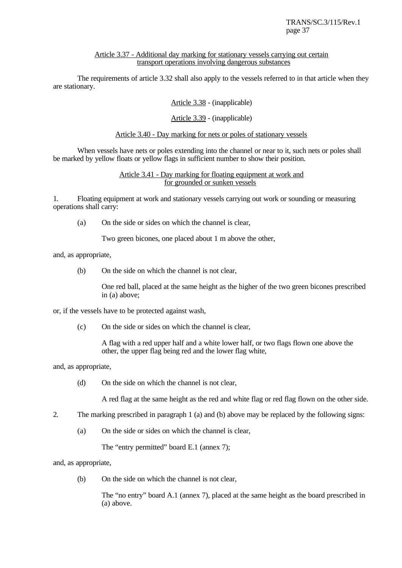#### Article 3.37 - Additional day marking for stationary vessels carrying out certain transport operations involving dangerous substances

The requirements of article 3.32 shall also apply to the vessels referred to in that article when they are stationary.

Article 3.38 - (inapplicable)

Article 3.39 - (inapplicable)

# Article 3.40 - Day marking for nets or poles of stationary vessels

When vessels have nets or poles extending into the channel or near to it, such nets or poles shall be marked by yellow floats or yellow flags in sufficient number to show their position.

# Article 3.41 - Day marking for floating equipment at work and for grounded or sunken vessels

1. Floating equipment at work and stationary vessels carrying out work or sounding or measuring operations shall carry:

(a) On the side or sides on which the channel is clear,

Two green bicones, one placed about 1 m above the other,

and, as appropriate,

(b) On the side on which the channel is not clear,

One red ball, placed at the same height as the higher of the two green bicones prescribed in (a) above;

or, if the vessels have to be protected against wash,

(c) On the side or sides on which the channel is clear,

A flag with a red upper half and a white lower half, or two flags flown one above the other, the upper flag being red and the lower flag white,

and, as appropriate,

(d) On the side on which the channel is not clear,

A red flag at the same height as the red and white flag or red flag flown on the other side.

- 2. The marking prescribed in paragraph 1 (a) and (b) above may be replaced by the following signs:
	- (a) On the side or sides on which the channel is clear,

The "entry permitted" board E.1 (annex 7);

and, as appropriate,

(b) On the side on which the channel is not clear,

The "no entry" board A.1 (annex 7), placed at the same height as the board prescribed in (a) above.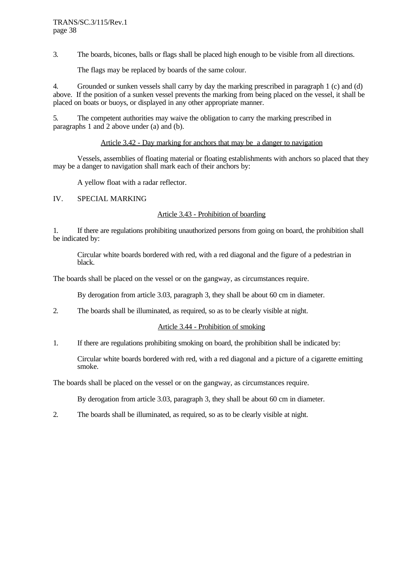3. The boards, bicones, balls or flags shall be placed high enough to be visible from all directions.

The flags may be replaced by boards of the same colour.

4. Grounded or sunken vessels shall carry by day the marking prescribed in paragraph 1 (c) and (d) above. If the position of a sunken vessel prevents the marking from being placed on the vessel, it shall be placed on boats or buoys, or displayed in any other appropriate manner.

5. The competent authorities may waive the obligation to carry the marking prescribed in paragraphs 1 and 2 above under (a) and (b).

# Article 3.42 - Day marking for anchors that may be a danger to navigation

Vessels, assemblies of floating material or floating establishments with anchors so placed that they may be a danger to navigation shall mark each of their anchors by:

A yellow float with a radar reflector.

IV. SPECIAL MARKING

# Article 3.43 - Prohibition of boarding

1. If there are regulations prohibiting unauthorized persons from going on board, the prohibition shall be indicated by:

Circular white boards bordered with red, with a red diagonal and the figure of a pedestrian in black.

The boards shall be placed on the vessel or on the gangway, as circumstances require.

By derogation from article 3.03, paragraph 3, they shall be about 60 cm in diameter.

2. The boards shall be illuminated, as required, so as to be clearly visible at night.

# Article 3.44 - Prohibition of smoking

1. If there are regulations prohibiting smoking on board, the prohibition shall be indicated by:

Circular white boards bordered with red, with a red diagonal and a picture of a cigarette emitting smoke.

The boards shall be placed on the vessel or on the gangway, as circumstances require.

By derogation from article 3.03, paragraph 3, they shall be about 60 cm in diameter.

2. The boards shall be illuminated, as required, so as to be clearly visible at night.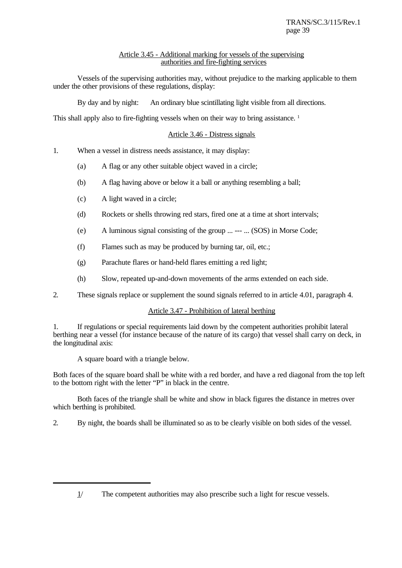# Article 3.45 - Additional marking for vessels of the supervising authorities and fire-fighting services

Vessels of the supervising authorities may, without prejudice to the marking applicable to them under the other provisions of these regulations, display:

By day and by night: An ordinary blue scintillating light visible from all directions.

This shall apply also to fire-fighting vessels when on their way to bring assistance.<sup>1</sup>

# Article 3.46 - Distress signals

- 1. When a vessel in distress needs assistance, it may display:
	- (a) A flag or any other suitable object waved in a circle;
	- (b) A flag having above or below it a ball or anything resembling a ball;
	- (c) A light waved in a circle;
	- (d) Rockets or shells throwing red stars, fired one at a time at short intervals;
	- (e) A luminous signal consisting of the group ... --- ... (SOS) in Morse Code;
	- (f) Flames such as may be produced by burning tar, oil, etc.;
	- (g) Parachute flares or hand-held flares emitting a red light;
	- (h) Slow, repeated up-and-down movements of the arms extended on each side.
- 2. These signals replace or supplement the sound signals referred to in article 4.01, paragraph 4.

# Article 3.47 - Prohibition of lateral berthing

1. If regulations or special requirements laid down by the competent authorities prohibit lateral berthing near a vessel (for instance because of the nature of its cargo) that vessel shall carry on deck, in the longitudinal axis:

A square board with a triangle below.

Both faces of the square board shall be white with a red border, and have a red diagonal from the top left to the bottom right with the letter "P" in black in the centre.

Both faces of the triangle shall be white and show in black figures the distance in metres over which berthing is prohibited.

2. By night, the boards shall be illuminated so as to be clearly visible on both sides of the vessel.

<sup>1/</sup> The competent authorities may also prescribe such a light for rescue vessels.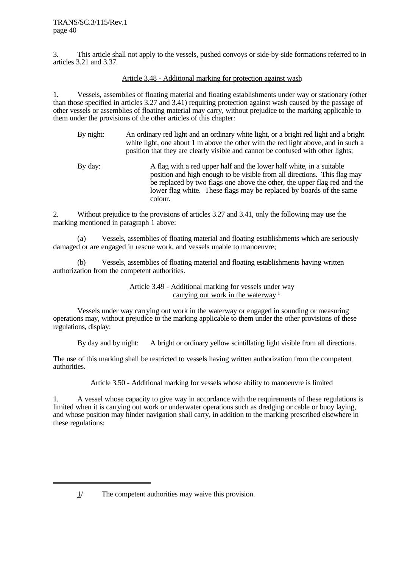3. This article shall not apply to the vessels, pushed convoys or side-by-side formations referred to in articles 3.21 and 3.37.

## Article 3.48 - Additional marking for protection against wash

1. Vessels, assemblies of floating material and floating establishments under way or stationary (other than those specified in articles 3.27 and 3.41) requiring protection against wash caused by the passage of other vessels or assemblies of floating material may carry, without prejudice to the marking applicable to them under the provisions of the other articles of this chapter:

- By night: An ordinary red light and an ordinary white light, or a bright red light and a bright white light, one about 1 m above the other with the red light above, and in such a position that they are clearly visible and cannot be confused with other lights;
- By day: A flag with a red upper half and the lower half white, in a suitable position and high enough to be visible from all directions. This flag may be replaced by two flags one above the other, the upper flag red and the lower flag white. These flags may be replaced by boards of the same colour.

2. Without prejudice to the provisions of articles 3.27 and 3.41, only the following may use the marking mentioned in paragraph 1 above:

(a) Vessels, assemblies of floating material and floating establishments which are seriously damaged or are engaged in rescue work, and vessels unable to manoeuvre;

(b) Vessels, assemblies of floating material and floating establishments having written authorization from the competent authorities.

# Article 3.49 - Additional marking for vessels under way carrying out work in the waterway<sup>1</sup>

Vessels under way carrying out work in the waterway or engaged in sounding or measuring operations may, without prejudice to the marking applicable to them under the other provisions of these regulations, display:

By day and by night: A bright or ordinary yellow scintillating light visible from all directions.

The use of this marking shall be restricted to vessels having written authorization from the competent authorities.

# Article 3.50 - Additional marking for vessels whose ability to manoeuvre is limited

1. A vessel whose capacity to give way in accordance with the requirements of these regulations is limited when it is carrying out work or underwater operations such as dredging or cable or buoy laying, and whose position may hinder navigation shall carry, in addition to the marking prescribed elsewhere in these regulations:

<sup>1/</sup> The competent authorities may waive this provision.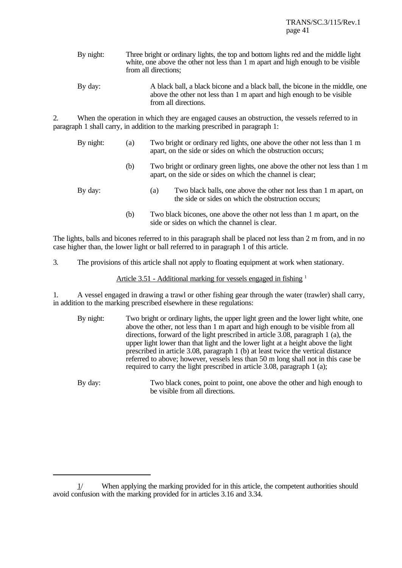- By night: Three bright or ordinary lights, the top and bottom lights red and the middle light white, one above the other not less than 1 m apart and high enough to be visible from all directions;
- By day: A black ball, a black bicone and a black ball, the bicone in the middle, one above the other not less than 1 m apart and high enough to be visible from all directions.

2. When the operation in which they are engaged causes an obstruction, the vessels referred to in paragraph 1 shall carry, in addition to the marking prescribed in paragraph 1:

- By night: (a) Two bright or ordinary red lights, one above the other not less than 1 m apart, on the side or sides on which the obstruction occurs;
	- (b) Two bright or ordinary green lights, one above the other not less than 1 m apart, on the side or sides on which the channel is clear;

- By day: (a) Two black balls, one above the other not less than 1 m apart, on the side or sides on which the obstruction occurs;
	- (b) Two black bicones, one above the other not less than 1 m apart, on the side or sides on which the channel is clear.

The lights, balls and bicones referred to in this paragraph shall be placed not less than 2 m from, and in no case higher than, the lower light or ball referred to in paragraph 1 of this article.

3. The provisions of this article shall not apply to floating equipment at work when stationary.

## Article 3.51 - Additional marking for vessels engaged in fishing <sup>1</sup>

1. A vessel engaged in drawing a trawl or other fishing gear through the water (trawler) shall carry, in addition to the marking prescribed elsewhere in these regulations:

- By night: Two bright or ordinary lights, the upper light green and the lower light white, one above the other, not less than 1 m apart and high enough to be visible from all directions, forward of the light prescribed in article 3.08, paragraph 1 (a), the upper light lower than that light and the lower light at a height above the light prescribed in article 3.08, paragraph 1 (b) at least twice the vertical distance referred to above; however, vessels less than 50 m long shall not in this case be required to carry the light prescribed in article 3.08, paragraph 1 (a);
- By day: Two black cones, point to point, one above the other and high enough to be visible from all directions.

<sup>1/</sup> When applying the marking provided for in this article, the competent authorities should avoid confusion with the marking provided for in articles 3.16 and 3.34.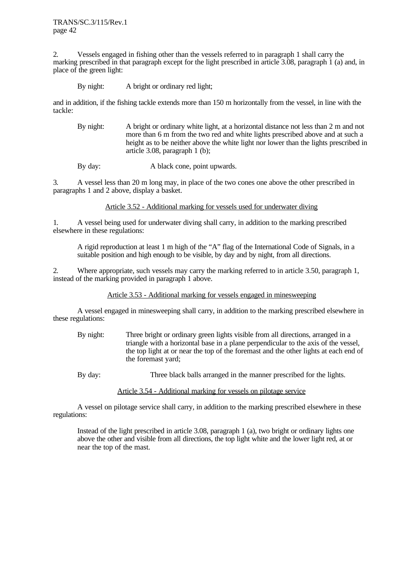2. Vessels engaged in fishing other than the vessels referred to in paragraph 1 shall carry the marking prescribed in that paragraph except for the light prescribed in article 3.08, paragraph 1 (a) and, in place of the green light:

By night: A bright or ordinary red light;

and in addition, if the fishing tackle extends more than 150 m horizontally from the vessel, in line with the tackle:

- By night: A bright or ordinary white light, at a horizontal distance not less than 2 m and not more than 6 m from the two red and white lights prescribed above and at such a height as to be neither above the white light nor lower than the lights prescribed in article 3.08, paragraph 1 (b);
- By day: A black cone, point upwards.

3. A vessel less than 20 m long may, in place of the two cones one above the other prescribed in paragraphs 1 and 2 above, display a basket.

## Article 3.52 - Additional marking for vessels used for underwater diving

1. A vessel being used for underwater diving shall carry, in addition to the marking prescribed elsewhere in these regulations:

A rigid reproduction at least 1 m high of the "A" flag of the International Code of Signals, in a suitable position and high enough to be visible, by day and by night, from all directions.

2. Where appropriate, such vessels may carry the marking referred to in article 3.50, paragraph 1, instead of the marking provided in paragraph 1 above.

# Article 3.53 - Additional marking for vessels engaged in minesweeping

A vessel engaged in minesweeping shall carry, in addition to the marking prescribed elsewhere in these regulations:

- By night: Three bright or ordinary green lights visible from all directions, arranged in a triangle with a horizontal base in a plane perpendicular to the axis of the vessel, the top light at or near the top of the foremast and the other lights at each end of the foremast yard;
- By day: Three black balls arranged in the manner prescribed for the lights.

Article 3.54 - Additional marking for vessels on pilotage service

A vessel on pilotage service shall carry, in addition to the marking prescribed elsewhere in these regulations:

Instead of the light prescribed in article 3.08, paragraph 1 (a), two bright or ordinary lights one above the other and visible from all directions, the top light white and the lower light red, at or near the top of the mast.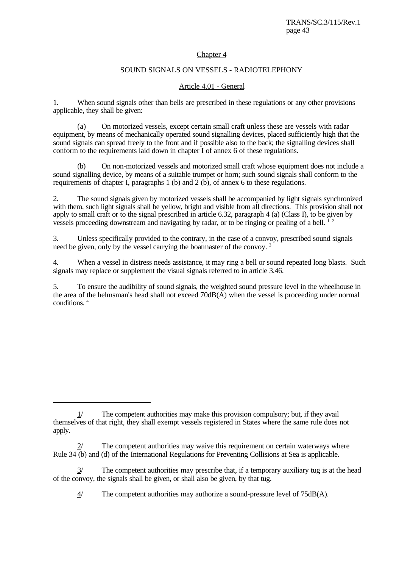# Chapter 4

# SOUND SIGNALS ON VESSELS - RADIOTELEPHONY

# Article 4.01 - General

1. When sound signals other than bells are prescribed in these regulations or any other provisions applicable, they shall be given:

(a) On motorized vessels, except certain small craft unless these are vessels with radar equipment, by means of mechanically operated sound signalling devices, placed sufficiently high that the sound signals can spread freely to the front and if possible also to the back; the signalling devices shall conform to the requirements laid down in chapter I of annex 6 of these regulations.

(b) On non-motorized vessels and motorized small craft whose equipment does not include a sound signalling device, by means of a suitable trumpet or horn; such sound signals shall conform to the requirements of chapter I, paragraphs 1 (b) and 2 (b), of annex 6 to these regulations.

2. The sound signals given by motorized vessels shall be accompanied by light signals synchronized with them, such light signals shall be yellow, bright and visible from all directions. This provision shall not apply to small craft or to the signal prescribed in article 6.32, paragraph 4 (a) (Class I), to be given by vessels proceeding downstream and navigating by radar, or to be ringing or pealing of a bell.  $\frac{1}{2}$ 

3. Unless specifically provided to the contrary, in the case of a convoy, prescribed sound signals need be given, only by the vessel carrying the boatmaster of the convoy. <sup>3</sup>

4. When a vessel in distress needs assistance, it may ring a bell or sound repeated long blasts. Such signals may replace or supplement the visual signals referred to in article 3.46.

5. To ensure the audibility of sound signals, the weighted sound pressure level in the wheelhouse in the area of the helmsman's head shall not exceed 70dB(A) when the vessel is proceeding under normal conditions. 4

4/ The competent authorities may authorize a sound-pressure level of 75dB(A).

<sup>1/</sup> The competent authorities may make this provision compulsory; but, if they avail themselves of that right, they shall exempt vessels registered in States where the same rule does not apply.

 $2$  The competent authorities may waive this requirement on certain waterways where Rule 34 (b) and (d) of the International Regulations for Preventing Collisions at Sea is applicable.

 $3/$  The competent authorities may prescribe that, if a temporary auxiliary tug is at the head of the convoy, the signals shall be given, or shall also be given, by that tug.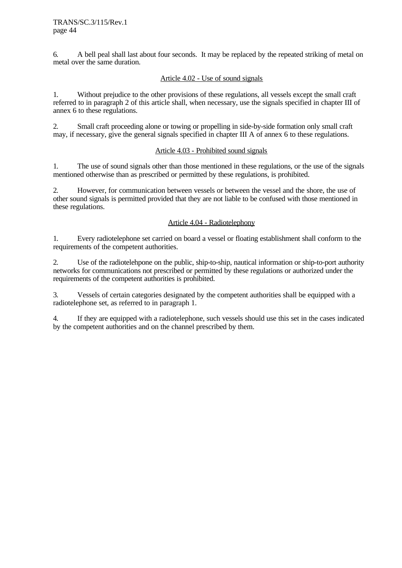6. A bell peal shall last about four seconds. It may be replaced by the repeated striking of metal on metal over the same duration.

# Article 4.02 - Use of sound signals

1. Without prejudice to the other provisions of these regulations, all vessels except the small craft referred to in paragraph 2 of this article shall, when necessary, use the signals specified in chapter III of annex 6 to these regulations.

2. Small craft proceeding alone or towing or propelling in side-by-side formation only small craft may, if necessary, give the general signals specified in chapter III A of annex 6 to these regulations.

# Article 4.03 - Prohibited sound signals

1. The use of sound signals other than those mentioned in these regulations, or the use of the signals mentioned otherwise than as prescribed or permitted by these regulations, is prohibited.

2. However, for communication between vessels or between the vessel and the shore, the use of other sound signals is permitted provided that they are not liable to be confused with those mentioned in these regulations.

# Article 4.04 - Radiotelephony

1. Every radiotelephone set carried on board a vessel or floating establishment shall conform to the requirements of the competent authorities.

2. Use of the radiotelehpone on the public, ship-to-ship, nautical information or ship-to-port authority networks for communications not prescribed or permitted by these regulations or authorized under the requirements of the competent authorities is prohibited.

3. Vessels of certain categories designated by the competent authorities shall be equipped with a radiotelephone set, as referred to in paragraph 1.

4. If they are equipped with a radiotelephone, such vessels should use this set in the cases indicated by the competent authorities and on the channel prescribed by them.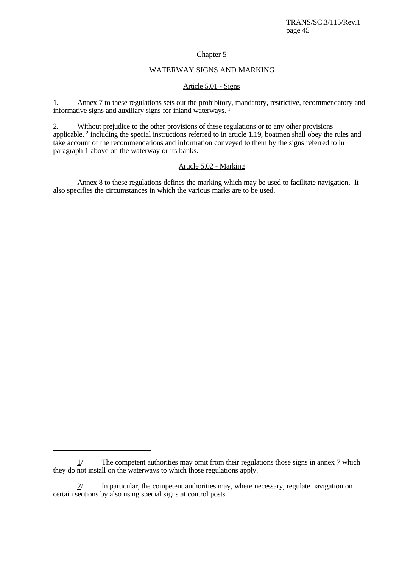# Chapter 5

# WATERWAY SIGNS AND MARKING

# Article 5.01 - Signs

1. Annex 7 to these regulations sets out the prohibitory, mandatory, restrictive, recommendatory and informative signs and auxiliary signs for inland waterways.<sup>1</sup>

2. Without prejudice to the other provisions of these regulations or to any other provisions applicable, <sup>2</sup> including the special instructions referred to in article 1.19, boatmen shall obey the rules and take account of the recommendations and information conveyed to them by the signs referred to in paragraph 1 above on the waterway or its banks.

# Article 5.02 - Marking

Annex 8 to these regulations defines the marking which may be used to facilitate navigation. It also specifies the circumstances in which the various marks are to be used.

 $1/$  The competent authorities may omit from their regulations those signs in annex 7 which they do not install on the waterways to which those regulations apply.

 $2/$  In particular, the competent authorities may, where necessary, regulate navigation on certain sections by also using special signs at control posts.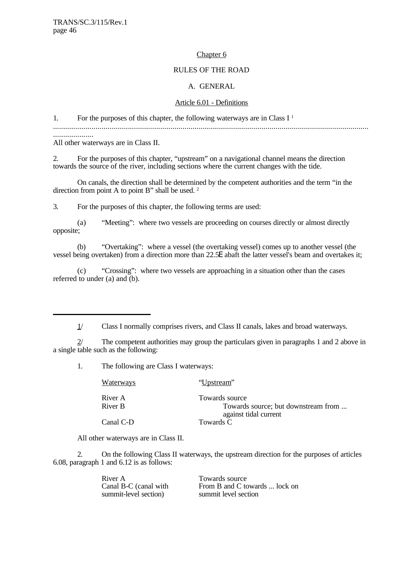## Chapter 6

# RULES OF THE ROAD

# A. GENERAL

### Article 6.01 - Definitions

1. For the purposes of this chapter, the following waterways are in Class  $I<sup>1</sup>$ 

............................................................................................................................................................

All other waterways are in Class II.

....................

2. For the purposes of this chapter, "upstream" on a navigational channel means the direction towards the source of the river, including sections where the current changes with the tide.

On canals, the direction shall be determined by the competent authorities and the term "in the direction from point A to point B" shall be used.<sup>2</sup>

3. For the purposes of this chapter, the following terms are used:

(a) "Meeting": where two vessels are proceeding on courses directly or almost directly opposite;

(b) "Overtaking": where a vessel (the overtaking vessel) comes up to another vessel (the vessel being overtaken) from a direction more than 22.5E abaft the latter vessel's beam and overtakes it;

(c) "Crossing": where two vessels are approaching in a situation other than the cases referred to under (a) and (b).

1/ Class I normally comprises rivers, and Class II canals, lakes and broad waterways.

2/ The competent authorities may group the particulars given in paragraphs 1 and 2 above in a single table such as the following:

1. The following are Class I waterways:

| <u>Waterways</u> | "Upstream"                                                   |
|------------------|--------------------------------------------------------------|
| River A          | Towards source                                               |
| River B          | Towards source; but downstream from<br>against tidal current |
| Canal C-D        | Towards C                                                    |

All other waterways are in Class II.

2. On the following Class II waterways, the upstream direction for the purposes of articles 6.08, paragraph 1 and 6.12 is as follows:

> River A Towards source<br>
> Canal B-C (canal with From B and C to From B and C towards ... lock on<br>summit level section summit-level section)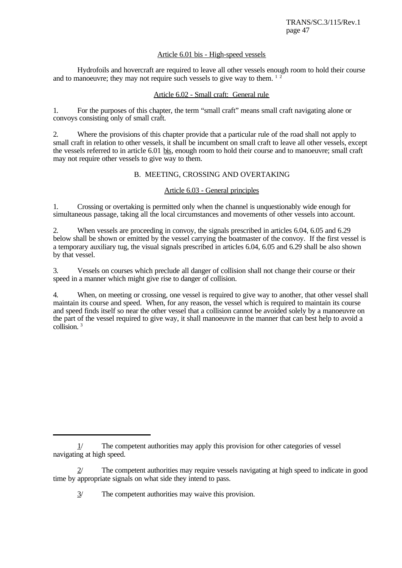# Article 6.01 bis - High-speed vessels

Hydrofoils and hovercraft are required to leave all other vessels enough room to hold their course and to manoeuvre; they may not require such vessels to give way to them.  $1\overline{2}$ 

## Article 6.02 - Small craft: General rule

1. For the purposes of this chapter, the term "small craft" means small craft navigating alone or convoys consisting only of small craft.

2. Where the provisions of this chapter provide that a particular rule of the road shall not apply to small craft in relation to other vessels, it shall be incumbent on small craft to leave all other vessels, except the vessels referred to in article 6.01 bis, enough room to hold their course and to manoeuvre; small craft may not require other vessels to give way to them.

# B. MEETING, CROSSING AND OVERTAKING

## Article 6.03 - General principles

1. Crossing or overtaking is permitted only when the channel is unquestionably wide enough for simultaneous passage, taking all the local circumstances and movements of other vessels into account.

2. When vessels are proceeding in convoy, the signals prescribed in articles 6.04, 6.05 and 6.29 below shall be shown or emitted by the vessel carrying the boatmaster of the convoy. If the first vessel is a temporary auxiliary tug, the visual signals prescribed in articles 6.04, 6.05 and 6.29 shall be also shown by that vessel.

3. Vessels on courses which preclude all danger of collision shall not change their course or their speed in a manner which might give rise to danger of collision.

4. When, on meeting or crossing, one vessel is required to give way to another, that other vessel shall maintain its course and speed. When, for any reason, the vessel which is required to maintain its course and speed finds itself so near the other vessel that a collision cannot be avoided solely by a manoeuvre on the part of the vessel required to give way, it shall manoeuvre in the manner that can best help to avoid a collision. 3

<sup>1/</sup> The competent authorities may apply this provision for other categories of vessel navigating at high speed.

<sup>2/</sup> The competent authorities may require vessels navigating at high speed to indicate in good time by appropriate signals on what side they intend to pass.

<sup>3/</sup> The competent authorities may waive this provision.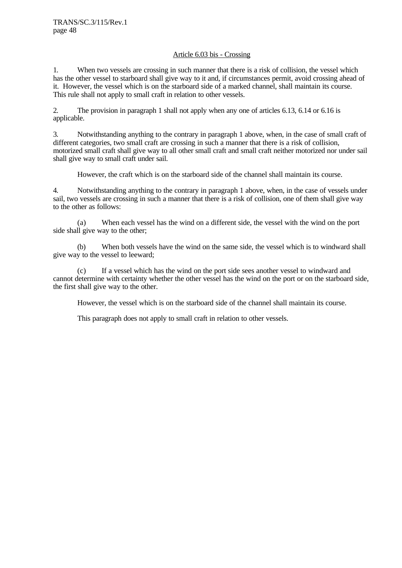# Article 6.03 bis - Crossing

1. When two vessels are crossing in such manner that there is a risk of collision, the vessel which has the other vessel to starboard shall give way to it and, if circumstances permit, avoid crossing ahead of it. However, the vessel which is on the starboard side of a marked channel, shall maintain its course. This rule shall not apply to small craft in relation to other vessels.

2. The provision in paragraph 1 shall not apply when any one of articles 6.13, 6.14 or 6.16 is applicable.

3. Notwithstanding anything to the contrary in paragraph 1 above, when, in the case of small craft of different categories, two small craft are crossing in such a manner that there is a risk of collision, motorized small craft shall give way to all other small craft and small craft neither motorized nor under sail shall give way to small craft under sail.

However, the craft which is on the starboard side of the channel shall maintain its course.

4. Notwithstanding anything to the contrary in paragraph 1 above, when, in the case of vessels under sail, two vessels are crossing in such a manner that there is a risk of collision, one of them shall give way to the other as follows:

(a) When each vessel has the wind on a different side, the vessel with the wind on the port side shall give way to the other;

(b) When both vessels have the wind on the same side, the vessel which is to windward shall give way to the vessel to leeward;

(c) If a vessel which has the wind on the port side sees another vessel to windward and cannot determine with certainty whether the other vessel has the wind on the port or on the starboard side, the first shall give way to the other.

However, the vessel which is on the starboard side of the channel shall maintain its course.

This paragraph does not apply to small craft in relation to other vessels.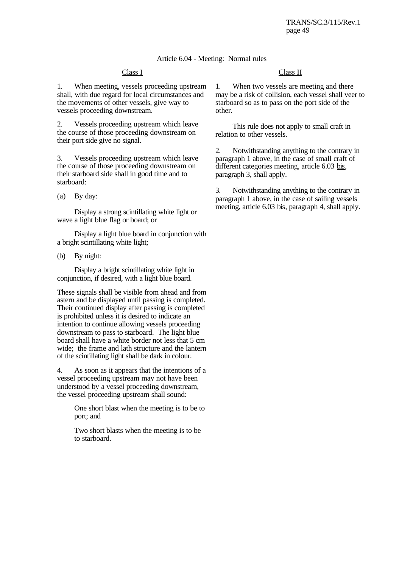# Article 6.04 - Meeting: Normal rules

1. When meeting, vessels proceeding upstream shall, with due regard for local circumstances and the movements of other vessels, give way to vessels proceeding downstream.

2. Vessels proceeding upstream which leave the course of those proceeding downstream on their port side give no signal.

3. Vessels proceeding upstream which leave the course of those proceeding downstream on their starboard side shall in good time and to starboard:

(a) By day:

Display a strong scintillating white light or wave a light blue flag or board; or

Display a light blue board in conjunction with a bright scintillating white light;

(b) By night:

Display a bright scintillating white light in conjunction, if desired, with a light blue board.

These signals shall be visible from ahead and from astern and be displayed until passing is completed. Their continued display after passing is completed is prohibited unless it is desired to indicate an intention to continue allowing vessels proceeding downstream to pass to starboard. The light blue board shall have a white border not less that 5 cm wide; the frame and lath structure and the lantern of the scintillating light shall be dark in colour.

4. As soon as it appears that the intentions of a vessel proceeding upstream may not have been understood by a vessel proceeding downstream, the vessel proceeding upstream shall sound:

> One short blast when the meeting is to be to port; and

Two short blasts when the meeting is to be to starboard.

# Class I Class II

1. When two vessels are meeting and there may be a risk of collision, each vessel shall veer to starboard so as to pass on the port side of the other.

This rule does not apply to small craft in relation to other vessels.

2. Notwithstanding anything to the contrary in paragraph 1 above, in the case of small craft of different categories meeting, article 6.03 bis, paragraph 3, shall apply.

3. Notwithstanding anything to the contrary in paragraph 1 above, in the case of sailing vessels meeting, article 6.03 bis, paragraph 4, shall apply.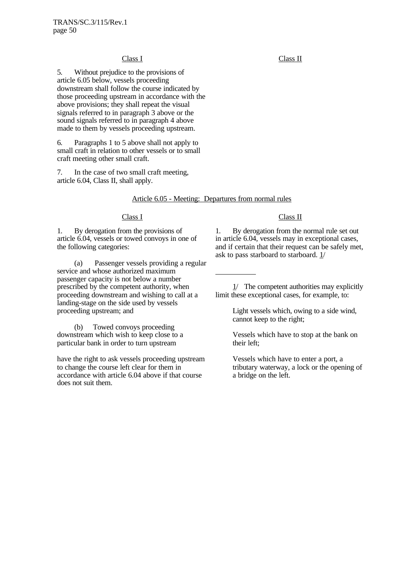5. Without prejudice to the provisions of article 6.05 below, vessels proceeding downstream shall follow the course indicated by those proceeding upstream in accordance with the above provisions; they shall repeat the visual signals referred to in paragraph 3 above or the sound signals referred to in paragraph 4 above made to them by vessels proceeding upstream.

6. Paragraphs 1 to 5 above shall not apply to small craft in relation to other vessels or to small craft meeting other small craft.

7. In the case of two small craft meeting, article 6.04, Class II, shall apply.

#### Article 6.05 - Meeting: Departures from normal rules

 $\overline{a}$ 

1. By derogation from the provisions of article 6.04, vessels or towed convoys in one of the following categories:

(a) Passenger vessels providing a regular service and whose authorized maximum passenger capacity is not below a number prescribed by the competent authority, when proceeding downstream and wishing to call at a landing-stage on the side used by vessels proceeding upstream; and

(b) Towed convoys proceeding downstream which wish to keep close to a particular bank in order to turn upstream

have the right to ask vessels proceeding upstream to change the course left clear for them in accordance with article 6.04 above if that course does not suit them.

#### Class I Class II

1. By derogation from the normal rule set out in article 6.04, vessels may in exceptional cases, and if certain that their request can be safely met, ask to pass starboard to starboard. 1/

1/ The competent authorities may explicitly limit these exceptional cases, for example, to:

> Light vessels which, owing to a side wind, cannot keep to the right;

> Vessels which have to stop at the bank on their left;

Vessels which have to enter a port, a tributary waterway, a lock or the opening of a bridge on the left.

Class I Class II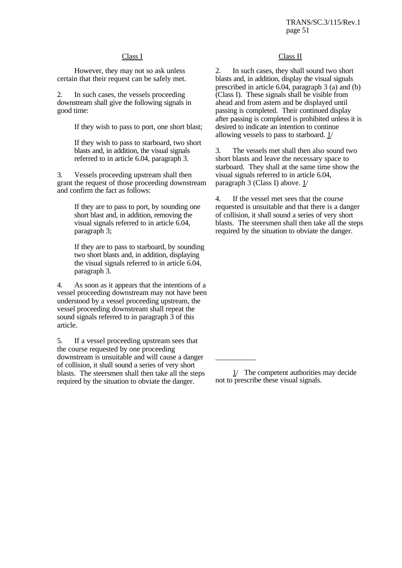#### Class I Class II

However, they may not so ask unless certain that their request can be safely met.

2. In such cases, the vessels proceeding downstream shall give the following signals in good time:

If they wish to pass to port, one short blast;

If they wish to pass to starboard, two short blasts and, in addition, the visual signals referred to in article 6.04, paragraph 3.

3. Vessels proceeding upstream shall then grant the request of those proceeding downstream and confirm the fact as follows:

> If they are to pass to port, by sounding one short blast and, in addition, removing the visual signals referred to in article 6.04, paragraph 3;

If they are to pass to starboard, by sounding two short blasts and, in addition, displaying the visual signals referred to in article 6.04, paragraph 3.

4. As soon as it appears that the intentions of a vessel proceeding downstream may not have been understood by a vessel proceeding upstream, the vessel proceeding downstream shall repeat the sound signals referred to in paragraph  $\overline{3}$  of this article.

5. If a vessel proceeding upstream sees that the course requested by one proceeding downstream is unsuitable and will cause a danger of collision, it shall sound a series of very short blasts. The steersmen shall then take all the steps required by the situation to obviate the danger.

2. In such cases, they shall sound two short blasts and, in addition, display the visual signals prescribed in article 6.04, paragraph 3 (a) and (b) (Class I). These signals shall be visible from ahead and from astern and be displayed until passing is completed. Their continued display after passing is completed is prohibited unless it is desired to indicate an intention to continue allowing vessels to pass to starboard.  $1/$ 

3. The vessels met shall then also sound two short blasts and leave the necessary space to starboard. They shall at the same time show the visual signals referred to in article 6.04, paragraph 3 (Class I) above. 1/

4. If the vessel met sees that the course requested is unsuitable and that there is a danger of collision, it shall sound a series of very short blasts. The steersmen shall then take all the steps required by the situation to obviate the danger.

1/ The competent authorities may decide not to prescribe these visual signals.

 $\overline{a}$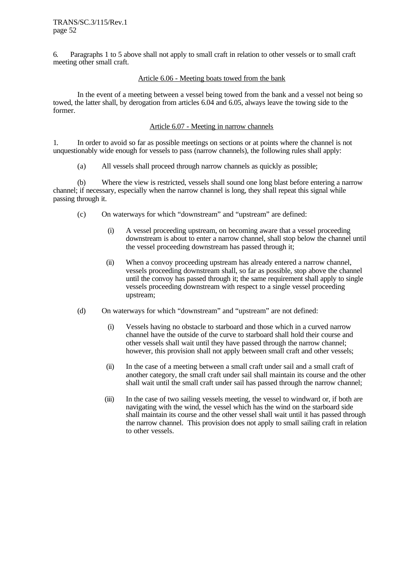6. Paragraphs 1 to 5 above shall not apply to small craft in relation to other vessels or to small craft meeting other small craft.

## Article 6.06 - Meeting boats towed from the bank

In the event of a meeting between a vessel being towed from the bank and a vessel not being so towed, the latter shall, by derogation from articles 6.04 and 6.05, always leave the towing side to the former.

## Article 6.07 - Meeting in narrow channels

1. In order to avoid so far as possible meetings on sections or at points where the channel is not unquestionably wide enough for vessels to pass (narrow channels), the following rules shall apply:

(a) All vessels shall proceed through narrow channels as quickly as possible;

(b) Where the view is restricted, vessels shall sound one long blast before entering a narrow channel; if necessary, especially when the narrow channel is long, they shall repeat this signal while passing through it.

- (c) On waterways for which "downstream" and "upstream" are defined:
	- (i) A vessel proceeding upstream, on becoming aware that a vessel proceeding downstream is about to enter a narrow channel, shall stop below the channel until the vessel proceeding downstream has passed through it;
	- (ii) When a convoy proceeding upstream has already entered a narrow channel, vessels proceeding downstream shall, so far as possible, stop above the channel until the convoy has passed through it; the same requirement shall apply to single vessels proceeding downstream with respect to a single vessel proceeding upstream;
- (d) On waterways for which "downstream" and "upstream" are not defined:
	- (i) Vessels having no obstacle to starboard and those which in a curved narrow channel have the outside of the curve to starboard shall hold their course and other vessels shall wait until they have passed through the narrow channel; however, this provision shall not apply between small craft and other vessels;
	- (ii) In the case of a meeting between a small craft under sail and a small craft of another category, the small craft under sail shall maintain its course and the other shall wait until the small craft under sail has passed through the narrow channel;
	- (iii) In the case of two sailing vessels meeting, the vessel to windward or, if both are navigating with the wind, the vessel which has the wind on the starboard side shall maintain its course and the other vessel shall wait until it has passed through the narrow channel. This provision does not apply to small sailing craft in relation to other vessels.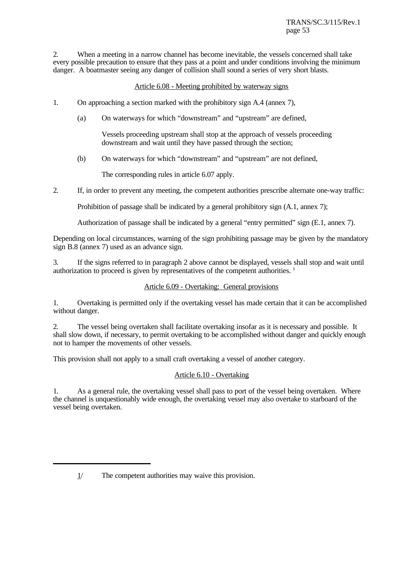2. When a meeting in a narrow channel has become inevitable, the vessels concerned shall take every possible precaution to ensure that they pass at a point and under conditions involving the minimum danger. A boatmaster seeing any danger of collision shall sound a series of very short blasts.

# Article 6.08 - Meeting prohibited by waterway signs

- 1. On approaching a section marked with the prohibitory sign A.4 (annex 7),
	- (a) On waterways for which "downstream" and "upstream" are defined,

Vessels proceeding upstream shall stop at the approach of vessels proceeding downstream and wait until they have passed through the section;

(b) On waterways for which "downstream" and "upstream" are not defined,

The corresponding rules in article 6.07 apply.

2. If, in order to prevent any meeting, the competent authorities prescribe alternate one-way traffic:

Prohibition of passage shall be indicated by a general prohibitory sign  $(A.1, \text{annex } 7)$ ;

Authorization of passage shall be indicated by a general "entry permitted" sign (E.1, annex 7).

Depending on local circumstances, warning of the sign prohibiting passage may be given by the mandatory sign B.8 (annex 7) used as an advance sign.

3. If the signs referred to in paragraph 2 above cannot be displayed, vessels shall stop and wait until authorization to proceed is given by representatives of the competent authorities. <sup>1</sup>

# Article 6.09 - Overtaking: General provisions

1. Overtaking is permitted only if the overtaking vessel has made certain that it can be accomplished without danger.

2. The vessel being overtaken shall facilitate overtaking insofar as it is necessary and possible. It shall slow down, if necessary, to permit overtaking to be accomplished without danger and quickly enough not to hamper the movements of other vessels.

This provision shall not apply to a small craft overtaking a vessel of another category.

# Article 6.10 - Overtaking

1. As a general rule, the overtaking vessel shall pass to port of the vessel being overtaken. Where the channel is unquestionably wide enough, the overtaking vessel may also overtake to starboard of the vessel being overtaken.

<sup>1/</sup> The competent authorities may waive this provision.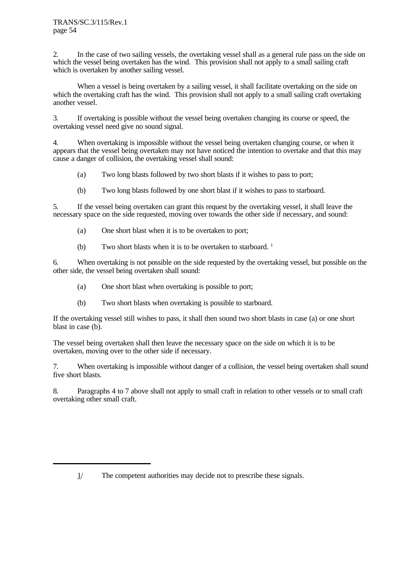2. In the case of two sailing vessels, the overtaking vessel shall as a general rule pass on the side on which the vessel being overtaken has the wind. This provision shall not apply to a small sailing craft which is overtaken by another sailing vessel.

When a vessel is being overtaken by a sailing vessel, it shall facilitate overtaking on the side on which the overtaking craft has the wind. This provision shall not apply to a small sailing craft overtaking another vessel.

3. If overtaking is possible without the vessel being overtaken changing its course or speed, the overtaking vessel need give no sound signal.

4. When overtaking is impossible without the vessel being overtaken changing course, or when it appears that the vessel being overtaken may not have noticed the intention to overtake and that this may cause a danger of collision, the overtaking vessel shall sound:

(a) Two long blasts followed by two short blasts if it wishes to pass to port;

(b) Two long blasts followed by one short blast if it wishes to pass to starboard.

5. If the vessel being overtaken can grant this request by the overtaking vessel, it shall leave the necessary space on the side requested, moving over towards the other side if necessary, and sound:

- (a) One short blast when it is to be overtaken to port;
- (b) Two short blasts when it is to be overtaken to starboard.  $1$

6. When overtaking is not possible on the side requested by the overtaking vessel, but possible on the other side, the vessel being overtaken shall sound:

- (a) One short blast when overtaking is possible to port;
- (b) Two short blasts when overtaking is possible to starboard.

If the overtaking vessel still wishes to pass, it shall then sound two short blasts in case (a) or one short blast in case (b).

The vessel being overtaken shall then leave the necessary space on the side on which it is to be overtaken, moving over to the other side if necessary.

7. When overtaking is impossible without danger of a collision, the vessel being overtaken shall sound five short blasts.

8. Paragraphs 4 to 7 above shall not apply to small craft in relation to other vessels or to small craft overtaking other small craft.

 $1/$  The competent authorities may decide not to prescribe these signals.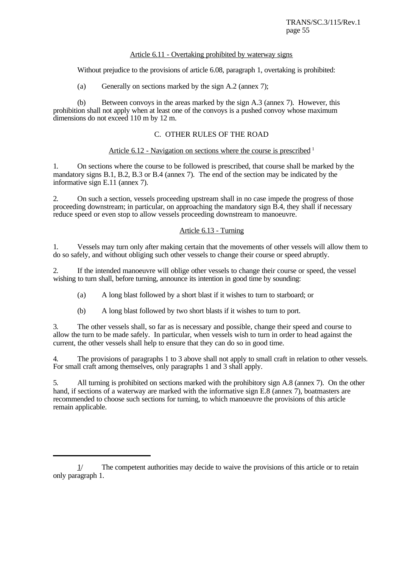## Article 6.11 - Overtaking prohibited by waterway signs

Without prejudice to the provisions of article 6.08, paragraph 1, overtaking is prohibited:

(a) Generally on sections marked by the sign A.2 (annex 7);

(b) Between convoys in the areas marked by the sign A.3 (annex 7). However, this prohibition shall not apply when at least one of the convoys is a pushed convoy whose maximum dimensions do not exceed 110 m by 12 m.

# C. OTHER RULES OF THE ROAD

# Article 6.12 - Navigation on sections where the course is prescribed <sup>1</sup>

1. On sections where the course to be followed is prescribed, that course shall be marked by the mandatory signs B.1, B.2, B.3 or B.4 (annex 7). The end of the section may be indicated by the informative sign E.11 (annex 7).

2. On such a section, vessels proceeding upstream shall in no case impede the progress of those proceeding downstream; in particular, on approaching the mandatory sign B.4, they shall if necessary reduce speed or even stop to allow vessels proceeding downstream to manoeuvre.

# Article 6.13 - Turning

1. Vessels may turn only after making certain that the movements of other vessels will allow them to do so safely, and without obliging such other vessels to change their course or speed abruptly.

2. If the intended manoeuvre will oblige other vessels to change their course or speed, the vessel wishing to turn shall, before turning, announce its intention in good time by sounding:

(a) A long blast followed by a short blast if it wishes to turn to starboard; or

(b) A long blast followed by two short blasts if it wishes to turn to port.

3. The other vessels shall, so far as is necessary and possible, change their speed and course to allow the turn to be made safely. In particular, when vessels wish to turn in order to head against the current, the other vessels shall help to ensure that they can do so in good time.

4. The provisions of paragraphs 1 to 3 above shall not apply to small craft in relation to other vessels. For small craft among themselves, only paragraphs 1 and 3 shall apply.

5. All turning is prohibited on sections marked with the prohibitory sign A.8 (annex 7). On the other hand, if sections of a waterway are marked with the informative sign E.8 (annex 7), boatmasters are recommended to choose such sections for turning, to which manoeuvre the provisions of this article remain applicable.

 $1/$  The competent authorities may decide to waive the provisions of this article or to retain only paragraph 1.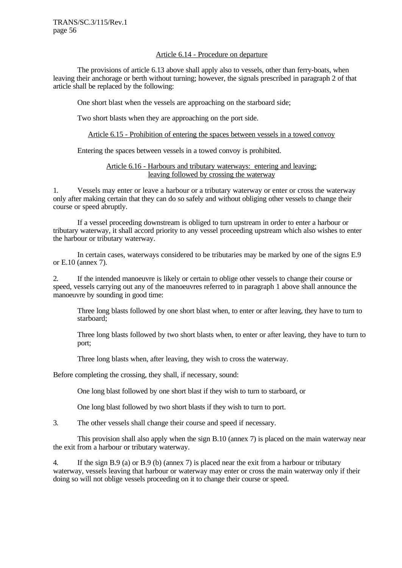# Article 6.14 - Procedure on departure

The provisions of article 6.13 above shall apply also to vessels, other than ferry-boats, when leaving their anchorage or berth without turning; however, the signals prescribed in paragraph 2 of that article shall be replaced by the following:

One short blast when the vessels are approaching on the starboard side;

Two short blasts when they are approaching on the port side.

## Article 6.15 - Prohibition of entering the spaces between vessels in a towed convoy

Entering the spaces between vessels in a towed convoy is prohibited.

#### Article 6.16 - Harbours and tributary waterways: entering and leaving; leaving followed by crossing the waterway

1. Vessels may enter or leave a harbour or a tributary waterway or enter or cross the waterway only after making certain that they can do so safely and without obliging other vessels to change their course or speed abruptly.

If a vessel proceeding downstream is obliged to turn upstream in order to enter a harbour or tributary waterway, it shall accord priority to any vessel proceeding upstream which also wishes to enter the harbour or tributary waterway.

In certain cases, waterways considered to be tributaries may be marked by one of the signs E.9 or E.10 (annex 7).

2. If the intended manoeuvre is likely or certain to oblige other vessels to change their course or speed, vessels carrying out any of the manoeuvres referred to in paragraph 1 above shall announce the manoeuvre by sounding in good time:

Three long blasts followed by one short blast when, to enter or after leaving, they have to turn to starboard;

Three long blasts followed by two short blasts when, to enter or after leaving, they have to turn to port;

Three long blasts when, after leaving, they wish to cross the waterway.

Before completing the crossing, they shall, if necessary, sound:

One long blast followed by one short blast if they wish to turn to starboard, or

One long blast followed by two short blasts if they wish to turn to port.

3. The other vessels shall change their course and speed if necessary.

This provision shall also apply when the sign B.10 (annex 7) is placed on the main waterway near the exit from a harbour or tributary waterway.

4. If the sign B.9 (a) or B.9 (b) (annex 7) is placed near the exit from a harbour or tributary waterway, vessels leaving that harbour or waterway may enter or cross the main waterway only if their doing so will not oblige vessels proceeding on it to change their course or speed.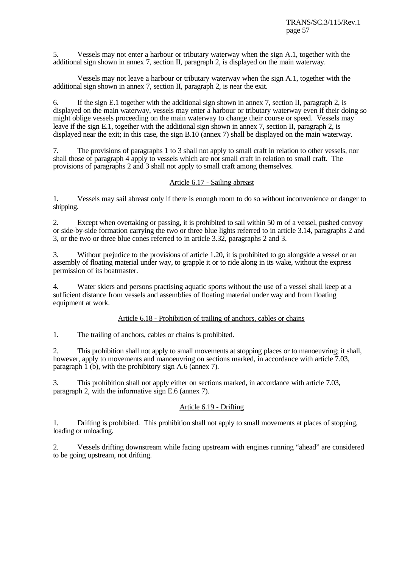5. Vessels may not enter a harbour or tributary waterway when the sign A.1, together with the additional sign shown in annex 7, section II, paragraph 2, is displayed on the main waterway.

Vessels may not leave a harbour or tributary waterway when the sign A.1, together with the additional sign shown in annex 7, section II, paragraph 2, is near the exit.

6. If the sign E.1 together with the additional sign shown in annex 7, section II, paragraph 2, is displayed on the main waterway, vessels may enter a harbour or tributary waterway even if their doing so might oblige vessels proceeding on the main waterway to change their course or speed. Vessels may leave if the sign E.1, together with the additional sign shown in annex 7, section II, paragraph 2, is displayed near the exit; in this case, the sign B.10 (annex 7) shall be displayed on the main waterway.

7. The provisions of paragraphs 1 to 3 shall not apply to small craft in relation to other vessels, nor shall those of paragraph 4 apply to vessels which are not small craft in relation to small craft. The provisions of paragraphs 2 and 3 shall not apply to small craft among themselves.

# Article 6.17 - Sailing abreast

1. Vessels may sail abreast only if there is enough room to do so without inconvenience or danger to shipping.

2. Except when overtaking or passing, it is prohibited to sail within 50 m of a vessel, pushed convoy or side-by-side formation carrying the two or three blue lights referred to in article 3.14, paragraphs 2 and 3, or the two or three blue cones referred to in article 3.32, paragraphs 2 and 3.

3. Without prejudice to the provisions of article 1.20, it is prohibited to go alongside a vessel or an assembly of floating material under way, to grapple it or to ride along in its wake, without the express permission of its boatmaster.

4. Water skiers and persons practising aquatic sports without the use of a vessel shall keep at a sufficient distance from vessels and assemblies of floating material under way and from floating equipment at work.

# Article 6.18 - Prohibition of trailing of anchors, cables or chains

1. The trailing of anchors, cables or chains is prohibited.

2. This prohibition shall not apply to small movements at stopping places or to manoeuvring; it shall, however, apply to movements and manoeuvring on sections marked, in accordance with article 7.03, paragraph  $\hat{1}$  (b), with the prohibitory sign A.6 (annex 7).

3. This prohibition shall not apply either on sections marked, in accordance with article 7.03, paragraph 2, with the informative sign E.6 (annex 7).

# Article 6.19 - Drifting

1. Drifting is prohibited. This prohibition shall not apply to small movements at places of stopping, loading or unloading.

2. Vessels drifting downstream while facing upstream with engines running "ahead" are considered to be going upstream, not drifting.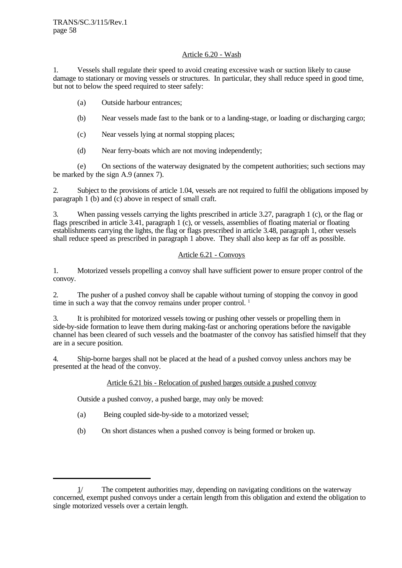# Article 6.20 - Wash

1. Vessels shall regulate their speed to avoid creating excessive wash or suction likely to cause damage to stationary or moving vessels or structures. In particular, they shall reduce speed in good time, but not to below the speed required to steer safely:

- (a) Outside harbour entrances;
- (b) Near vessels made fast to the bank or to a landing-stage, or loading or discharging cargo;
- (c) Near vessels lying at normal stopping places;
- (d) Near ferry-boats which are not moving independently;

(e) On sections of the waterway designated by the competent authorities; such sections may be marked by the sign A.9 (annex 7).

2. Subject to the provisions of article 1.04, vessels are not required to fulfil the obligations imposed by paragraph 1 (b) and (c) above in respect of small craft.

3. When passing vessels carrying the lights prescribed in article 3.27, paragraph 1 (c), or the flag or flags prescribed in article 3.41, paragraph 1 (c), or vessels, assemblies of floating material or floating establishments carrying the lights, the flag or flags prescribed in article 3.48, paragraph 1, other vessels shall reduce speed as prescribed in paragraph 1 above. They shall also keep as far off as possible.

# Article 6.21 - Convoys

1. Motorized vessels propelling a convoy shall have sufficient power to ensure proper control of the convoy.

2. The pusher of a pushed convoy shall be capable without turning of stopping the convoy in good time in such a way that the convoy remains under proper control.<sup>1</sup>

3. It is prohibited for motorized vessels towing or pushing other vessels or propelling them in side-by-side formation to leave them during making-fast or anchoring operations before the navigable channel has been cleared of such vessels and the boatmaster of the convoy has satisfied himself that they are in a secure position.

4. Ship-borne barges shall not be placed at the head of a pushed convoy unless anchors may be presented at the head of the convoy.

# Article 6.21 bis - Relocation of pushed barges outside a pushed convoy

Outside a pushed convoy, a pushed barge, may only be moved:

- (a) Being coupled side-by-side to a motorized vessel;
- (b) On short distances when a pushed convoy is being formed or broken up.

 $1/$  The competent authorities may, depending on navigating conditions on the waterway concerned, exempt pushed convoys under a certain length from this obligation and extend the obligation to single motorized vessels over a certain length.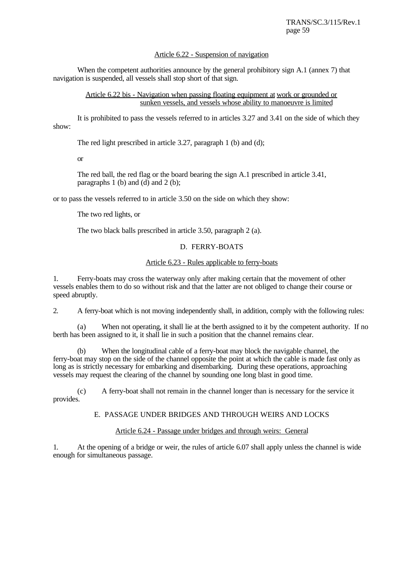## Article 6.22 - Suspension of navigation

When the competent authorities announce by the general prohibitory sign A.1 (annex 7) that navigation is suspended, all vessels shall stop short of that sign.

## Article 6.22 bis - Navigation when passing floating equipment at work or grounded or sunken vessels, and vessels whose ability to manoeuvre is limited

It is prohibited to pass the vessels referred to in articles 3.27 and 3.41 on the side of which they show:

The red light prescribed in article 3.27, paragraph 1 (b) and (d);

or

The red ball, the red flag or the board bearing the sign A.1 prescribed in article 3.41, paragraphs 1 (b) and (d) and 2 (b);

or to pass the vessels referred to in article 3.50 on the side on which they show:

The two red lights, or

The two black balls prescribed in article 3.50, paragraph 2 (a).

# D. FERRY-BOATS

# Article 6.23 - Rules applicable to ferry-boats

1. Ferry-boats may cross the waterway only after making certain that the movement of other vessels enables them to do so without risk and that the latter are not obliged to change their course or speed abruptly.

2. A ferry-boat which is not moving independently shall, in addition, comply with the following rules:

(a) When not operating, it shall lie at the berth assigned to it by the competent authority. If no berth has been assigned to it, it shall lie in such a position that the channel remains clear.

(b) When the longitudinal cable of a ferry-boat may block the navigable channel, the ferry-boat may stop on the side of the channel opposite the point at which the cable is made fast only as long as is strictly necessary for embarking and disembarking. During these operations, approaching vessels may request the clearing of the channel by sounding one long blast in good time.

(c) A ferry-boat shall not remain in the channel longer than is necessary for the service it provides.

E. PASSAGE UNDER BRIDGES AND THROUGH WEIRS AND LOCKS

# Article 6.24 - Passage under bridges and through weirs: General

1. At the opening of a bridge or weir, the rules of article 6.07 shall apply unless the channel is wide enough for simultaneous passage.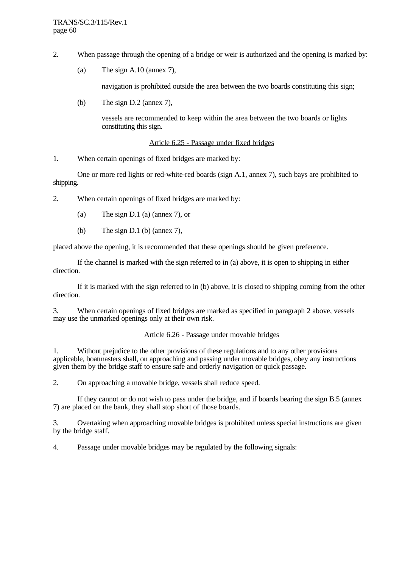- 2. When passage through the opening of a bridge or weir is authorized and the opening is marked by:
	- (a) The sign A.10 (annex 7),

navigation is prohibited outside the area between the two boards constituting this sign;

(b) The sign D.2 (annex 7),

vessels are recommended to keep within the area between the two boards or lights constituting this sign.

# Article 6.25 - Passage under fixed bridges

1. When certain openings of fixed bridges are marked by:

One or more red lights or red-white-red boards (sign A.1, annex 7), such bays are prohibited to shipping.

2. When certain openings of fixed bridges are marked by:

- (a) The sign D.1 (a) (annex 7), or
- (b) The sign D.1 (b) (annex 7),

placed above the opening, it is recommended that these openings should be given preference.

If the channel is marked with the sign referred to in (a) above, it is open to shipping in either direction.

If it is marked with the sign referred to in (b) above, it is closed to shipping coming from the other direction.

3. When certain openings of fixed bridges are marked as specified in paragraph 2 above, vessels may use the unmarked openings only at their own risk.

# Article 6.26 - Passage under movable bridges

1. Without prejudice to the other provisions of these regulations and to any other provisions applicable, boatmasters shall, on approaching and passing under movable bridges, obey any instructions given them by the bridge staff to ensure safe and orderly navigation or quick passage.

2. On approaching a movable bridge, vessels shall reduce speed.

If they cannot or do not wish to pass under the bridge, and if boards bearing the sign B.5 (annex 7) are placed on the bank, they shall stop short of those boards.

3. Overtaking when approaching movable bridges is prohibited unless special instructions are given by the bridge staff.

4. Passage under movable bridges may be regulated by the following signals: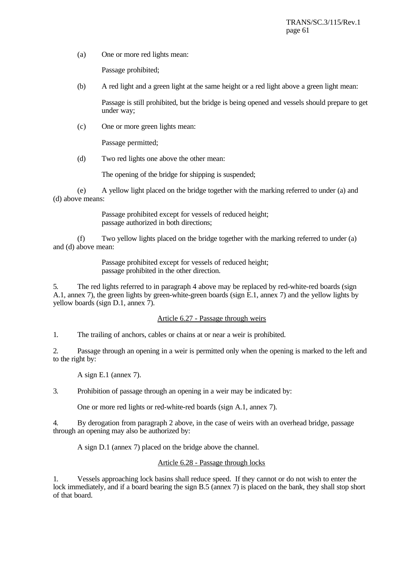(a) One or more red lights mean:

Passage prohibited;

(b) A red light and a green light at the same height or a red light above a green light mean:

Passage is still prohibited, but the bridge is being opened and vessels should prepare to get under way;

(c) One or more green lights mean:

Passage permitted;

(d) Two red lights one above the other mean:

The opening of the bridge for shipping is suspended;

(e) A yellow light placed on the bridge together with the marking referred to under (a) and (d) above means:

> Passage prohibited except for vessels of reduced height; passage authorized in both directions;

(f) Two yellow lights placed on the bridge together with the marking referred to under (a) and (d) above mean:

> Passage prohibited except for vessels of reduced height; passage prohibited in the other direction.

5. The red lights referred to in paragraph 4 above may be replaced by red-white-red boards (sign A.1, annex 7), the green lights by green-white-green boards (sign E.1, annex 7) and the yellow lights by yellow boards (sign D.1, annex 7).

# Article 6.27 - Passage through weirs

1. The trailing of anchors, cables or chains at or near a weir is prohibited.

2. Passage through an opening in a weir is permitted only when the opening is marked to the left and to the right by:

A sign E.1 (annex 7).

3. Prohibition of passage through an opening in a weir may be indicated by:

One or more red lights or red-white-red boards (sign A.1, annex 7).

4. By derogation from paragraph 2 above, in the case of weirs with an overhead bridge, passage through an opening may also be authorized by:

A sign D.1 (annex 7) placed on the bridge above the channel.

# Article 6.28 - Passage through locks

1. Vessels approaching lock basins shall reduce speed. If they cannot or do not wish to enter the lock immediately, and if a board bearing the sign B.5 (annex 7) is placed on the bank, they shall stop short of that board.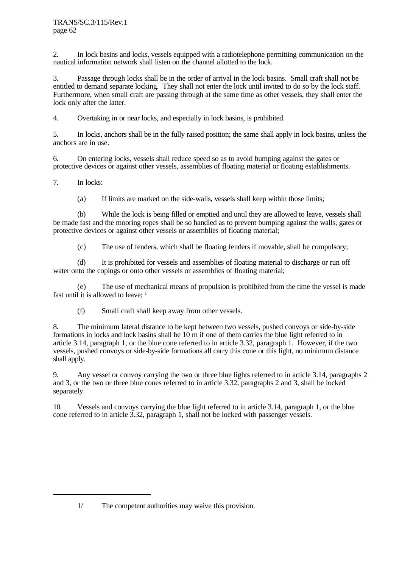2. In lock basins and locks, vessels equipped with a radiotelephone permitting communication on the nautical information network shall listen on the channel allotted to the lock.

3. Passage through locks shall be in the order of arrival in the lock basins. Small craft shall not be entitled to demand separate locking. They shall not enter the lock until invited to do so by the lock staff. Furthermore, when small craft are passing through at the same time as other vessels, they shall enter the lock only after the latter.

4. Overtaking in or near locks, and especially in lock basins, is prohibited.

5. In locks, anchors shall be in the fully raised position; the same shall apply in lock basins, unless the anchors are in use.

6. On entering locks, vessels shall reduce speed so as to avoid bumping against the gates or protective devices or against other vessels, assemblies of floating material or floating establishments.

7. In locks:

(a) If limits are marked on the side-walls, vessels shall keep within those limits;

(b) While the lock is being filled or emptied and until they are allowed to leave, vessels shall be made fast and the mooring ropes shall be so handled as to prevent bumping against the walls, gates or protective devices or against other vessels or assemblies of floating material;

(c) The use of fenders, which shall be floating fenders if movable, shall be compulsory;

(d) It is prohibited for vessels and assemblies of floating material to discharge or run off water onto the copings or onto other vessels or assemblies of floating material;

(e) The use of mechanical means of propulsion is prohibited from the time the vessel is made fast until it is allowed to leave;  $<sup>1</sup>$ </sup>

(f) Small craft shall keep away from other vessels.

8. The minimum lateral distance to be kept between two vessels, pushed convoys or side-by-side formations in locks and lock basins shall be 10 m if one of them carries the blue light referred to in article 3.14, paragraph 1, or the blue cone referred to in article 3.32, paragraph 1. However, if the two vessels, pushed convoys or side-by-side formations all carry this cone or this light, no minimum distance shall apply.

9. Any vessel or convoy carrying the two or three blue lights referred to in article 3.14, paragraphs 2 and 3, or the two or three blue cones referred to in article 3.32, paragraphs 2 and 3, shall be locked separately.

10. Vessels and convoys carrying the blue light referred to in article 3.14, paragraph 1, or the blue cone referred to in article 3.32, paragraph 1, shall not be locked with passenger vessels.

<sup>1/</sup> The competent authorities may waive this provision.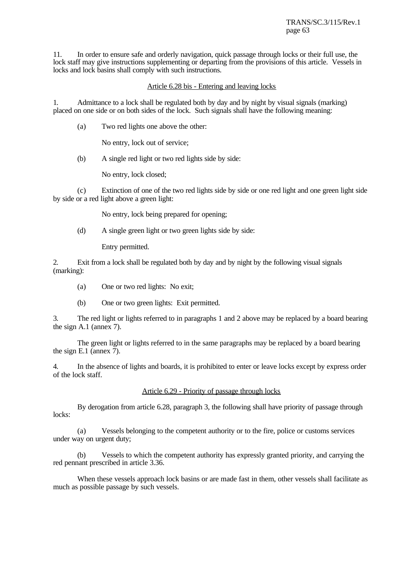11. In order to ensure safe and orderly navigation, quick passage through locks or their full use, the lock staff may give instructions supplementing or departing from the provisions of this article. Vessels in locks and lock basins shall comply with such instructions.

# Article 6.28 bis - Entering and leaving locks

1. Admittance to a lock shall be regulated both by day and by night by visual signals (marking) placed on one side or on both sides of the lock. Such signals shall have the following meaning:

(a) Two red lights one above the other:

No entry, lock out of service;

(b) A single red light or two red lights side by side:

No entry, lock closed;

(c) Extinction of one of the two red lights side by side or one red light and one green light side by side or a red light above a green light:

No entry, lock being prepared for opening;

(d) A single green light or two green lights side by side:

Entry permitted.

2. Exit from a lock shall be regulated both by day and by night by the following visual signals (marking):

- (a) One or two red lights: No exit;
- (b) One or two green lights: Exit permitted.

3. The red light or lights referred to in paragraphs 1 and 2 above may be replaced by a board bearing the sign A.1 (annex 7).

The green light or lights referred to in the same paragraphs may be replaced by a board bearing the sign E.1 (annex  $\tilde{7}$ ).

4. In the absence of lights and boards, it is prohibited to enter or leave locks except by express order of the lock staff.

# Article 6.29 - Priority of passage through locks

By derogation from article 6.28, paragraph 3, the following shall have priority of passage through locks:

(a) Vessels belonging to the competent authority or to the fire, police or customs services under way on urgent duty;

(b) Vessels to which the competent authority has expressly granted priority, and carrying the red pennant prescribed in article 3.36.

When these vessels approach lock basins or are made fast in them, other vessels shall facilitate as much as possible passage by such vessels.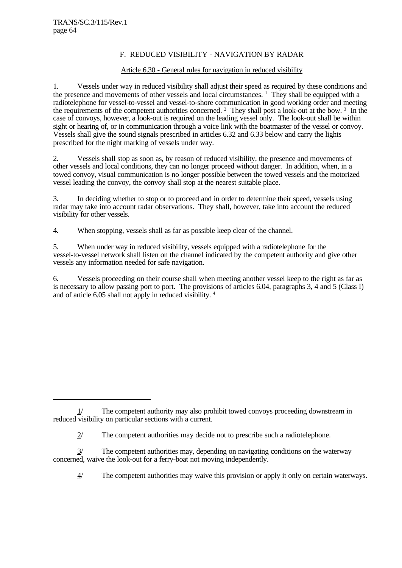# F. REDUCED VISIBILITY - NAVIGATION BY RADAR

# Article 6.30 - General rules for navigation in reduced visibility

1. Vessels under way in reduced visibility shall adjust their speed as required by these conditions and the presence and movements of other vessels and local circumstances. <sup>1</sup> They shall be equipped with a radiotelephone for vessel-to-vessel and vessel-to-shore communication in good working order and meeting the requirements of the competent authorities concerned. <sup>2</sup> They shall post a look-out at the bow. <sup>3</sup> In the case of convoys, however, a look-out is required on the leading vessel only. The look-out shall be within sight or hearing of, or in communication through a voice link with the boatmaster of the vessel or convoy. Vessels shall give the sound signals prescribed in articles 6.32 and 6.33 below and carry the lights prescribed for the night marking of vessels under way.

2. Vessels shall stop as soon as, by reason of reduced visibility, the presence and movements of other vessels and local conditions, they can no longer proceed without danger. In addition, when, in a towed convoy, visual communication is no longer possible between the towed vessels and the motorized vessel leading the convoy, the convoy shall stop at the nearest suitable place.

3. In deciding whether to stop or to proceed and in order to determine their speed, vessels using radar may take into account radar observations. They shall, however, take into account the reduced visibility for other vessels.

4. When stopping, vessels shall as far as possible keep clear of the channel.

5. When under way in reduced visibility, vessels equipped with a radiotelephone for the vessel-to-vessel network shall listen on the channel indicated by the competent authority and give other vessels any information needed for safe navigation.

6. Vessels proceeding on their course shall when meeting another vessel keep to the right as far as is necessary to allow passing port to port. The provisions of articles 6.04, paragraphs 3, 4 and 5 (Class I) and of article 6.05 shall not apply in reduced visibility. 4

4/ The competent authorities may waive this provision or apply it only on certain waterways.

<sup>1/</sup> The competent authority may also prohibit towed convoys proceeding downstream in reduced visibility on particular sections with a current.

<sup>2/</sup> The competent authorities may decide not to prescribe such a radiotelephone.

<sup>3/</sup> The competent authorities may, depending on navigating conditions on the waterway concerned, waive the look-out for a ferry-boat not moving independently.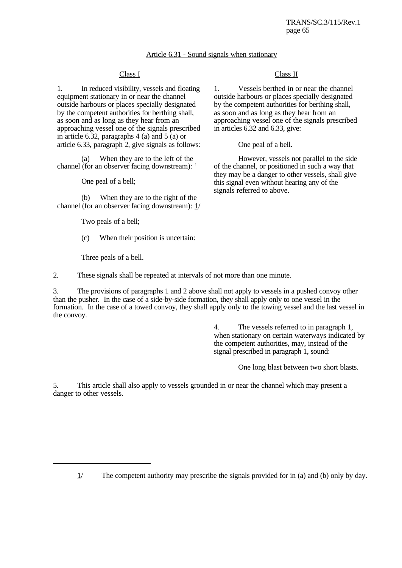# Article 6.31 - Sound signals when stationary

1. In reduced visibility, vessels and floating equipment stationary in or near the channel outside harbours or places specially designated by the competent authorities for berthing shall, as soon and as long as they hear from an approaching vessel one of the signals prescribed in article 6.32, paragraphs 4 (a) and 5 (a) or article 6.33, paragraph 2, give signals as follows:

When they are to the left of the channel (for an observer facing downstream): <sup>1</sup>

One peal of a bell;

(b) When they are to the right of the channel (for an observer facing downstream): 1/

Two peals of a bell;

(c) When their position is uncertain:

Three peals of a bell.

# Class I Class II

1. Vessels berthed in or near the channel outside harbours or places specially designated by the competent authorities for berthing shall, as soon and as long as they hear from an approaching vessel one of the signals prescribed in articles 6.32 and 6.33, give:

One peal of a bell.

However, vessels not parallel to the side of the channel, or positioned in such a way that they may be a danger to other vessels, shall give this signal even without hearing any of the signals referred to above.

2. These signals shall be repeated at intervals of not more than one minute.

3. The provisions of paragraphs 1 and 2 above shall not apply to vessels in a pushed convoy other than the pusher. In the case of a side-by-side formation, they shall apply only to one vessel in the formation. In the case of a towed convoy, they shall apply only to the towing vessel and the last vessel in the convoy.

> 4. The vessels referred to in paragraph 1, when stationary on certain waterways indicated by the competent authorities, may, instead of the signal prescribed in paragraph 1, sound:

> > One long blast between two short blasts.

5. This article shall also apply to vessels grounded in or near the channel which may present a danger to other vessels.

 $1/$  The competent authority may prescribe the signals provided for in (a) and (b) only by day.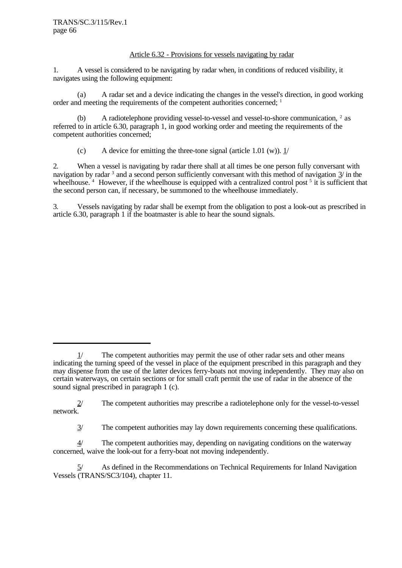# Article 6.32 - Provisions for vessels navigating by radar

1. A vessel is considered to be navigating by radar when, in conditions of reduced visibility, it navigates using the following equipment:

(a) A radar set and a device indicating the changes in the vessel's direction, in good working order and meeting the requirements of the competent authorities concerned; <sup>1</sup>

(b) A radiotelephone providing vessel-to-vessel and vessel-to-shore communication, <sup>2</sup> as referred to in article 6.30, paragraph 1, in good working order and meeting the requirements of the competent authorities concerned;

(c) A device for emitting the three-tone signal (article 1.01 (w)).  $\frac{1}{l}$ 

2. When a vessel is navigating by radar there shall at all times be one person fully conversant with navigation by radar<sup>3</sup> and a second person sufficiently conversant with this method of navigation  $3/$  in the wheelhouse.<sup>4</sup> However, if the wheelhouse is equipped with a centralized control post<sup>5</sup> it is sufficient that the second person can, if necessary, be summoned to the wheelhouse immediately.

3. Vessels navigating by radar shall be exempt from the obligation to post a look-out as prescribed in article 6.30, paragraph 1 if the boatmaster is able to hear the sound signals.

 $1/$  The competent authorities may permit the use of other radar sets and other means indicating the turning speed of the vessel in place of the equipment prescribed in this paragraph and they may dispense from the use of the latter devices ferry-boats not moving independently. They may also on certain waterways, on certain sections or for small craft permit the use of radar in the absence of the sound signal prescribed in paragraph 1 (c).

<sup>2/</sup> The competent authorities may prescribe a radiotelephone only for the vessel-to-vessel network.

<sup>3/</sup> The competent authorities may lay down requirements concerning these qualifications.

<sup>4/</sup> The competent authorities may, depending on navigating conditions on the waterway concerned, waive the look-out for a ferry-boat not moving independently.

<sup>5/</sup> As defined in the Recommendations on Technical Requirements for Inland Navigation Vessels (TRANS/SC3/104), chapter 11.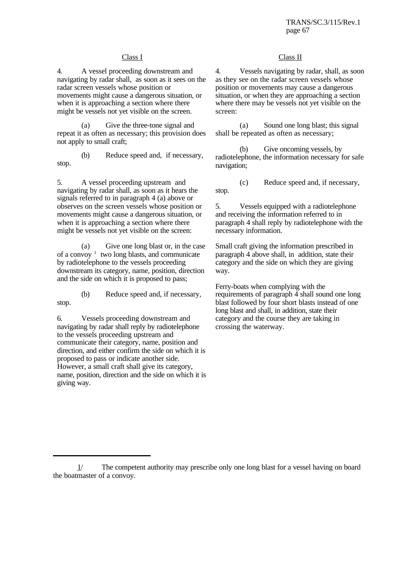4. A vessel proceeding downstream and navigating by radar shall, as soon as it sees on the radar screen vessels whose position or movements might cause a dangerous situation, or when it is approaching a section where there might be vessels not yet visible on the screen.

(a) Give the three-tone signal and repeat it as often as necessary; this provision does not apply to small craft;

(b) Reduce speed and, if necessary, stop.

5. A vessel proceeding upstream and navigating by radar shall, as soon as it hears the signals referred to in paragraph 4 (a) above or observes on the screen vessels whose position or movements might cause a dangerous situation, or when it is approaching a section where there might be vessels not yet visible on the screen:

(a) Give one long blast or, in the case of a convoy<sup>1</sup> two long blasts, and communicate by radiotelephone to the vessels proceeding downstream its category, name, position, direction and the side on which it is proposed to pass;

(b) Reduce speed and, if necessary, stop.

6. Vessels proceeding downstream and navigating by radar shall reply by radiotelephone to the vessels proceeding upstream and communicate their category, name, position and direction, and either confirm the side on which it is proposed to pass or indicate another side. However, a small craft shall give its category, name, position, direction and the side on which it is giving way.

# Class I Class II

4. Vessels navigating by radar, shall, as soon as they see on the radar screen vessels whose position or movements may cause a dangerous situation, or when they are approaching a section where there may be vessels not yet visible on the screen:

(a) Sound one long blast; this signal shall be repeated as often as necessary;

(b) Give oncoming vessels, by radiotelephone, the information necessary for safe navigation;

(c) Reduce speed and, if necessary, stop.

5. Vessels equipped with a radiotelephone and receiving the information referred to in paragraph 4 shall reply by radiotelephone with the necessary information.

Small craft giving the information prescribed in paragraph 4 above shall, in addition, state their category and the side on which they are giving way.

Ferry-boats when complying with the requirements of paragraph  $\overline{4}$  shall sound one long blast followed by four short blasts instead of one long blast and shall, in addition, state their category and the course they are taking in crossing the waterway.

<sup>1/</sup> The competent authority may prescribe only one long blast for a vessel having on board the boatmaster of a convoy.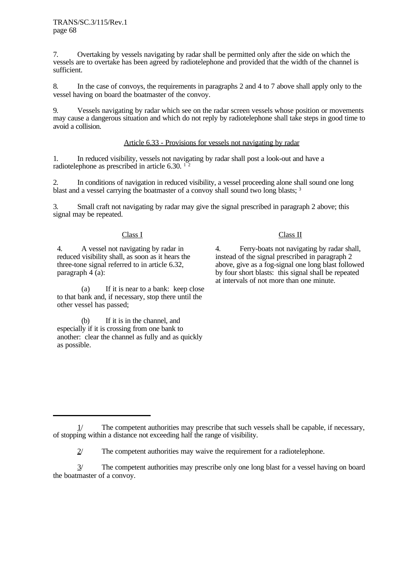7. Overtaking by vessels navigating by radar shall be permitted only after the side on which the vessels are to overtake has been agreed by radiotelephone and provided that the width of the channel is sufficient.

8. In the case of convoys, the requirements in paragraphs 2 and 4 to 7 above shall apply only to the vessel having on board the boatmaster of the convoy.

9. Vessels navigating by radar which see on the radar screen vessels whose position or movements may cause a dangerous situation and which do not reply by radiotelephone shall take steps in good time to avoid a collision.

## Article 6.33 - Provisions for vessels not navigating by radar

1. In reduced visibility, vessels not navigating by radar shall post a look-out and have a radiotelephone as prescribed in article 6.30.  $1^2$ 

2. In conditions of navigation in reduced visibility, a vessel proceeding alone shall sound one long blast and a vessel carrying the boatmaster of a convoy shall sound two long blasts; <sup>3</sup>

3. Small craft not navigating by radar may give the signal prescribed in paragraph 2 above; this signal may be repeated.

4. A vessel not navigating by radar in reduced visibility shall, as soon as it hears the three-tone signal referred to in article 6.32, paragraph 4 (a):

(a) If it is near to a bank: keep close to that bank and, if necessary, stop there until the other vessel has passed;

(b) If it is in the channel, and especially if it is crossing from one bank to another: clear the channel as fully and as quickly as possible.

# Class I Class II

4. Ferry-boats not navigating by radar shall, instead of the signal prescribed in paragraph 2 above, give as a fog-signal one long blast followed by four short blasts: this signal shall be repeated at intervals of not more than one minute.

The competent authorities may prescribe that such vessels shall be capable, if necessary, of stopping within a distance not exceeding half the range of visibility.

 $2$  The competent authorities may waive the requirement for a radiotelephone.

<sup>3/</sup> The competent authorities may prescribe only one long blast for a vessel having on board the boatmaster of a convoy.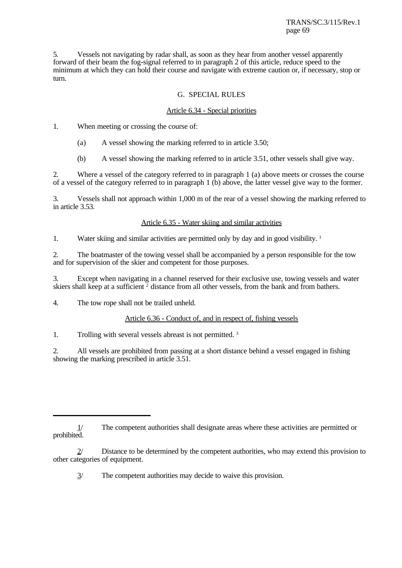5. Vessels not navigating by radar shall, as soon as they hear from another vessel apparently forward of their beam the fog-signal referred to in paragraph 2 of this article, reduce speed to the minimum at which they can hold their course and navigate with extreme caution or, if necessary, stop or turn.

# G. SPECIAL RULES

# Article 6.34 - Special priorities

1. When meeting or crossing the course of:

- (a) A vessel showing the marking referred to in article 3.50;
- (b) A vessel showing the marking referred to in article 3.51, other vessels shall give way.

2. Where a vessel of the category referred to in paragraph 1 (a) above meets or crosses the course of a vessel of the category referred to in paragraph 1 (b) above, the latter vessel give way to the former.

3. Vessels shall not approach within 1,000 m of the rear of a vessel showing the marking referred to in article 3.53.

# Article 6.35 - Water skiing and similar activities

1. Water skiing and similar activities are permitted only by day and in good visibility. <sup>1</sup>

2. The boatmaster of the towing vessel shall be accompanied by a person responsible for the tow and for supervision of the skier and competent for those purposes.

3. Except when navigating in a channel reserved for their exclusive use, towing vessels and water skiers shall keep at a sufficient <sup>2</sup> distance from all other vessels, from the bank and from bathers.

4. The tow rope shall not be trailed unheld.

Article 6.36 - Conduct of, and in respect of, fishing vessels

1. Trolling with several vessels abreast is not permitted. <sup>3</sup>

2. All vessels are prohibited from passing at a short distance behind a vessel engaged in fishing showing the marking prescribed in article 3.51.

<sup>1/</sup> The competent authorities shall designate areas where these activities are permitted or prohibited.

Distance to be determined by the competent authorities, who may extend this provision to other categories of equipment.

<sup>3/</sup> The competent authorities may decide to waive this provision.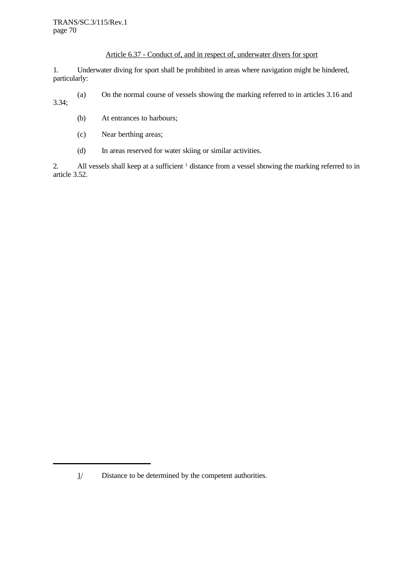# Article 6.37 - Conduct of, and in respect of, underwater divers for sport

1. Underwater diving for sport shall be prohibited in areas where navigation might be hindered, particularly:

(a) On the normal course of vessels showing the marking referred to in articles 3.16 and 3.34;

- (b) At entrances to harbours;
- (c) Near berthing areas;
- (d) In areas reserved for water skiing or similar activities.

2. All vessels shall keep at a sufficient <sup>1</sup> distance from a vessel showing the marking referred to in article 3.52.

<sup>1/</sup> Distance to be determined by the competent authorities.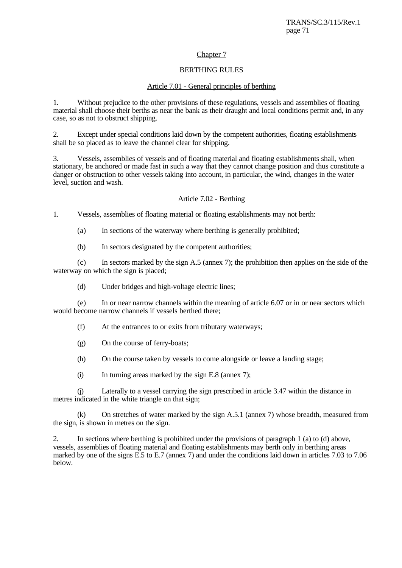## Chapter 7

## BERTHING RULES

### Article 7.01 - General principles of berthing

1. Without prejudice to the other provisions of these regulations, vessels and assemblies of floating material shall choose their berths as near the bank as their draught and local conditions permit and, in any case, so as not to obstruct shipping.

2. Except under special conditions laid down by the competent authorities, floating establishments shall be so placed as to leave the channel clear for shipping.

3. Vessels, assemblies of vessels and of floating material and floating establishments shall, when stationary, be anchored or made fast in such a way that they cannot change position and thus constitute a danger or obstruction to other vessels taking into account, in particular, the wind, changes in the water level, suction and wash.

### Article 7.02 - Berthing

1. Vessels, assemblies of floating material or floating establishments may not berth:

(a) In sections of the waterway where berthing is generally prohibited;

(b) In sectors designated by the competent authorities;

(c) In sectors marked by the sign A.5 (annex 7); the prohibition then applies on the side of the waterway on which the sign is placed;

(d) Under bridges and high-voltage electric lines;

(e) In or near narrow channels within the meaning of article 6.07 or in or near sectors which would become narrow channels if vessels berthed there;

- (f) At the entrances to or exits from tributary waterways;
- (g) On the course of ferry-boats;
- (h) On the course taken by vessels to come alongside or leave a landing stage;
- (i) In turning areas marked by the sign E.8 (annex 7);

(j) Laterally to a vessel carrying the sign prescribed in article 3.47 within the distance in metres indicated in the white triangle on that sign;

(k) On stretches of water marked by the sign A.5.1 (annex 7) whose breadth, measured from the sign, is shown in metres on the sign.

In sections where berthing is prohibited under the provisions of paragraph  $1$  (a) to (d) above, vessels, assemblies of floating material and floating establishments may berth only in berthing areas marked by one of the signs E.5 to E.7 (annex 7) and under the conditions laid down in articles 7.03 to 7.06 below.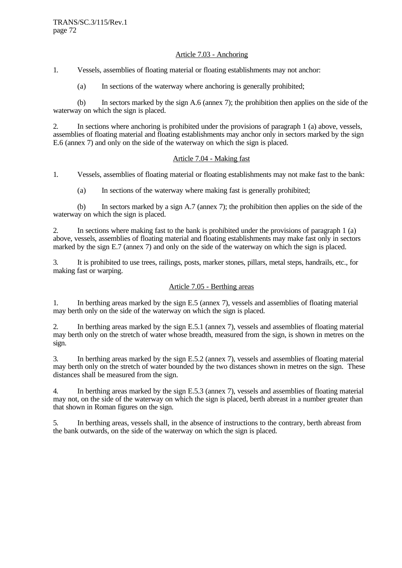## Article 7.03 - Anchoring

1. Vessels, assemblies of floating material or floating establishments may not anchor:

(a) In sections of the waterway where anchoring is generally prohibited;

(b) In sectors marked by the sign A.6 (annex 7); the prohibition then applies on the side of the waterway on which the sign is placed.

2. In sections where anchoring is prohibited under the provisions of paragraph 1 (a) above, vessels, assemblies of floating material and floating establishments may anchor only in sectors marked by the sign E.6 (annex 7) and only on the side of the waterway on which the sign is placed.

## Article 7.04 - Making fast

1. Vessels, assemblies of floating material or floating establishments may not make fast to the bank:

(a) In sections of the waterway where making fast is generally prohibited;

(b) In sectors marked by a sign A.7 (annex 7); the prohibition then applies on the side of the waterway on which the sign is placed.

2. In sections where making fast to the bank is prohibited under the provisions of paragraph 1 (a) above, vessels, assemblies of floating material and floating establishments may make fast only in sectors marked by the sign E.7 (annex 7) and only on the side of the waterway on which the sign is placed.

3. It is prohibited to use trees, railings, posts, marker stones, pillars, metal steps, handrails, etc., for making fast or warping.

## Article 7.05 - Berthing areas

1. In berthing areas marked by the sign E.5 (annex 7), vessels and assemblies of floating material may berth only on the side of the waterway on which the sign is placed.

2. In berthing areas marked by the sign E.5.1 (annex 7), vessels and assemblies of floating material may berth only on the stretch of water whose breadth, measured from the sign, is shown in metres on the sign.

3. In berthing areas marked by the sign E.5.2 (annex 7), vessels and assemblies of floating material may berth only on the stretch of water bounded by the two distances shown in metres on the sign. These distances shall be measured from the sign.

4. In berthing areas marked by the sign E.5.3 (annex 7), vessels and assemblies of floating material may not, on the side of the waterway on which the sign is placed, berth abreast in a number greater than that shown in Roman figures on the sign.

5. In berthing areas, vessels shall, in the absence of instructions to the contrary, berth abreast from the bank outwards, on the side of the waterway on which the sign is placed.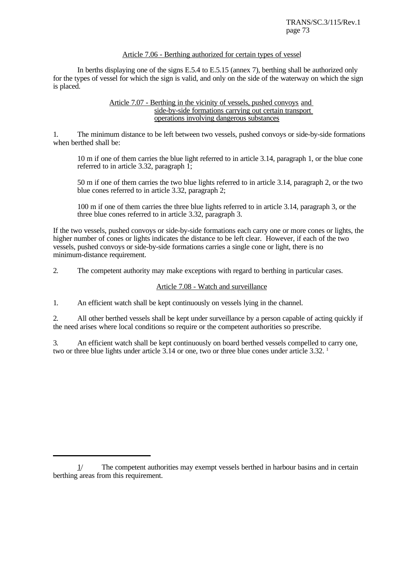### Article 7.06 - Berthing authorized for certain types of vessel

In berths displaying one of the signs E.5.4 to E.5.15 (annex 7), berthing shall be authorized only for the types of vessel for which the sign is valid, and only on the side of the waterway on which the sign is placed.

### Article 7.07 - Berthing in the vicinity of vessels, pushed convoys and side-by-side formations carrying out certain transport operations involving dangerous substances

1. The minimum distance to be left between two vessels, pushed convoys or side-by-side formations when berthed shall be:

10 m if one of them carries the blue light referred to in article 3.14, paragraph 1, or the blue cone referred to in article 3.32, paragraph 1;

50 m if one of them carries the two blue lights referred to in article 3.14, paragraph 2, or the two blue cones referred to in article 3.32, paragraph 2;

100 m if one of them carries the three blue lights referred to in article 3.14, paragraph 3, or the three blue cones referred to in article 3.32, paragraph 3.

If the two vessels, pushed convoys or side-by-side formations each carry one or more cones or lights, the higher number of cones or lights indicates the distance to be left clear. However, if each of the two vessels, pushed convoys or side-by-side formations carries a single cone or light, there is no minimum-distance requirement.

2. The competent authority may make exceptions with regard to berthing in particular cases.

## Article 7.08 - Watch and surveillance

1. An efficient watch shall be kept continuously on vessels lying in the channel.

2. All other berthed vessels shall be kept under surveillance by a person capable of acting quickly if the need arises where local conditions so require or the competent authorities so prescribe.

3. An efficient watch shall be kept continuously on board berthed vessels compelled to carry one, two or three blue lights under article 3.14 or one, two or three blue cones under article 3.32.<sup>1</sup>

<sup>1/</sup> The competent authorities may exempt vessels berthed in harbour basins and in certain berthing areas from this requirement.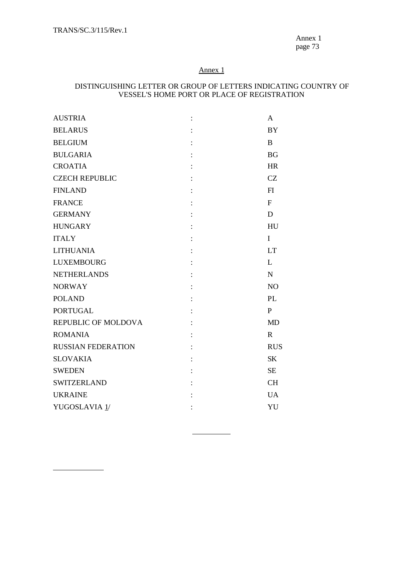$\overline{a}$ 

Annex 1 page 73

## Annex 1

## DISTINGUISHING LETTER OR GROUP OF LETTERS INDICATING COUNTRY OF VESSEL'S HOME PORT OR PLACE OF REGISTRATION

| <b>AUSTRIA</b>            | $\ddot{\cdot}$ | A              |
|---------------------------|----------------|----------------|
| <b>BELARUS</b>            |                | <b>BY</b>      |
| <b>BELGIUM</b>            |                | B              |
| <b>BULGARIA</b>           |                | <b>BG</b>      |
| <b>CROATIA</b>            |                | <b>HR</b>      |
| <b>CZECH REPUBLIC</b>     |                | CZ             |
| <b>FINLAND</b>            |                | F1             |
| <b>FRANCE</b>             |                | $\mathbf{F}$   |
| <b>GERMANY</b>            |                | D              |
| <b>HUNGARY</b>            |                | HU             |
| <b>ITALY</b>              |                | I              |
| <b>LITHUANIA</b>          |                | <b>LT</b>      |
| <b>LUXEMBOURG</b>         |                | L              |
| <b>NETHERLANDS</b>        |                | $\mathbf N$    |
| <b>NORWAY</b>             |                | N <sub>O</sub> |
| <b>POLAND</b>             |                | PL             |
| <b>PORTUGAL</b>           |                | $\mathbf{P}$   |
| REPUBLIC OF MOLDOVA       |                | <b>MD</b>      |
| <b>ROMANIA</b>            |                | R              |
| <b>RUSSIAN FEDERATION</b> |                | <b>RUS</b>     |
| <b>SLOVAKIA</b>           |                | <b>SK</b>      |
| <b>SWEDEN</b>             |                | <b>SE</b>      |
| <b>SWITZERLAND</b>        |                | <b>CH</b>      |
| <b>UKRAINE</b>            |                | $U$ A          |
| YUGOSLAVIA 1/             |                | YU             |
|                           |                |                |

 $\overline{a}$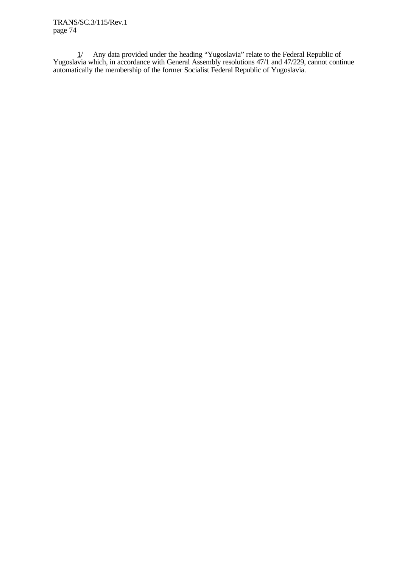TRANS/SC.3/115/Rev.1 page 74

1/ Any data provided under the heading "Yugoslavia" relate to the Federal Republic of Yugoslavia which, in accordance with General Assembly resolutions 47/1 and 47/229, cannot continue automatically the membership of the former Socialist Federal Republic of Yugoslavia.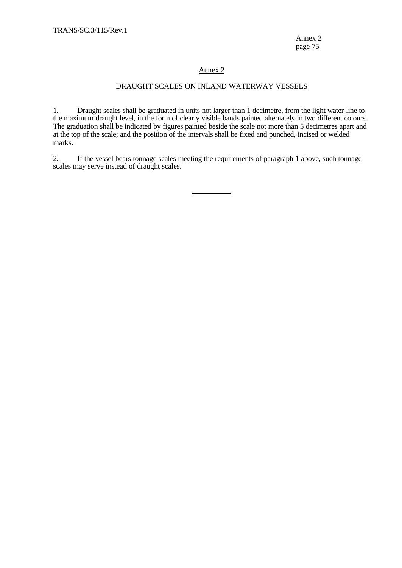## Annex 2

## DRAUGHT SCALES ON INLAND WATERWAY VESSELS

1. Draught scales shall be graduated in units not larger than 1 decimetre, from the light water-line to the maximum draught level, in the form of clearly visible bands painted alternately in two different colours. The graduation shall be indicated by figures painted beside the scale not more than 5 decimetres apart and at the top of the scale; and the position of the intervals shall be fixed and punched, incised or welded marks.

2. If the vessel bears tonnage scales meeting the requirements of paragraph 1 above, such tonnage scales may serve instead of draught scales.

 $\overline{a}$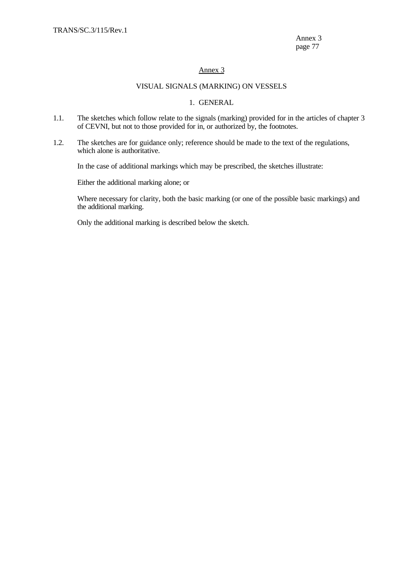## Annex 3

## VISUAL SIGNALS (MARKING) ON VESSELS

### 1. GENERAL

- 1.1. The sketches which follow relate to the signals (marking) provided for in the articles of chapter 3 of CEVNI, but not to those provided for in, or authorized by, the footnotes.
- 1.2. The sketches are for guidance only; reference should be made to the text of the regulations, which alone is authoritative.

In the case of additional markings which may be prescribed, the sketches illustrate:

Either the additional marking alone; or

Where necessary for clarity, both the basic marking (or one of the possible basic markings) and the additional marking.

Only the additional marking is described below the sketch.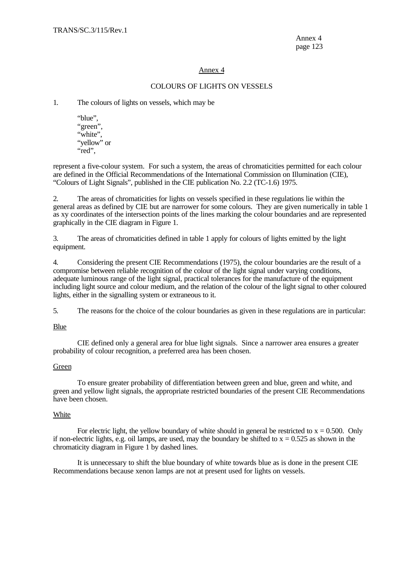## Annex 4

### COLOURS OF LIGHTS ON VESSELS

1. The colours of lights on vessels, which may be

"blue", "green", "white", "yellow" or "red",

represent a five-colour system. For such a system, the areas of chromaticities permitted for each colour are defined in the Official Recommendations of the International Commission on Illumination (CIE), "Colours of Light Signals", published in the CIE publication No. 2.2 (TC-1.6) 1975.

2. The areas of chromaticities for lights on vessels specified in these regulations lie within the general areas as defined by CIE but are narrower for some colours. They are given numerically in table 1 as xy coordinates of the intersection points of the lines marking the colour boundaries and are represented graphically in the CIE diagram in Figure 1.

3. The areas of chromaticities defined in table 1 apply for colours of lights emitted by the light equipment.

4. Considering the present CIE Recommendations (1975), the colour boundaries are the result of a compromise between reliable recognition of the colour of the light signal under varying conditions, adequate luminous range of the light signal, practical tolerances for the manufacture of the equipment including light source and colour medium, and the relation of the colour of the light signal to other coloured lights, either in the signalling system or extraneous to it.

5. The reasons for the choice of the colour boundaries as given in these regulations are in particular:

### Blue

CIE defined only a general area for blue light signals. Since a narrower area ensures a greater probability of colour recognition, a preferred area has been chosen.

### Green

To ensure greater probability of differentiation between green and blue, green and white, and green and yellow light signals, the appropriate restricted boundaries of the present CIE Recommendations have been chosen.

### White

For electric light, the yellow boundary of white should in general be restricted to  $x = 0.500$ . Only if non-electric lights, e.g. oil lamps, are used, may the boundary be shifted to  $x = 0.525$  as shown in the chromaticity diagram in Figure 1 by dashed lines.

It is unnecessary to shift the blue boundary of white towards blue as is done in the present CIE Recommendations because xenon lamps are not at present used for lights on vessels.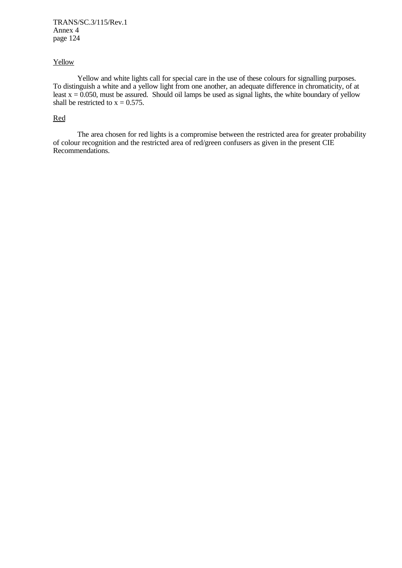TRANS/SC.3/115/Rev.1 Annex 4 page 124

### **Yellow**

Yellow and white lights call for special care in the use of these colours for signalling purposes. To distinguish a white and a yellow light from one another, an adequate difference in chromaticity, of at least  $x = 0.050$ , must be assured. Should oil lamps be used as signal lights, the white boundary of yellow shall be restricted to  $x = 0.575$ .

## Red

The area chosen for red lights is a compromise between the restricted area for greater probability of colour recognition and the restricted area of red/green confusers as given in the present CIE Recommendations.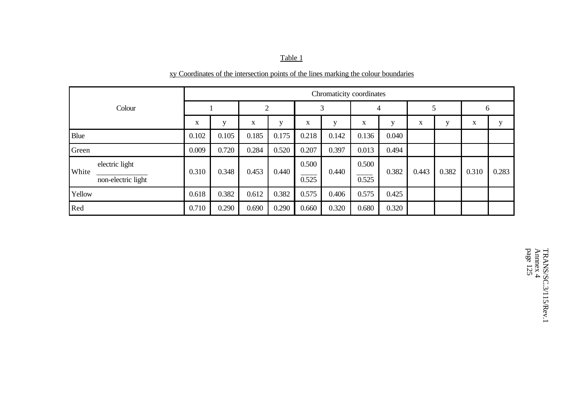## Table 1

# xy Coordinates of the intersection points of the lines marking the colour boundaries

|                                               | Chromaticity coordinates |       |                |       |                |       |                |       |       |       |       |       |
|-----------------------------------------------|--------------------------|-------|----------------|-------|----------------|-------|----------------|-------|-------|-------|-------|-------|
| Colour                                        |                          |       | $\overline{2}$ |       | 3              |       | 4              |       |       |       | 6     |       |
|                                               | X                        | y     | X              | y     | X              | y     | $\mathbf X$    | у     | X     | y     | X     | V     |
| Blue                                          | 0.102                    | 0.105 | 0.185          | 0.175 | 0.218          | 0.142 | 0.136          | 0.040 |       |       |       |       |
| Green                                         | 0.009                    | 0.720 | 0.284          | 0.520 | 0.207          | 0.397 | 0.013          | 0.494 |       |       |       |       |
| electric light<br>White<br>non-electric light | 0.310                    | 0.348 | 0.453          | 0.440 | 0.500<br>0.525 | 0.440 | 0.500<br>0.525 | 0.382 | 0.443 | 0.382 | 0.310 | 0.283 |
| Yellow                                        | 0.618                    | 0.382 | 0.612          | 0.382 | 0.575          | 0.406 | 0.575          | 0.425 |       |       |       |       |
| Red                                           | 0.710                    | 0.290 | 0.690          | 0.290 | 0.660          | 0.320 | 0.680          | 0.320 |       |       |       |       |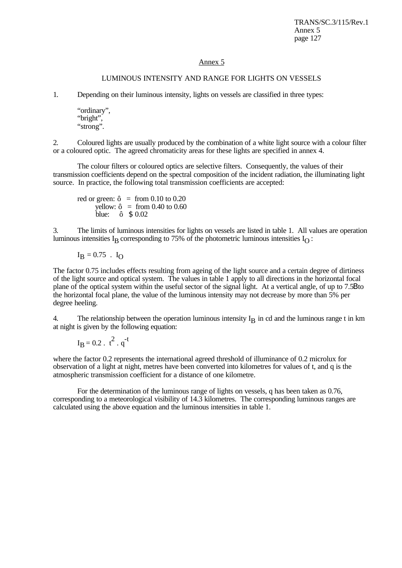TRANS/SC.3/115/Rev.1 Annex 5 page 127

#### Annex 5

### LUMINOUS INTENSITY AND RANGE FOR LIGHTS ON VESSELS

1. Depending on their luminous intensity, lights on vessels are classified in three types:

"ordinary", "bright", "strong".

2. Coloured lights are usually produced by the combination of a white light source with a colour filter or a coloured optic. The agreed chromaticity areas for these lights are specified in annex 4.

The colour filters or coloured optics are selective filters. Consequently, the values of their transmission coefficients depend on the spectral composition of the incident radiation, the illuminating light source. In practice, the following total transmission coefficients are accepted:

red or green:  $\hat{o}$  = from 0.10 to 0.20 yellow:  $\hat{o}$  = from 0.40 to 0.60 blue: ô \$ 0.02

3. The limits of luminous intensities for lights on vessels are listed in table 1. All values are operation luminous intensities  $I_B$  corresponding to 75% of the photometric luminous intensities  $I_O$ :

$$
I_B = 0.75 \cdot I_O
$$

The factor 0.75 includes effects resulting from ageing of the light source and a certain degree of dirtiness of the light source and optical system. The values in table 1 apply to all directions in the horizontal focal plane of the optical system within the useful sector of the signal light. At a vertical angle, of up to 7.5B to the horizontal focal plane, the value of the luminous intensity may not decrease by more than 5% per degree heeling.

4. The relationship between the operation luminous intensity  $I_B$  in cd and the luminous range t in km at night is given by the following equation:

$$
I_B = 0.2 \, . \, t^2 \, . \, q^{-t}
$$

where the factor 0.2 represents the international agreed threshold of illuminance of 0.2 microlux for observation of a light at night, metres have been converted into kilometres for values of t, and q is the atmospheric transmission coefficient for a distance of one kilometre.

For the determination of the luminous range of lights on vessels, q has been taken as 0.76, corresponding to a meteorological visibility of 14.3 kilometres. The corresponding luminous ranges are calculated using the above equation and the luminous intensities in table 1.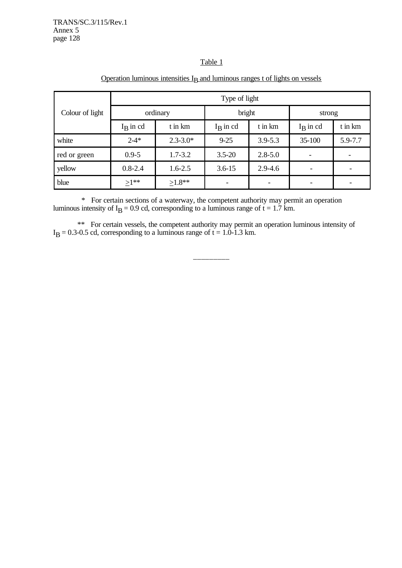TRANS/SC.3/115/Rev.1 Annex 5 page 128

## Table 1

| Colour of light | Type of light |              |             |             |             |         |  |  |  |
|-----------------|---------------|--------------|-------------|-------------|-------------|---------|--|--|--|
|                 |               | ordinary     | bright      |             | strong      |         |  |  |  |
|                 | $IB$ in cd    | t in km      | $I_R$ in cd | t in km     | $I_R$ in cd | t in km |  |  |  |
| white           | $2 - 4*$      | $2.3 - 3.0*$ | $9 - 25$    | $3.9 - 5.3$ | 35-100      | 5.9-7.7 |  |  |  |
| red or green    | $0.9 - 5$     | $1.7 - 3.2$  | $3.5 - 20$  | $2.8 - 5.0$ |             |         |  |  |  |
| yellow          | $0.8 - 2.4$   | $1.6 - 2.5$  | $3.6 - 15$  | $2.9 - 4.6$ |             |         |  |  |  |
| blue            | $\geq 1**$    | $\geq 1.8**$ |             |             |             |         |  |  |  |

# Operation luminous intensities  $I_R$  and luminous ranges t of lights on vessels

 \* For certain sections of a waterway, the competent authority may permit an operation luminous intensity of  $I<sub>B</sub> = 0.9$  cd, corresponding to a luminous range of  $t = 1.7$  km.

\*\* For certain vessels, the competent authority may permit an operation luminous intensity of  $I<sub>B</sub> = 0.3-0.5$  cd, corresponding to a luminous range of t = 1.0-1.3 km.

\_\_\_\_\_\_\_\_\_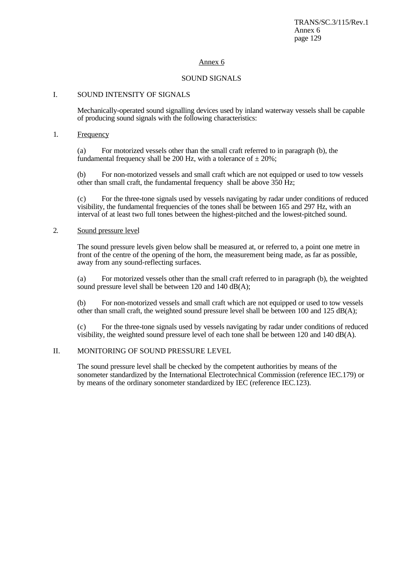TRANS/SC.3/115/Rev.1 Annex 6 page 129

### Annex 6

## SOUND SIGNALS

### I. SOUND INTENSITY OF SIGNALS

Mechanically-operated sound signalling devices used by inland waterway vessels shall be capable of producing sound signals with the following characteristics:

#### 1. Frequency

(a) For motorized vessels other than the small craft referred to in paragraph (b), the fundamental frequency shall be 200 Hz, with a tolerance of  $\pm$  20%;

(b) For non-motorized vessels and small craft which are not equipped or used to tow vessels other than small craft, the fundamental frequency shall be above 350 Hz;

(c) For the three-tone signals used by vessels navigating by radar under conditions of reduced visibility, the fundamental frequencies of the tones shall be between 165 and 297 Hz, with an interval of at least two full tones between the highest-pitched and the lowest-pitched sound.

### 2. Sound pressure level

The sound pressure levels given below shall be measured at, or referred to, a point one metre in front of the centre of the opening of the horn, the measurement being made, as far as possible, away from any sound-reflecting surfaces.

(a) For motorized vessels other than the small craft referred to in paragraph (b), the weighted sound pressure level shall be between 120 and 140 dB(A);

(b) For non-motorized vessels and small craft which are not equipped or used to tow vessels other than small craft, the weighted sound pressure level shall be between  $100$  and  $125$  dB(A);

(c) For the three-tone signals used by vessels navigating by radar under conditions of reduced visibility, the weighted sound pressure level of each tone shall be between 120 and 140 dB(A).

### II. MONITORING OF SOUND PRESSURE LEVEL

The sound pressure level shall be checked by the competent authorities by means of the sonometer standardized by the International Electrotechnical Commission (reference IEC.179) or by means of the ordinary sonometer standardized by IEC (reference IEC.123).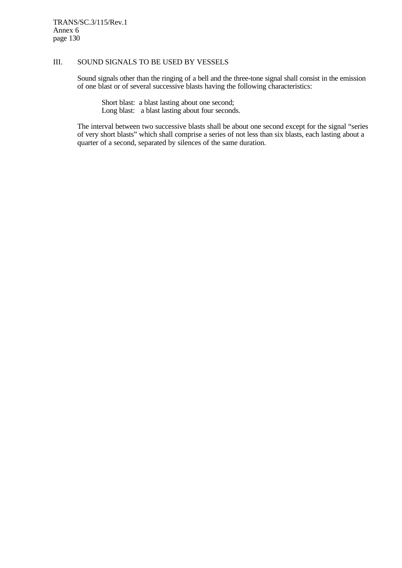#### III. SOUND SIGNALS TO BE USED BY VESSELS

Sound signals other than the ringing of a bell and the three-tone signal shall consist in the emission of one blast or of several successive blasts having the following characteristics:

Short blast: a blast lasting about one second; Long blast: a blast lasting about four seconds.

The interval between two successive blasts shall be about one second except for the signal "series of very short blasts" which shall comprise a series of not less than six blasts, each lasting about a quarter of a second, separated by silences of the same duration.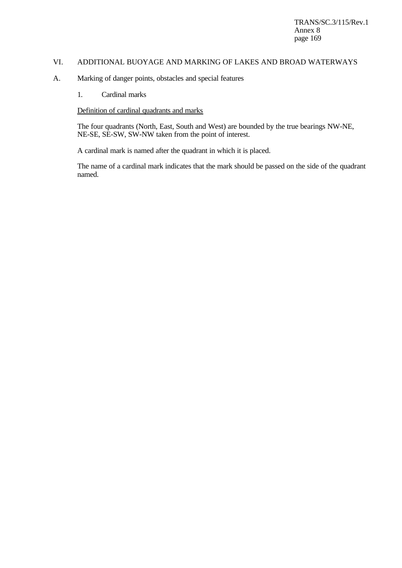TRANS/SC.3/115/Rev.1 Annex 8 page 169

### VI. ADDITIONAL BUOYAGE AND MARKING OF LAKES AND BROAD WATERWAYS

- A. Marking of danger points, obstacles and special features
	- 1. Cardinal marks

## Definition of cardinal quadrants and marks

The four quadrants (North, East, South and West) are bounded by the true bearings NW-NE, NE-SE, SE-SW, SW-NW taken from the point of interest.

A cardinal mark is named after the quadrant in which it is placed.

The name of a cardinal mark indicates that the mark should be passed on the side of the quadrant named.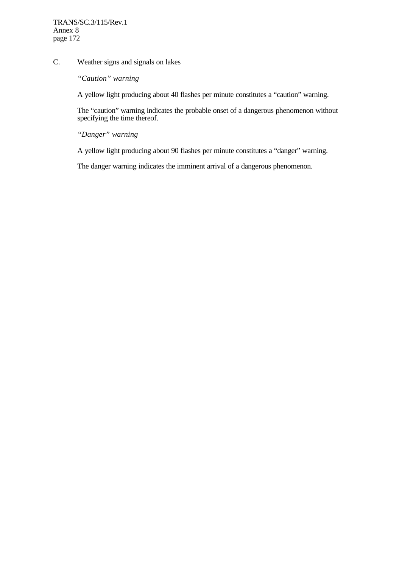## C. Weather signs and signals on lakes

*"Caution" warning*

A yellow light producing about 40 flashes per minute constitutes a "caution" warning.

The "caution" warning indicates the probable onset of a dangerous phenomenon without specifying the time thereof.

*"Danger" warning*

A yellow light producing about 90 flashes per minute constitutes a "danger" warning.

The danger warning indicates the imminent arrival of a dangerous phenomenon.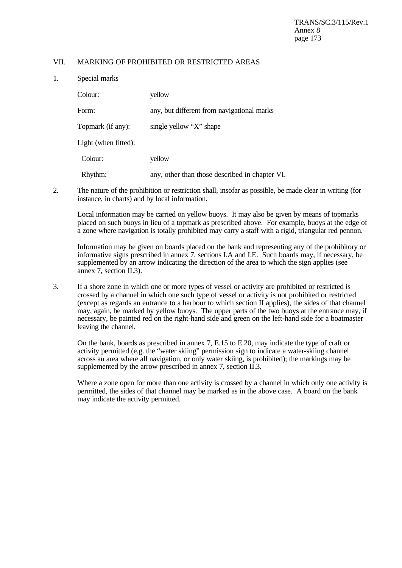TRANS/SC.3/115/Rev.1 Annex 8 page 173

## VII. MARKING OF PROHIBITED OR RESTRICTED AREAS

| Special marks        |                                                |
|----------------------|------------------------------------------------|
| Colour:              | yellow                                         |
| Form:                | any, but different from navigational marks     |
| Topmark (if any):    | single yellow "X" shape                        |
| Light (when fitted): |                                                |
| Colour:              | yellow                                         |
| Rhythm:              | any, other than those described in chapter VI. |

2. The nature of the prohibition or restriction shall, insofar as possible, be made clear in writing (for instance, in charts) and by local information.

Local information may be carried on yellow buoys. It may also be given by means of topmarks placed on such buoys in lieu of a topmark as prescribed above. For example, buoys at the edge of a zone where navigation is totally prohibited may carry a staff with a rigid, triangular red pennon.

Information may be given on boards placed on the bank and representing any of the prohibitory or informative signs prescribed in annex 7, sections I.A and I.E. Such boards may, if necessary, be supplemented by an arrow indicating the direction of the area to which the sign applies (see annex 7, section II.3).

3. If a shore zone in which one or more types of vessel or activity are prohibited or restricted is crossed by a channel in which one such type of vessel or activity is not prohibited or restricted (except as regards an entrance to a harbour to which section II applies), the sides of that channel may, again, be marked by yellow buoys. The upper parts of the two buoys at the entrance may, if necessary, be painted red on the right-hand side and green on the left-hand side for a boatmaster leaving the channel.

On the bank, boards as prescribed in annex 7, E.15 to E.20, may indicate the type of craft or activity permitted (e.g. the "water skiing" permission sign to indicate a water-skiing channel across an area where all navigation, or only water skiing, is prohibited); the markings may be supplemented by the arrow prescribed in annex 7, section II.3.

Where a zone open for more than one activity is crossed by a channel in which only one activity is permitted, the sides of that channel may be marked as in the above case. A board on the bank may indicate the activity permitted.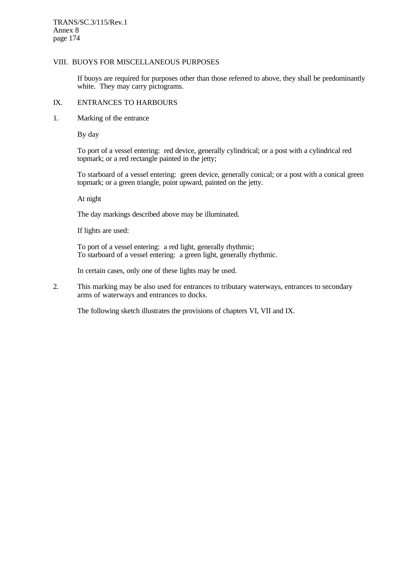TRANS/SC.3/115/Rev.1 Annex 8 page 174

### VIII. BUOYS FOR MISCELLANEOUS PURPOSES

If buoys are required for purposes other than those referred to above, they shall be predominantly white. They may carry pictograms.

### IX. ENTRANCES TO HARBOURS

1. Marking of the entrance

By day

To port of a vessel entering: red device, generally cylindrical; or a post with a cylindrical red topmark; or a red rectangle painted in the jetty;

To starboard of a vessel entering: green device, generally conical; or a post with a conical green topmark; or a green triangle, point upward, painted on the jetty.

At night

The day markings described above may be illuminated.

If lights are used:

To port of a vessel entering: a red light, generally rhythmic; To starboard of a vessel entering: a green light, generally rhythmic.

In certain cases, only one of these lights may be used.

2. This marking may be also used for entrances to tributary waterways, entrances to secondary arms of waterways and entrances to docks.

The following sketch illustrates the provisions of chapters VI, VII and IX.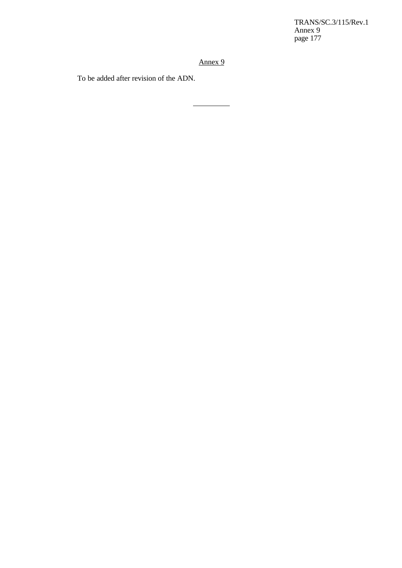TRANS/SC.3/115/Rev.1 Annex 9 page 177

Annex 9

 $\overline{a}$ 

To be added after revision of the ADN.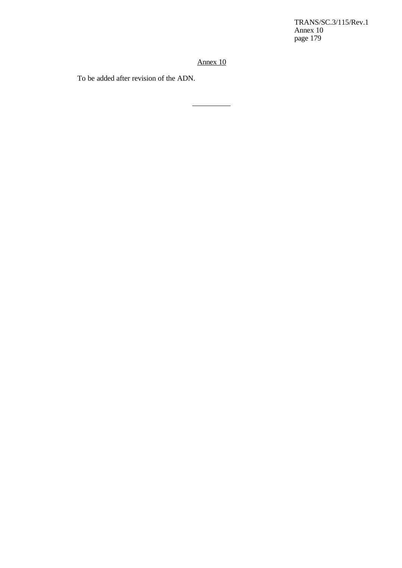TRANS/SC.3/115/Rev.1 Annex 10 page 179

Annex 10

To be added after revision of the ADN.